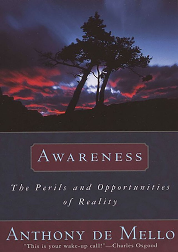# AWARENESS

The Perils and Opportunities of Reality

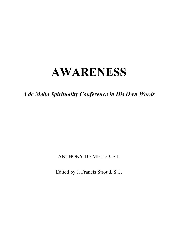# **AWARENESS**

*A de Mello Spirituality Conference in His Own Words*

ANTHONY DE MELLO, S.J.

Edited by J. Francis Stroud, S .J.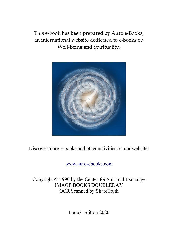This e-book has been prepared by Auro e-Books, an international website dedicated to e-books on Well-Being and Spirituality.



Discover more e-books and other activities on our website:

[www.auro-ebooks.com](http://www.auro-ebooks.com/)

Copyright © 1990 by the Center for Spiritual Exchange IMAGE BOOKS DOUBLEDAY OCR Scanned by ShareTruth

Ebook Edition 2020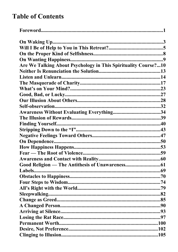#### **Table of Contents**

| Are We Talking About Psychology in This Spirituality Course?10 |  |
|----------------------------------------------------------------|--|
|                                                                |  |
|                                                                |  |
|                                                                |  |
|                                                                |  |
|                                                                |  |
|                                                                |  |
|                                                                |  |
|                                                                |  |
|                                                                |  |
|                                                                |  |
|                                                                |  |
|                                                                |  |
|                                                                |  |
|                                                                |  |
|                                                                |  |
|                                                                |  |
|                                                                |  |
|                                                                |  |
|                                                                |  |
|                                                                |  |
|                                                                |  |
|                                                                |  |
|                                                                |  |
|                                                                |  |
|                                                                |  |
|                                                                |  |
|                                                                |  |
|                                                                |  |
|                                                                |  |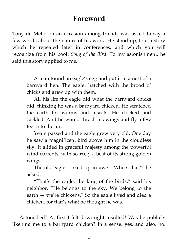#### <span id="page-5-0"></span>**Foreword**

Tony de Mello on an occasion among friends was asked to say a few words about the nature of his work. He stood up, told a story which he repeated later in conferences, and which you will recognize from his book *Song of the Bird*. To my astonishment, he said this story applied to me.

A man found an eagle's egg and put it in a nest of a barnyard hen. The eaglet hatched with the brood of chicks and grew up with them.

All his life the eagle did what the barnyard chicks did, thinking he was a barnyard chicken. He scratched the earth for worms and insects. He clucked and cackled. And he would thrash his wings and fly a few feet into the air.

Years passed and the eagle grew very old. One day he saw a magnificent bird above him in the cloudless sky. It glided in graceful majesty among the powerful wind currents, with scarcely a beat of its strong golden wings.

The old eagle looked up in awe. "Who's that?" he asked.

"That's the eagle, the king of the birds," said his neighbor. "He belongs to the sky. We belong to the earth — we're chickens." So the eagle lived and died a chicken, for that's what he thought he was.

Astonished? At first I felt downright insulted! Was he publicly likening me to a barnyard chicken? In a sense, yes, and also, no.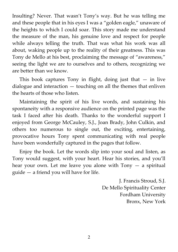Insulting? Never. That wasn't Tony's way. But he was telling me and these people that in his eyes I was a "golden eagle," unaware of the heights to which I could soar. This story made me understand the measure of the man, his genuine love and respect for people while always telling the truth. That was what his work was all about, waking people up to the reality of their greatness. This was Tony de Mello at his best, proclaiming the message of "awareness," seeing the light we are to ourselves and to others, recognizing we are better than we know.

This book captures Tony in flight, doing just that  $-$  in live dialogue and interaction — touching on all the themes that enliven the hearts of those who listen.

Maintaining the spirit of his live words, and sustaining his spontaneity with a responsive audience on the printed page was the task I faced after his death. Thanks to the wonderful support I enjoyed from George McCauley, S.J., Joan Brady, John Culkin, and others too numerous to single out, the exciting, entertaining, provocative hours Tony spent communicating with real people have been wonderfully captured in the pages that follow.

Enjoy the book. Let the words slip into your soul and listen, as Tony would suggest, with your heart. Hear his stories, and you'll hear your own. Let me leave you alone with  $Tony - a$  spiritual guide — a friend you will have for life.

> J. Francis Stroud, S.J. De Mello Spirituality Center Fordham University Bronx, New York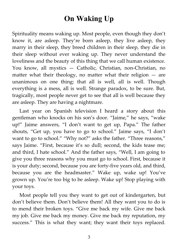# <span id="page-7-0"></span>**On Waking Up**

Spirituality means waking up. Most people, even though they don't know it, are asleep. They're born asleep, they live asleep, they marry in their sleep, they breed children in their sleep, they die in their sleep without ever waking up. They never understand the loveliness and the beauty of this thing that we call human existence. You know, all mystics — Catholic, Christian, non-Christian, no matter what their theology, no matter what their religion  $-$  are unanimous on one thing: that all is well, all is well. Though everything is a mess, all is well. Strange paradox, to be sure. But, tragically, most people never get to see that all is well because they are asleep. They are having a nightmare.

Last year on Spanish television I heard a story about this gentleman who knocks on his son's door. "Jaime," he says, "wake up!" Jaime answers, "I don't want to get up, Papa." The father shouts, "Get up, you have to go to school." Jaime says, "I don't want to go to school." "Why not?" asks the father. "Three reasons," says Jaime. "First, because it's so dull; second, the kids tease me; and third, I hate school." And the father says, "Well, I am going to give you three reasons why you must go to school. First, because it is your duty; second, because you are forty-five years old, and third, because you are the headmaster." Wake up, wake up! You've grown up. You're too big to be asleep. Wake up! Stop playing with your toys.

Most people tell you they want to get out of kindergarten, but don't believe them. Don't believe them! All they want you to do is to mend their broken toys. "Give me back my wife. Give me back my job. Give me back my money. Give me back my reputation, my success." This is what they want; they want their toys replaced.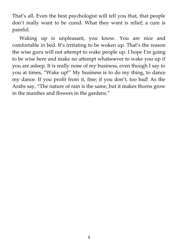That's all. Even the best psychologist will tell you that, that people don't really want to be cured. What they want is relief; a cure is painful.

Waking up is unpleasant, you know. You are nice and comfortable in bed. It's irritating to be woken up. That's the reason the wise guru will not attempt to wake people up. I hope I'm going to be wise here and make no attempt whatsoever to wake you up if you are asleep. It is really none of my business, even though I say to you at times, "Wake up!" My business is to do my thing, to dance my dance. If you profit from it, fine; if you don't, too bad! As the Arabs say, "The nature of rain is the same, but it makes thorns grow in the marshes and flowers in the gardens."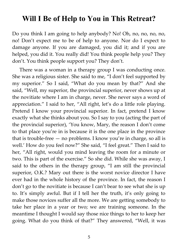#### <span id="page-9-0"></span>**Will I Be of Help to You in This Retreat?**

Do you think I am going to help anybody? No! Oh, no, no, no, no, no! Don't expect me to be of help to anyone. Nor do I expect to damage anyone. If you are damaged, you did it; and if you are helped, you did it. You really did! You think people help you? They don't. You think people support you? They don't.

There was a woman in a therapy group I was conducting once. She was a religious sister. She said to me, "I don't feel supported by my superior." So I said, "What do you mean by that?" And she said, "Well, my superior, the provincial superior, never shows up at the novitiate where I am in charge, never. She never says a word of appreciation." I said to her, "All right, let's do a little role playing. Pretend I know your provincial superior. In fact, pretend I know exactly what she thinks about you. So I say to you (acting the part of the provincial superior), 'You know, Mary, the reason I don't come to that place you're in is because it is the one place in the province that is trouble-free — no problems. I know you're in charge, so all is well.' How do you feel now?" She said, "I feel great." Then I said to her, "All right, would you mind leaving the room for a minute or two. This is part of the exercise." So she did. While she was away, I said to the others in the therapy group, "I am still the provincial superior, O.K.? Mary out there is the worst novice director I have ever had in the whole history of the province. In fact, the reason I don't go to the novitiate is because I can't bear to see what she is up to. It's simply awful. But if I tell her the truth, it's only going to make those novices suffer all the more. We are getting somebody to take her place in a year or two; we are training someone. In the meantime I thought I would say those nice things to her to keep her going. What do you think of that?" They answered, "Well, it was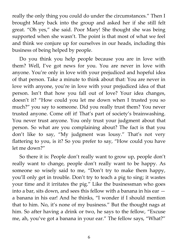really the only thing you could do under the circumstances." Then I brought Mary back into the group and asked her if she still felt great. "Oh yes," she said. Poor Mary! She thought she was being supported when she wasn't. The point is that most of what we feel and think we conjure up for ourselves in our heads, including this business of being helped by people.

Do you think you help people because you are in love with them? Well, I've got news for you. You are never in love with anyone. You're only in love with your prejudiced and hopeful idea of that person. Take a minute to think about that: You are never in love with anyone, you're in love with your prejudiced idea of that person. Isn't that how you fall out of love? Your idea changes, doesn't it? "How could you let me down when I trusted you so much?" you say to someone. Did you really trust them? You never trusted anyone. Come off it! That's part of society's brainwashing. You never trust anyone. You only trust your judgment about that person. So what are you complaining about? The fact is that you don't like to say, "My judgment was lousy." That's not very flattering to you, is it? So you prefer to say, "How could you have let me down?"

So there it is: People don't really want to grow up, people don't really want to change, people don't really want to be happy. As someone so wisely said to me, "Don't try to make them happy, you'll only get in trouble. Don't try to teach a pig to sing; it wastes your time and it irritates the pig." Like the businessman who goes into a bar, sits down, and sees this fellow with a banana in his ear a banana in his ear! And he thinks, "I wonder if I should mention that to him. No, it's none of my business." But the thought nags at him. So after having a drink or two, he says to the fellow, "Excuse me, ah, you've got a banana in your ear." The fellow says, "What?"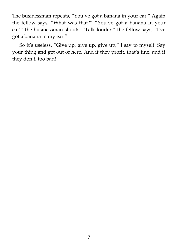The businessman repeats, "You've got a banana in your ear." Again the fellow says, "What was that?" "You've got a banana in your ear!" the businessman shouts. "Talk louder," the fellow says, "I've got a banana in my ear!"

So it's useless. "Give up, give up, give up," I say to myself. Say your thing and get out of here. And if they profit, that's fine, and if they don't, too bad!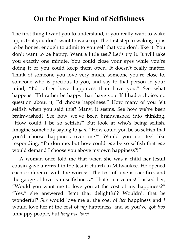# <span id="page-12-0"></span>**On the Proper Kind of Selfishness**

The first thing I want you to understand, if you really want to wake up, is that you don't want to wake up. The first step to waking up is to be honest enough to admit to yourself that you don't like it. You don't want to be happy. Want a little test? Let's try it. It will take you exactly one minute. You could close your eyes while you're doing it or you could keep them open. It doesn't really matter. Think of someone you love very much, someone you're close to, someone who is precious to you, and say to that person in your mind, "I'd rather have happiness than have you." See what happens. "I'd rather be happy than have you. If I had a choice, no question about it, I'd choose happiness." How many of you felt selfish when you said this? Many, it seems. See how we've been brainwashed? See how we've been brainwashed into thinking, "How could I be so selfish?" But look at who's being selfish. Imagine somebody saying to *you*, "How could you be so selfish that you'd choose happiness over me?" Would you not feel like responding, "Pardon me, but how could *you* be so selfish that *you* would demand I choose you above my own happiness?!"

A woman once told me that when she was a child her Jesuit cousin gave a retreat in the Jesuit church in Milwaukee. He opened each conference with the words: "The test of love is sacrifice, and the gauge of love is unselfishness." That's marvelous! I asked her, "Would you want me to love you at the cost of my happiness?" "Yes," she answered. Isn't that delightful? Wouldn't that be wonderful? *She* would love me at the cost of *her* happiness and *I* would love her at the cost of *my* happiness, and so you've got *two* unhappy people, but *long live love!*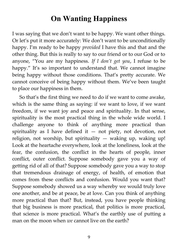# <span id="page-13-0"></span>**On Wanting Happiness**

I was saying that we don't want to be happy. We want other things. Or let's put it more accurately: We don't want to be unconditionally happy. I'm ready to be happy *provided* I have this and that and the other thing. But this is really to say to our friend or to our God or to anyone, "You are my happiness. *If I don't get you*, I refuse to be happy." It's so important to understand that. We cannot imagine being happy without those conditions. That's pretty accurate. We cannot conceive of being happy without them. We've been taught to place our happiness in them.

So that's the first thing we need to do if we want to come awake, which is the same thing as saying: if we want to love, if we want freedom, if we want joy and peace and spirituality. In that sense, spirituality is the most practical thing in the whole wide world. I challenge anyone to think of anything more practical than spirituality as I have defined it  $-$  not piety, not devotion, not religion, not worship, but spirituality — waking up, waking up! Look at the heartache everywhere, look at the loneliness, look at the fear, the confusion, the conflict in the hearts of people, inner conflict, outer conflict. Suppose somebody gave you a way of getting rid of all of that? Suppose somebody gave you a way to stop that tremendous drainage of energy, of health, of emotion that comes from these conflicts and confusion. Would you want that? Suppose somebody showed us a way whereby we would truly love one another, and be at peace, be at love. Can you think of anything more practical than that? But, instead, you have people thinking that big business is more practical, that politics is more practical, that science is more practical. What's the earthly use of putting a man on the moon when *we* cannot live on the earth?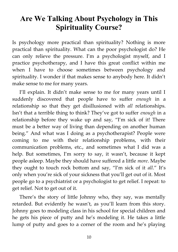# <span id="page-14-0"></span>**Are We Talking About Psychology in This Spirituality Course?**

Is psychology more practical than spirituality? Nothing is more practical than spirituality. What can the poor psychologist do? He can only relieve the pressure. I'm a psychologist myself, and I practice psychotherapy, and I have this great conflict within me when I have to choose sometimes between psychology and spirituality. I wonder if that makes sense to anybody here. It didn't make sense to me for many years.

I'll explain. It didn't make sense to me for many years until I suddenly discovered that people have to suffer *enough* in a relationship so that they get disillusioned with *all* relationships. Isn't that a terrible thing to think? They've got to suffer *enough* in a relationship before they wake up and say, "I'm sick of it! There must be a better way of living than depending on another human being." And what was I doing as a psychotherapist? People were coming to me with their relationship problems, with their communication problems, etc., and sometimes what I did was a help. But sometimes, I'm sorry to say, it wasn't, because it kept people asleep. Maybe they should have suffered a little *more*. Maybe they ought to touch rock bottom and say, "I'm sick of it *all*." It's only when you're sick of your sickness that you'll get out of it. Most people go to a psychiatrist or a psychologist to get relief. I repeat: to get relief. Not to get out of it.

There's the story of little Johnny who, they say, was mentally retarded. But evidently he wasn't, as you'll learn from this story. Johnny goes to modeling class in his school for special children and he gets his piece of putty and he's modeling it. He takes a little lump of putty and goes to a corner of the room and he's playing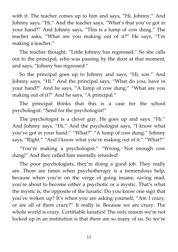with it. The teacher comes up to him and says, "Hi, Johnny." And Johnny says, "Hi." And the teacher says, "What's that you've got in your hand?" And Johnny says, "This is a lump of cow dung." The teacher asks, "What are you making out of it?" He says, "I'm making a teacher."

The teacher thought, "Little Johnny has regressed." So she calls out to the principal, who was passing by the door at that moment, and says, "Johnny has regressed."

So the principal goes up to Johnny and says, "Hi, son." And Johnny says, "Hi." And the principal says, "What do you, have in your hand?" And he says, "A lump of cow dung." "What are you making out of it?" And he says, "A principal."

The principal thinks that this is a case for the school psychologist. "Send for the psychologist!"

The psychologist is a clever guy. He goes up and says, "Hi." And Johnny says, "Hi." And the psychologist says, "I know what you've got in your hand." "What?" "A lump of cow dung." Johnny says, "Right." "And I know what you're making out of it." "What?"

"You're making a psychologist." "Wrong. Not enough cow dung!" And they called him mentally retarded!

The poor psychologists, they're doing a good job. They really are. There are times when psychotherapy is a tremendous help, because when you're on the verge of going insane, raving mad, you're about to become either a psychotic or a mystic. That's what the mystic is, the opposite of the lunatic. Do you know one sign that you've woken up? It's when you are asking yourself, "Am I crazy, or are all of them crazy?" It really is. Because we are crazy. The whole world is crazy. Certifiable lunatics! The only reason we're not locked up in an institution is that there are so many of us. So we're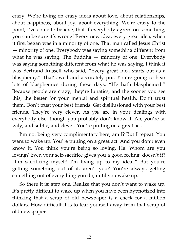crazy. We're living on crazy ideas about love, about relationships, about happiness, about joy, about everything. We're crazy to the point, I've come to believe, that if everybody agrees on something, you can be sure it's wrong! Every new idea, every great idea, when it first began was in a minority of one. That man called Jesus Christ — minority of one. Everybody was saying something different from what he was saying. The Buddha  $-$  minority of one. Everybody was saying something different from what he was saying. I think it was Bertrand Russell who said, "Every great idea starts out as a blasphemy." That's well and accurately put. You're going to hear lots of blasphemies during these days. "He hath blasphemed!" Because people are crazy, they're lunatics, and the sooner you see this, the better for your mental and spiritual health. Don't trust them. Don't trust your best friends. Get disillusioned with your best friends. They're very clever. As *you* are in your dealings with everybody else, though you probably don't know it. Ah, you're so wily, and subtle, and clever. You're putting on a great act.

I'm not being very complimentary here, am I? But I repeat: You want to wake up. You're putting on a great act. And you don't even know it. You think you're being so loving. Ha! Whom are you loving? Even your self-sacrifice gives you a good feeling, doesn't it? "I'm sacrificing myself! I'm living up to my ideal." But you're getting something out of it, aren't you? You're always getting something out of everything you do, until you wake up.

So there it is: step one. Realize that you don't want to wake up. It's pretty difficult to wake up when you have been hypnotized into thinking that a scrap of old newspaper is a check for a million dollars. How difficult it is to tear yourself away from that scrap of old newspaper.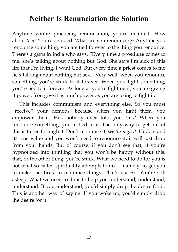# <span id="page-17-0"></span>**Neither Is Renunciation the Solution**

Anytime you're practicing renunciation, you're deluded. How about *that*! You're deluded. What are you renouncing? Anytime you renounce something, you are tied forever to the thing you renounce. There's a guru in India who says, "Every time a prostitute comes to me, she's talking about nothing but God. She says I'm sick of this life that I'm living. I want God. But every time a priest comes to me he's talking about nothing but sex." Very well, when you renounce something, you're stuck to it forever. When you fight something, you're tied to it forever. As long as you're fighting it, you are giving it power. You give it as much power as you are using to fight it.

This includes communism and everything else. So you must "receive" your demons, because when you fight them, you empower them. Has nobody ever told you this? When you renounce something, you're tied to it. The only way to get out of this is to see through it. Don't renounce it, *see through it*. Understand its true value and you won't need to renounce it; it will just drop from your hands. But of course, if you don't see that, if you're hypnotized into thinking that you won't be happy without this, that, or the other thing, you're stuck. What we need to do for you is not what so-called spirituality attempts to do — namely, to get you to make sacrifices, to renounce things. That's useless. You're still asleep. What we need to do is to help you understand, understand, understand. If you understood, you'd simply drop the desire for it. This is another way of saying: If you woke up, you'd simply drop the desire for it.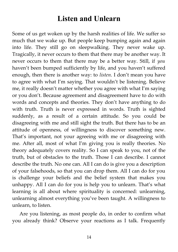#### <span id="page-18-0"></span>**Listen and Unlearn**

Some of us get woken up by the harsh realities of life. We suffer so much that we wake up. But people keep bumping again and again into life. They still go on sleepwalking. They never wake up. Tragically, it never occurs to them that there may be another way. It never occurs to them that there may be a better way. Still, if *you* haven't been bumped sufficiently by life, and you haven't suffered enough, then there is another way: to *listen*. I don't mean you have to agree with what I'm saying. That wouldn't be listening. Believe me, it really doesn't matter whether you agree with what I'm saying or you don't. Because agreement and disagreement have to do with words and concepts and theories. They don't have anything to do with truth. Truth is never expressed in words. Truth is sighted suddenly, as a result of a certain attitude. So you could be disagreeing with me and still sight the truth. But there has to be an attitude of openness, of willingness to discover something new. That's important, not your agreeing with me or disagreeing with me. After all, most of what I'm giving you is really theories. No theory adequately covers reality. So I can speak to you, not of the truth, but of obstacles to the truth. Those I can describe. I cannot describe the truth. No one can. All I can do is give you a description of your falsehoods, so that you can drop them. All I can do for you is challenge your beliefs and the belief system that makes you unhappy. All I can do for you is help you to unlearn. That's what learning is all about where spirituality is concerned: unlearning, unlearning almost everything you've been taught. A willingness to unlearn, to listen.

Are you listening, as most people do, in order to confirm what you already think? Observe your reactions as I talk. Frequently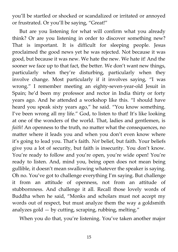you'll be startled or shocked or scandalized or irritated or annoyed or frustrated. Or you'll be saying, "Great!"

But are you listening for what will confirm what you already think? Or are you listening in order to discover something new? That is important. It is difficult for sleeping people. Jesus proclaimed the good news yet he was rejected. Not because it was good, but because it was new. We hate the new. We hate it! And the sooner we face up to that fact, the better. We don't want new things, particularly when they're disturbing, particularly when they involve change. Most particularly if it involves saying, "I was wrong." I remember meeting an eighty-seven-year-old Jesuit in Spain; he'd been my professor and rector in India thirty or forty years ago. And he attended a workshop like this. "I should have heard you speak sixty years ago," he said. "You know something. I've been wrong all my life." God, to listen to that! It's like looking at one of the wonders of the world. That, ladies and gentlemen, is *faith*! An openness to the truth, no matter what the consequences, no matter where it leads you and when you don't even know where it's going to lead you. That's faith. *Not* belief, but faith. Your beliefs give you a lot of security, but faith is insecurity. You don't know. You're ready to follow and you're open, you're wide open! You're ready to listen. And, mind you, being open does not mean being gullible, it doesn't mean swallowing whatever the speaker is saying. Oh no. You've got to challenge everything I'm saying. But challenge it from an attitude of openness, not from an attitude of stubbornness. And challenge it all. Recall those lovely words of Buddha when he said, "Monks and scholars must not accept my words out of respect, but must analyze them the way a goldsmith analyzes gold  $-$  by cutting, scraping, rubbing, melting."

When you do that, you're listening. You've taken another major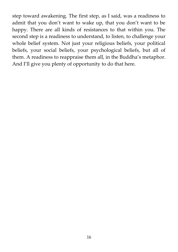step toward awakening. The first step, as I said, was a readiness to admit that you don't want to wake up, that you don't want to be happy. There are all kinds of resistances to that within you. The second step is a readiness to understand, to listen, to challenge your whole belief system. Not just your religious beliefs, your political beliefs, your social beliefs, your psychological beliefs, but all of them. A readiness to reappraise them all, in the Buddha's metaphor. And I'll give you plenty of opportunity to do that here.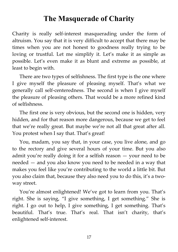# <span id="page-21-0"></span>**The Masquerade of Charity**

Charity is really self-interest masquerading under the form of altruism. You say that it is very difficult to accept that there may be times when you are not honest to goodness really trying to be loving or trustful. Let me simplify it. Let's make it as simple as possible. Let's even make it as blunt and extreme as possible, at least to begin with.

There are two types of selfishness. The first type is the one where I give myself the pleasure of pleasing myself. That's what we generally call self-centeredness. The second is when I give myself the pleasure of pleasing others. That would be a more refined kind of selfishness.

The first one is very obvious, but the second one is hidden, very hidden, and for that reason more dangerous, because we get to feel that we're really great. But maybe we're not all that great after all. You protest when I say that. That's great!

You, madam, you say that, in your case, you live alone, and go to the rectory and give several hours of your time. But you also admit you're really doing it for a selfish reason — your need to be needed — and you also know you need to be needed in a way that makes you feel like you're contributing to the world a little bit. But you also claim that, because they also need you to do this, it's a twoway street.

You're almost enlightened! We've got to learn from you. That's right. She is saying, "I give something, I get something." She is right. I go out to help, I give something, I get something. That's beautiful. That's true. That's real. That isn't charity, that's enlightened self-interest.

17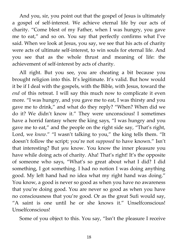And you, sir, you point out that the gospel of Jesus is ultimately a gospel of self-interest. We achieve eternal life by our acts of charity. "Come blest of my Father, when I was hungry, you gave me to eat," and so on. You say that perfectly confirms what I've said. When we look at Jesus, you say, we see that his acts of charity were acts of ultimate self-interest, to win souls for eternal life. And you see that as the whole thrust and meaning of life: the achievement of self-interest by acts of charity.

All right. But you see, you are cheating a bit because you brought religion into this. It's legitimate. It's valid. But how would it be if I deal with the gospels, with the Bible, with Jesus, toward the *end* of this retreat. I will say this much now to complicate it even more. "I was hungry, and you gave me to eat, I was thirsty and you gave me to drink," and what do they reply? "When? When did we do it? We didn't know it." They were unconscious! I sometimes have a horrid fantasy where the king says, "I was hungry and you gave me to eat," and the people on the right side say, "That's right, Lord, we *know*." "I wasn't talking to you," the king tells them. "It doesn't follow the script; you're not *supposed* to have known." Isn't that interesting? But *you* know. You know the inner pleasure you have while doing acts of charity. Aha! That's right! It's the opposite of someone who says, "What's so great about what I did? I did something, I got something. I had no notion I was doing anything good. My left hand had no idea what my right hand was doing." You know, a good is never so good as when you have no awareness that you're doing good. You are never so good as when you have no consciousness that you're good. Or as the great Sufi would say, "A saint is one until he or she knows it." Unselfconscious! Unselfconscious!

Some of you object to this. You say, "Isn't the pleasure I receive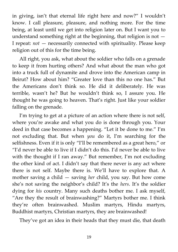in giving, isn't that eternal life right here and now?" I wouldn't know. I call pleasure, pleasure, and nothing more. For the time being, at least until we get into religion later on. But I want you to understand something right at the beginning, that religion is not — I repeat: *not* — necessarily connected with spirituality. Please keep religion out of this for the time being.

All right, you ask, what about the soldier who falls on a grenade to keep it from hurting others? And what about the man who got into a truck full of dynamite and drove into the American camp in Beirut? How about him? "Greater love than this no one has." But the Americans don't think so. He did it deliberately. He was terrible, wasn't he? But he wouldn't think so, I assure you. He thought he was going to heaven. That's right. Just like your soldier falling on the grenade.

I'm trying to get at a picture of an action where there is not self, where you're awake and what you do is done through you. Your deed in that case becomes a happening. "Let it be done to me." I'm not excluding that. But when *you* do it, I'm searching for the selfishness. Even if it is only "I'll be remembered as a great hero," or "I'd never be able to live if I didn't do this. I'd never be able to live with the thought if I ran away." But remember, I'm not excluding the other kind of act. I didn't say that there never is any act where there is not self. Maybe there is. We'll have to explore that. A mother saving a child — saving *her* child, you say. But how come she's not saving the neighbor's child? It's the *hers*. It's the soldier dying for *his* country. Many such deaths bother me. I ask myself, "Are they the result of brainwashing?" Martyrs bother me. I think they're often brainwashed. Muslim martyrs, Hindu martyrs, Buddhist martyrs, Christian martyrs, they are brainwashed!

They've got an idea in their heads that they must die, that death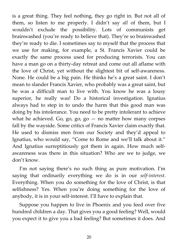is a great thing. They feel nothing, they go right in. But not all of them, so listen to me properly. I didn't say *all* of them, but I wouldn't exclude the possibility. Lots of communists get brainwashed (you're ready to believe that). They're so brainwashed they're ready to die. I sometimes say to myself that the process that we use for making, for example, a St. Francis Xavier could be exactly the same process used for producing terrorists. You can have a man go on a thirty-day retreat and come out all aflame with the love of Christ, yet without the slightest bit of self-awareness. None. He could be a big pain. He thinks he's a great saint. I don't mean to slander Francis Xavier, who probably was a great saint, but he was a difficult man to live with. You know he was a lousy superior, he really was! Do a historical investigation. Ignatius always had to step in to undo the harm that this good man was doing by his intolerance. You need to be pretty intolerant to achieve what he achieved. Go, go, go, go  $-$  no matter how many corpses fall by the wayside. Some critics of Francis Xavier claim exactly that. He used to dismiss men from our Society and they'd appeal to Ignatius, who would say, "Come to Rome and we'll talk about it." And Ignatius surreptitiously got them in again. How much selfawareness was there in this situation? Who are we to judge, we don't know.

I'm not saying there's no such thing as pure motivation. I'm saying that ordinarily everything we do is in our *self-interest*. Everything. When you do something for the love of Christ, is that selfishness? Yes. When you're doing something for the love of anybody, it is in your self-interest. I'll have to explain that.

Suppose you happen to live in Phoenix and you feed over five hundred children a day. That gives you a good feeling? Well, would you expect it to give you a bad feeling? But sometimes it does. And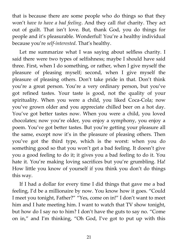that is because there are some people who do things so that they won't *have to have a bad feeling*. And they call *that* charity. They act out of guilt. That isn't love. But, thank God, you do things for people and it's pleasurable. Wonderful! You're a healthy individual because you're *self-interested*. That's healthy.

Let me summarize what I was saying about selfless charity. I said there were two types of selfishness; maybe I should have said three. First, when I do something, or rather, when I give myself the pleasure of pleasing myself; second, when I give myself the pleasure of pleasing others. Don't take pride in that. Don't think you're a great person. You're a very ordinary person, but you've got refined tastes. Your taste is good, not the quality of your spirituality. When you were a child, you liked Coca-Cola; now you've grown older and you appreciate chilled beer on a hot day. You've got better tastes now. When you were a child, you loved chocolates; now you're older, you enjoy a symphony, you enjoy a poem. You've got better tastes. But you're getting your pleasure all the same, except now it's in the pleasure of pleasing others. Then you've got the third type, which is the worst: when you do something good so that you won't get a bad feeling. It doesn't give you a good feeling to do it; it gives you a bad feeling to do it. You hate it. You're making loving sacrifices but you're grumbling. Ha! How little you know of yourself if you think you don't do things this way.

If I had a dollar for every time I did things that gave me a bad feeling, I'd be a millionaire by now. You know how it goes. "Could I meet you tonight, Father?" "Yes, come on in!" I don't want to meet him and I hate meeting him. I want to watch that TV show tonight, but how do I say no to him? I don't have the guts to say no. "Come on in," and I'm thinking, "Oh God, I've got to put up with this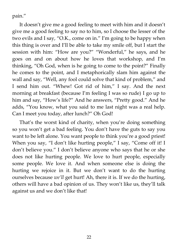pain."

It doesn't give me a good feeling to meet with him and it doesn't give me a good feeling to say no to him, so I choose the lesser of the two evils and I say, "O.K., come on in." I'm going to be happy when this thing is over and I'll be able to take my smile off, but I start the session with him: "How are you?" "Wonderful," he says, and he goes on and on about how he loves that workshop, and I'm thinking, "Oh God, when is he going to come to the point?" Finally he comes to the point, and I metaphorically slam him against the wall and say, "Well, any fool could solve that kind of problem," and I send him out. "Whew! Got rid of him," I say. And the next morning at breakfast (because I'm feeling I was so rude) I go up to him and say, "How's life?" And he answers, "Pretty good." And he adds, "You know, what you said to me last night was a real help. Can I meet you today, after lunch?" Oh God!

That's the worst kind of charity, when you're doing something so you won't get a bad feeling. You don't have the guts to say you want to be left alone. You want people to think you're a good priest! When you say, "I don't like hurting people," I say, "Come off it! I don't believe you." I don't believe anyone who says that he or she does not like hurting people. We love to hurt people, especially some people. We love it. And when someone else is doing the hurting we rejoice in it. But we don't want to do the hurting ourselves because *we'll* get hurt! Ah, there it is. If we do the hurting, others will have a bad opinion of us. They won't like us, they'll talk against us and we don't like that!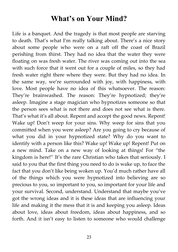#### <span id="page-27-0"></span>**What's on Your Mind?**

Life is a banquet. And the tragedy is that most people are starving to death. That's what I'm really talking about. There's a nice story about some people who were on a raft off the coast of Brazil perishing from thirst. They had no idea that the water they were floating on was fresh water. The river was coming out into the sea with such force that it went out for a couple of miles, so they had fresh water right there where they were. But they had no idea. In the same way, we're surrounded with joy, with happiness, with love. Most people have no idea of this whatsoever. The reason: They're brainwashed. The reason: They're hypnotized; they're asleep. Imagine a stage magician who hypnotizes someone so that the person sees what is not there and does not see what is there. That's what it's all about. Repent and accept the good news. Repent! Wake up! Don't weep for your sins. Why weep for sins that you committed when you were asleep? Are you going to cry because of what you did in your hypnotized state? Why do you want to identify with a person like this? Wake up! Wake up! Repent! Put on a new mind. Take on a new way of looking at things! For "the kingdom is here!" It's the rare Christian who takes that seriously. I said to you that the first thing you need to do is wake up, to face the fact that you don't like being woken up. You'd much rather have all of the things which you were hypnotized into believing are so precious to you, so important to you, so important for your life and your survival. Second, understand. Understand that maybe you've got the wrong ideas and it is these ideas that are influencing your life and making it the mess that it is and keeping you asleep. Ideas about love, ideas about freedom, ideas about happiness, and so forth. And it isn't easy to listen to someone who would challenge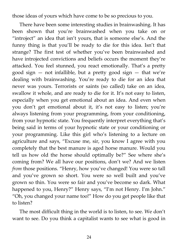those ideas of yours which have come to be so precious to you.

There have been some interesting studies in brainwashing. It has been shown that you're brainwashed when you take on or "introject" an idea that isn't yours, that is someone else's. And the funny thing is that you'll be ready to die for this idea. Isn't that strange? The first test of whether you've been brainwashed and have introjected convictions and beliefs occurs the moment they're attacked. You feel stunned, you react emotionally. That's a pretty good sign  $-$  not infallible, but a pretty good sign  $-$  that we're dealing with brainwashing. You're ready to die for an idea that never was yours. Terrorists or saints (so called) take on an idea, swallow it whole, and are ready to die for it. It's not easy to listen, especially when you get emotional about an idea. And even when you don't get emotional about it, it's not easy to listen; you're always listening from your programming, from your conditioning, from your hypnotic state. You frequently interpret everything that's being said in terms of your hypnotic state or your conditioning or your programming. Like this girl who's listening to a lecture on agriculture and says, "Excuse me, sir, you know I agree with you completely that the best manure is aged horse manure. Would you tell us how old the horse should optimally be?" See where she's coming from? We all have our positions, don't we? And we listen *from* those positions. "Henry, how you've changed! You were so tall and you've grown so short. You were so well built and you've grown so thin. You were so fair and you've become so dark. What happened to you, Henry?" Henry says, "I'm not Henry. I'm John." "Oh, you changed your name too!" How do you get people like that to listen?

The most difficult thing in the world is to listen, to see. We don't want to see. Do you think a capitalist wants to see what is good in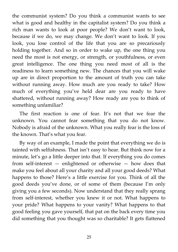the communist system? Do you think a communist wants to see what is good and healthy in the capitalist system? Do you think a rich man wants to look at poor people? We don't want to look, because if we do, we may change. We don't want to look. If you look, you lose control of the life that you are so precariously holding together. And so in order to wake up, the one thing you need the most is not energy, or strength, or youthfulness, or even great intelligence. The one thing you need most of all is the readiness to learn something new. The chances that you will wake up are in direct proportion to the amount of truth you can take without running away. How much are you ready to take? How much of everything you've held dear are you ready to have shattered, without running away? How ready are you to think of something unfamiliar?

The first reaction is one of fear. It's not that we fear the unknown. You cannot fear something that you do not know. Nobody is afraid of the unknown. What you really fear is the loss of the known. That's what you fear.

By way of an example, I made the point that everything we do is tainted with selfishness. That isn't easy to hear. But think now for a minute, let's go a little deeper into that. If everything you do comes from self-interest — enlightened or otherwise — how does that make you feel about all your charity and all your good deeds? What happens to those? Here's a little exercise for you. Think of all the good deeds you've done, or of some of them (because I'm only giving you a few seconds). Now understand that they really sprang from self-interest, whether you knew it or not. What happens to your pride? What happens to your vanity? What happens to that good feeling you gave yourself, that pat on the back every time you did something that you thought was so charitable? It gets flattened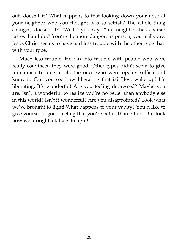out, doesn't it? What happens to that looking down your nose at your neighbor who you thought was so selfish? The whole thing changes, doesn't it? "Well," you say, "my neighbor has coarser tastes than I do." You're the more dangerous person, you really are. Jesus Christ seems to have had less trouble with the other type than with your type.

Much less trouble. He ran into trouble with people who were really convinced they were good. Other types didn't seem to give him much trouble at all, the ones who were openly selfish and knew it. Can you see how liberating that is? Hey, wake up! It's liberating. It's wonderful! Are you feeling depressed? Maybe you are. Isn't it wonderful to realize you're no better than anybody else in this world? Isn't it wonderful? Are you disappointed? Look what we've brought to light! What happens to your vanity? You'd like to give yourself a good feeling that you're better than others. But look how we brought a fallacy to light!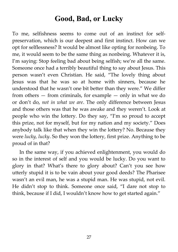#### <span id="page-31-0"></span>**Good, Bad, or Lucky**

To me, selfishness seems to come out of an instinct for selfpreservation, which is our deepest and first instinct. How can we opt for selflessness? It would be almost like opting for nonbeing. To me, it would seem to be the same thing as nonbeing. Whatever it is, I'm saying: Stop feeling bad about being selfish; we're all the same. Someone once had a terribly beautiful thing to say about Jesus. This person wasn't even Christian. He said, "The lovely thing about Jesus was that he was so at home with sinners, because he understood that he wasn't one bit better than they were." We differ from others — from criminals, for example — only in what we do or don't do, *not in what we are*. The only difference between Jesus and those others was that he was awake and they weren't. Look at people who win the lottery. Do they say, "I'm so proud to accept this prize, not for myself, but for my nation and my society." Does anybody talk like that when they win the lottery? No. Because they were *lucky, lucky*. So they won the lottery, first prize. Anything to be proud of in that?

In the same way, if you achieved enlightenment, you would do so in the interest of self and you would be lucky. Do you want to glory in that? What's there to glory about? Can't you see how utterly stupid it is to be vain about your good deeds? The Pharisee wasn't an evil man, he was a stupid man. He was stupid, not evil. He didn't stop to think. Someone once said, "I dare not stop to think, because if I did, I wouldn't know how to get started again."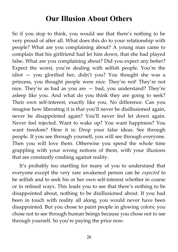#### <span id="page-32-0"></span>**Our Illusion About Others**

So if you stop to think, you would see that there's nothing to be very proud of after all. What does this do to your relationship with people? What are you complaining about? A young man came to complain that his girlfriend had let him down, that she had played false. What are you complaining about? Did you expect any better? Expect the worst, you're dealing with selfish people. You're the idiot — you glorified her, didn't you? You thought she was a princess, you thought people were nice. They're not! They're not nice. They're as bad as you are — bad, you understand? They're asleep like you. And what do you think they are going to seek? Their own self-interest, exactly like you. No difference. Can you imagine how liberating it is that you'll never be disillusioned again, never be disappointed again? You'll never feel let down again. Never feel rejected. Want to wake up? You want happiness? You want freedom? Here it is: Drop your false ideas. See through people. If you see through yourself, you will see through everyone. Then you will love them. Otherwise you spend the whole time grappling with your wrong notions of them, with your illusions that are constantly crashing against reality.

It's probably too startling for many of you to understand that everyone except the very rare awakened person can be *expected* to be selfish and to seek his or her own self-interest whether in coarse or in refined ways. This leads you to see that there's nothing to be disappointed about, nothing to be disillusioned about. If you had been in touch with reality all along, you would never have been disappointed. But you chose to paint people in glowing colors; you chose not to see through human beings because you chose not to see through yourself. So you're paying the price now.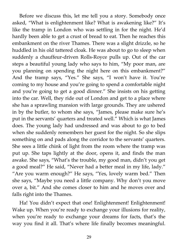Before we discuss this, let me tell you a story. Somebody once asked, "What is enlightenment like? What is awakening like?" It's like the tramp in London who was settling in for the night. He'd hardly been able to get a crust of bread to eat. Then he reaches this embankment on the river Thames. There was a slight drizzle, so he huddled in his old tattered cloak. He was about to go to sleep when suddenly a chauffeur-driven Rolls-Royce pulls up. Out of the car steps a beautiful young lady who says to him, "My poor man, are you planning on spending the night here on this embankment?" And the tramp says, "Yes." She says, "I won't have it. You're coming to my house and you're going to spend a comfortable night and you're going to get a good dinner." She insists on his getting into the car. Well, they ride out of London and get to a place where she has a sprawling mansion with large grounds. They are ushered in by the butler, to whom she says, "James, please make sure he's put in the servants' quarters and treated well." Which is what James does. The young lady had undressed and was about to go to bed when she suddenly remembers her guest for the night. So she slips something on and pads along the corridor to the servants' quarters. She sees a little chink of light from the room where the tramp was put up. She taps lightly at the door, opens it, and finds the man awake. She says, "What's the trouble, my good man, didn't you get a good meal?" He said, "Never had a better meal in my life, lady." "Are you warm enough?" He says, "Yes, lovely warm bed." Then she says, "Maybe you need a little company. Why don't you move over a, bit." And she comes closer to him and he moves over and falls right into the Thames.

Ha! You didn't expect that one! Enlightenment! Enlightenment! Wake up. When you're ready to exchange your illusions for reality, when you're ready to exchange your dreams for facts, that's the way you find it all. That's where life finally becomes meaningful.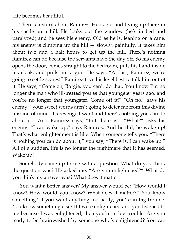Life becomes beautiful.

There's a story about Ramirez. He is old and living up there in his castle on a hill. He looks out the window (he's in bed and paralyzed) and he sees his enemy. Old as he is, leaning on a cane, his enemy is climbing up the hill  $-$  slowly, painfully. It takes him about two and a half hours to get up the hill. There's nothing Ramirez can do because the servants have the day off. So his enemy opens the door, comes straight to the bedroom, puts his hand inside his cloak, and pulls out a gun. He says, "At last, Ramirez, we're going to settle scores!" Ramirez tries his level best to talk him out of it. He says, "Come on, Borgia, you can't do that. You know I'm no longer the man who ill-treated you as that youngster years ago, and you're no longer that youngster. Come off it!" "Oh no," says his enemy, "your sweet words aren't going to deter me from this divine mission of mine. It's revenge I want and there's nothing you can do about it." And Ramirez says, "But there is!" "What?" asks his enemy. "I can wake up," says Ramirez. And he did; he woke up! That's what enlightenment is like. When someone tells you, "There is nothing you can do about it," you say, "There is, I can wake up!" All of a sudden, life is no longer the nightmare that it has seemed. Wake up!

Somebody came up to me with a question. What do you think the question was? He asked me, "Are you enlightened?" What do you think my answer was? What does it matter!

You want a better answer? My answer would be: "How would I know? How would you know? What does it matter?" You know something? If you want anything too badly, you're in big trouble. You know something else? If I were enlightened and you listened to me because I was enlightened, then you're in big trouble. Are you ready to be brainwashed by someone who's enlightened? You can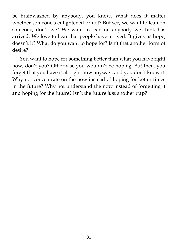be brainwashed by anybody, you know. What does it matter whether someone's enlightened or not? But see, we want to lean on someone, don't we? We want to lean on anybody we think has arrived. We love to hear that people have arrived. It gives us hope, doesn't it? What do you want to hope for? Isn't that another form of desire?

You want to hope for something better than what you have right now, don't you? Otherwise you wouldn't be hoping. But then, you forget that you have it all right now anyway, and you don't know it. Why not concentrate on the now instead of hoping for better times in the future? Why not understand the now instead of forgetting it and hoping for the future? Isn't the future just another trap?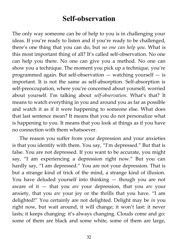### **Self-observation**

The only way someone can be of help to you is in challenging your ideas. If you're ready to listen and if you're ready to be challenged, there's one thing that you can do, but *no one can help you*. What is this most important thing of all? It's called self-observation. No one can help you there. No one can give you a method. No one can show you a technique. The moment you pick up a technique, you're programmed again. But self-observation — watching yourself — is important. It is not the same as self-absorption. Self-absorption is self-preoccupation, where you're concerned about yourself, worried about yourself. I'm talking about *self-observation*. What's that? It means to watch everything in you and around you as far as possible and watch it as if it were happening to someone else. What does that last sentence mean? It means that you do not personalize what is happening to you. It means that you look at things as if you have no connection with them whatsoever.

The reason you suffer from your depression and your anxieties is that you identify with them. You say, "I'm depressed." But that is false. You are not depressed. If you want to be accurate, you might say, "I am experiencing a depression right now." But you can hardly say, "I am depressed." You are not your depression. That is but a strange kind of trick of the mind, a strange kind of illusion. You have deluded yourself into thinking — though you are not aware of it — that you *are* your depression, that you *are* your anxiety, that you *are* your joy or the thrills that you have. "I am delighted!" You certainly are not delighted. Delight may be *in* you right now, but wait around, it will change; it won't last: it never lasts; it keeps changing: it's always changing. Clouds come and go: some of them are black and some white, some of them are large,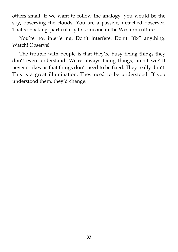others small. If we want to follow the analogy, you would be the sky, observing the clouds. You are a passive, detached observer. That's shocking, particularly to someone in the Western culture.

You're not interfering. Don't interfere. Don't "fix" anything. Watch! Observe!

The trouble with people is that they're busy fixing things they don't even understand. We're always fixing things, aren't we? It never strikes us that things don't need to be fixed. They really don't. This is a great illumination. They need to be understood. If you understood them, they'd change.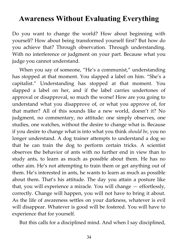### **Awareness Without Evaluating Everything**

Do you want to change the world? How about beginning with yourself? How about being transformed yourself first? But how do you achieve that? Through observation. Through understanding. With no interference or judgment on your part. Because what you judge you cannot understand.

When you say of someone, "He's a communist," understanding has stopped at that moment. You slapped a label on him. "She's a capitalist." Understanding has stopped at that moment. You slapped a label on her, and if the label carries undertones of approval or disapproval, so much the worse! How are you going to understand what you disapprove of, or what you approve of, for that matter? All of this sounds like a new world, doesn't it? No judgment, no commentary, no attitude: one simply observes, one studies, one watches, without the desire to change what is. Because if you desire to change what is into what you think *should be*, you no longer understand. A dog trainer attempts to understand a dog so that he can train the dog to perform certain tricks. A scientist observes the behavior of ants with no further end in view than to study ants, to learn as much as possible about them. He has no other aim. He's not attempting to train them or get anything out of them. He's interested in ants, he wants to learn as much as possible about them. That's his attitude. The day you attain a posture like that, you will experience a miracle. You will change — effortlessly, correctly. Change will happen, you will not have to bring it about. As the life of awareness settles on your darkness, whatever is evil will disappear. Whatever is good will be fostered. You will have to experience that for yourself.

But this calls for a disciplined mind. And when I say disciplined,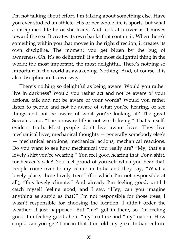I'm not talking about effort. I'm talking about something else. Have you ever studied an athlete. His or her whole life is sports, but what a disciplined life he or she leads. And look at a river as it moves toward the sea. It creates its own banks that contain it. When there's something within you that moves in the right direction, it creates its own discipline. The moment you get bitten by the bug of awareness. Oh, it's so delightful! It's the most delightful thing in the world; the most important, the most delightful. There's nothing so important in the world as awakening. Nothing! And, of course, it is also discipline in its own way.

There's nothing so delightful as being aware. Would you rather live in darkness? Would you rather act and not be aware of your actions, talk and not be aware of your words? Would you rather listen to people and not be aware of what you're hearing, or see things and not be aware of what you're looking at? The great Socrates said, "The unaware life is not worth living." That's a selfevident truth. Most people don't live aware lives. They live mechanical lives, mechanical thoughts — generally somebody else's — mechanical emotions, mechanical actions, mechanical reactions. Do you want to see how mechanical you really are? "My, that's a lovely shirt you're wearing." You feel good hearing that. For a shirt, for heaven's sake! You feel proud of yourself when you hear that. People come over to my center in India and they say, "What a lovely place, these lovely trees" (for which I'm not responsible at all), "this lovely climate." And already I'm feeling good, until I catch myself feeling good, and I say, "Hey, can you imagine anything as stupid as that?" I'm not responsible for those trees; I wasn't responsible for choosing the location. I didn't order the weather; it just happened. But "me" got in there, so I'm feeling good. I'm feeling good about "my" culture and "my" nation. How stupid can you get? I mean that. I'm told my great Indian culture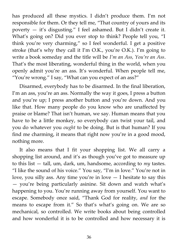has produced all these mystics. I didn't produce them. I'm not responsible for them. Or they tell me, "That country of yours and its poverty — it's disgusting." I feel ashamed. But I didn't create it. What's going on? Did you ever stop to think? People tell you, "I think you're very charming," so I feel wonderful. I get a positive stroke (that's why they call it I'm O.K., you're O.K.). I'm going to write a book someday and the title will be *I'm an Ass, You're an Ass*. That's the most liberating, wonderful thing in the world, when you openly admit you're an ass. It's wonderful. When people tell me, "You're wrong." I say, "What can you expect of an ass?"

Disarmed, everybody has to be disarmed. In the final liberation, I'm an ass, you're an ass. Normally the way it goes, I press a button and you're up; I press another button and you're down. And you like that. How many people do you know who are unaffected by praise or blame? That isn't human, we say. Human means that you have to be a little monkey, so everybody can twist your tail, and you do whatever you *ought* to be doing. But is that human? If you find me charming, it means that right now you're in a good mood, nothing more.

It also means that I fit your shopping list. We all carry a shopping list around, and it's as though you've got to measure up to this list — tall, um, dark, um, handsome, according to *my* tastes. "I like the sound of his voice." You say, "I'm in love." You're not in love, you silly ass. Any time you're in love  $-$  I hesitate to say this — you're being particularly asinine. Sit down and watch what's happening to you. You're running away from yourself. You want to escape. Somebody once said, "Thank God for reality, *and* for the means to escape from it." So that's what's going on. We are so mechanical, so controlled. We write books about being controlled and how wonderful it is to be controlled and how necessary it is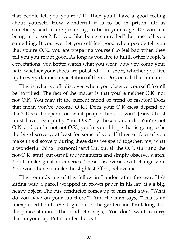that people tell you you're O.K. Then you'll have a good feeling about yourself. How wonderful it is to be in prison! Or as somebody said to me yesterday, to be in your cage. Do you like being in prison? Do you like being controlled? Let me tell you something: If you ever let yourself feel good when people tell you that you're O.K., you are preparing yourself to feel bad when they tell you you're not good. As long as you live to fulfill other people's expectations, you better watch what you wear, how you comb your hair, whether your shoes are polished — in short, whether you live up to every damned expectation of theirs. Do you call that human?

This is what you'll discover when you observe yourself! You'll be horrified! The fact of the matter is that you're neither O.K. nor not O.K. You may fit the current mood or trend or fashion! Does that mean you've become O.K.? Does your O.K.-ness depend on that? Does it depend on what people think of you? Jesus Christ must have been pretty "not O.K." by those standards. You're not O.K. and you're not not O.K., you're you. I hope that is going to be the big discovery, at least for some of you. If three or four of you make this discovery during these days we spend together, my, what a wonderful thing! Extraordinary! Cut out all the O.K. stuff and the not-O.K. stuff; cut out all the judgments and simply observe, watch. You'll make great discoveries. These discoveries will change you. You won't have to make the slightest effort, believe me.

This reminds me of this fellow in London after the war. He's sitting with a parcel wrapped in brown paper in his lap; it's a big, heavy object. The bus conductor comes up to him and says, "What do you have on your lap there?" And the man says, "This is an unexploded bomb. We dug it out of the garden and I'm taking it to the police station." The conductor says, "You don't want to carry that on your lap. Put it under the seat."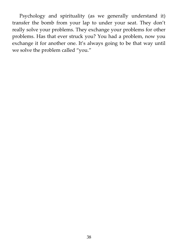Psychology and spirituality (as we generally understand it) transfer the bomb from your lap to under your seat. They don't really solve your problems. They exchange your problems for other problems. Has that ever struck you? You had a problem, now you exchange it for another one. It's always going to be that way until we solve the problem called "you."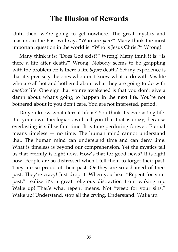#### **The Illusion of Rewards**

Until then, we're going to get nowhere. The great mystics and masters in the East will say, "Who are *you?*" Many think the most important question in the world is: "Who is Jesus Christ?" Wrong!

Many think it is: "Does God exist?" Wrong! Many think it is: "Is there a life after death?" Wrong! Nobody seems to be grappling with the problem of: Is there a life *before* death? Yet my experience is that it's precisely the ones who don't know what to do with *this* life who are all hot and bothered about what they are going to do with *another* life. One sign that you're awakened is that you don't give a damn about what's going to happen in the next life. You're not bothered about it; you don't care. You are not interested, period.

Do you know what eternal life is? You think it's everlasting life. But your own theologians will tell you that that is crazy, because everlasting is still within time. It is time perduring forever. Eternal means timeless — no time. The human mind cannot understand that. The human mind can understand time and can deny time. What is timeless is beyond our comprehension. Yet the mystics tell us that eternity is right now. How's that for good news? It is right now. People are so distressed when I tell them to forget their past. They are so proud of their past. Or they are so ashamed of their past. They're crazy! Just drop it! When you hear "Repent for your past," realize it's a great religious distraction from waking up. Wake up! That's what repent means. Not "weep for your sins." Wake up! Understand, stop all the crying. Understand! Wake up!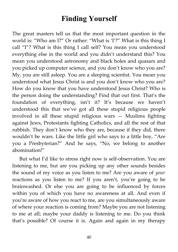# **Finding Yourself**

The great masters tell us that the most important question in the world is: "Who am I?" Or rather: "What is 'I'?" What is this thing I call "I"? What is this thing I call self? You mean you understood everything else in the world and you didn't understand this? You mean you understood astronomy and black holes and quasars and you picked up computer science, and you don't know who you are? My, you are still asleep. You are a sleeping scientist. You mean you understood what Jesus Christ is and you don't know who you are? How do you know that you have understood Jesus Christ? Who is the person doing the understanding? Find that out first. That's the foundation of everything, isn't it? It's because we haven't understood this that we've got all these stupid religious people involved in all these stupid religious wars — Muslims fighting against Jews, Protestants fighting Catholics, and all the rest of that rubbish. They don't know who they are, because if they did, there wouldn't be wars. Like the little girl who says to a little boy, "Are you a Presbyterian?" And he says, "No, we belong to another abomination!"

But what I'd like to stress right now is self-observation. You are listening to me, but are you picking up any other sounds besides the sound of my voice as you listen to me? Are you aware of *your* reactions as you listen to me? If you aren't, you're going to be brainwashed. Or else you are going to be influenced by forces within you of which you have no awareness at all. And even if you're aware of how you react to me, are you simultaneously aware of where your reaction is coming from? Maybe you are not listening to me at all; maybe your daddy is listening to me. Do you think that's possible? Of course it is. Again and again in my therapy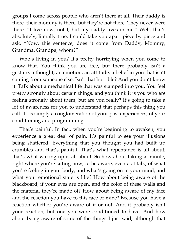groups I come across people who aren't there at all. Their daddy is there, their mommy is there, but they're not there. They never were there. "I live now, not I, but my daddy lives in me." Well, that's absolutely, literally true. I could take you apart piece by piece and ask, "Now, this sentence, does it come from Daddy, Mommy, Grandma, Grandpa, whom?"

Who's living in you? It's pretty horrifying when you come to know that. You think you are free, but there probably isn't a gesture, a thought, an emotion, an attitude, a belief in you that isn't coming from someone else. Isn't that horrible? And you don't know it. Talk about a mechanical life that was stamped into you. You feel pretty strongly about certain things, and you think it is you who are feeling strongly about them, but are you really? It's going to take a lot of awareness for you to understand that perhaps this thing you call "I" is simply a conglomeration of your past experiences, of your conditioning and programming.

That's painful. In fact, when you're beginning to awaken, you experience a great deal of pain. It's painful to see your illusions being shattered. Everything that you thought you had built up crumbles and that's painful. That's what repentance is all about; that's what waking up is all about. So how about taking a minute, right where you're sitting now, to be aware, even as I talk, of what you're feeling in your body, and what's going on in your mind, and what your emotional state is like? How about being aware of the blackboard, if your eyes are open, and the color of these walls and the material they're made of? How about being aware of my face and the reaction you have to this face of mine? Because you have a reaction whether you're aware of it or not. And it probably isn't your reaction, but one you were conditioned to have. And how about being aware of some of the things I just said, although that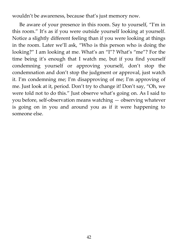wouldn't be awareness, because that's just memory now.

Be aware of your presence in this room. Say to yourself, "I'm in this room." It's as if you were outside yourself looking at yourself. Notice a slightly different feeling than if you were looking at things in the room. Later we'll ask, "Who is this person who is doing the looking?" I am looking at me. What's an "I"? What's "me"? For the time being it's enough that I watch me, but if you find yourself condemning yourself or approving yourself, don't stop the condemnation and don't stop the judgment or approval, just watch it. I'm condemning me; I'm disapproving of me; I'm approving of me. Just look at it, period. Don't try to change it! Don't say, "Oh, we were told not to do this." Just observe what's going on. As I said to you before, self-observation means watching — observing whatever is going on in you and around you as if it were happening to someone else.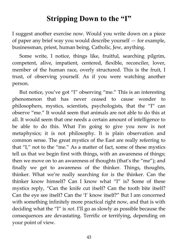## **Stripping Down to the "I"**

I suggest another exercise now. Would you write down on a piece of paper any brief way you would describe yourself — for example, businessman, priest, human being, Catholic, Jew, anything.

Some write, I notice, things like, fruitful, searching pilgrim, competent, alive, impatient, centered, flexible, reconciler, lover, member of the human race, overly structured. This is the fruit, I trust, of observing yourself. As if you were watching another person.

But notice, you've got "I" observing "me." This is an interesting phenomenon that has never ceased to cause wonder to philosophers, mystics, scientists, psychologists, that the "I" can observe "me." It would seem that animals are not able to do this at all. It would seem that one needs a certain amount of intelligence to be able to do this. What I'm going to give you now is not metaphysics; it is not philosophy. It is plain observation and common sense. The great mystics of the East are really referring to that "I," not to the "me." As a matter of fact, some of these mystics tell us that we begin first with things, with an awareness of things; then we move on to an awareness of thoughts (that's the "me"); and finally we get to awareness of the thinker. Things, thoughts, thinker. What we're really searching for is the thinker. Can the thinker know himself? Can I know what "I" is? Some of these mystics reply, "Can the knife cut itself? Can the tooth bite itself? Can the eye see itself? Can the 'I' know itself?" But I am concerned with something infinitely more practical right now, and that is with deciding what the "I" is *not*. I'll go as slowly as possible because the consequences are devastating. Terrific or terrifying, depending on your point of view.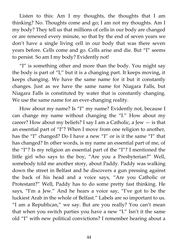Listen to this: Am I my thoughts, the thoughts that I am thinking? No. Thoughts come and go; I am not my thoughts. Am I my body? They tell us that millions of cells in our body are changed or are renewed every minute, so that by the end of seven years we don't have a single living cell in our body that was there seven years before. Cells come and go. Cells arise and die. But "I" seems to persist. So am I my body? Evidently not!

"I" is something other and more than the body. You might say the body is part of "I," but it is a changing part. It keeps moving, it keeps changing. We have the same name for it but it constantly changes. Just as we have the same name for Niagara Falls, but Niagara Falls is constituted by water that is constantly changing. We use the same name for an ever-changing reality.

How about my name? Is "I" my name? Evidently not, because I can change my name without changing the "I." How about my career? How about my beliefs? I say I am a Catholic, a Jew  $-$  is that an essential part of "I"? When I move from one religion to another, has the "I" changed? Do I have a new "I" or is it the same "I" that has changed? In other words, is my name an essential part of me, of the "I"? Is my religion an essential part of the "I"? I mentioned the little girl who says to the boy, "Are you a Presbyterian?" Well, somebody told me another story, about Paddy. Paddy was walking down the street in Belfast and he discovers a gun pressing against the back of his head and a voice says, "Are you Catholic or Protestant?" Well, Paddy has to do some pretty fast thinking. He says, "I'm a Jew." And he hears a voice say, "I've got to be the luckiest Arab in the whole of Belfast." Labels are so important to us. "I am a Republican," we say. But are you really? You can't mean that when you switch parties you have a new "I." Isn't it the same old "I" with new political convictions? I remember hearing about a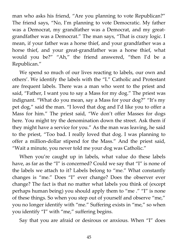man who asks his friend, "Are you planning to vote Republican?" The friend says, "No, I'm planning to vote Democratic. My father was a Democrat, my grandfather was a Democrat, and my greatgrandfather was a Democrat." The man says, "That is crazy logic. I mean, if your father was a horse thief, and your grandfather was a horse thief, and your great-grandfather was a horse thief, what would you be?" "Ah," the friend answered, "then I'd be a Republican."

We spend so much of our lives reacting to labels, our own and others'. We identify the labels with the "I." Catholic and Protestant are frequent labels. There was a man who went to the priest and said, "Father, I want you to say a Mass for my dog." The priest was indignant. "What do you mean, say a Mass for your dog?" "It's my pet dog," said the man. "I loved that dog and I'd like you to offer a Mass for him." The priest said, "We don't offer Masses for dogs here. You might try the denomination down the street. Ask them if they might have a service for you." As the man was leaving, he said to the priest, "Too bad. I really loved that dog. I was planning to offer a million-dollar stipend for the Mass." And the priest said, "Wait a minute, you never told me your dog was Catholic."

When you're caught up in labels, what value do these labels have, as far as the "I" is concerned? Could we say that "I" is none of the labels we attach to it? Labels belong to "me." What constantly changes is "me." Does "I" ever change? Does the observer ever change? The fact is that no matter what labels you think of (except perhaps human being) you should apply them to "me ." "I" is none of these things. So when you step out of yourself and observe "me," you no longer identify with "me." Suffering exists in "me," so when you identify "I" with "me," suffering begins.

Say that you are afraid or desirous or anxious. When "I" does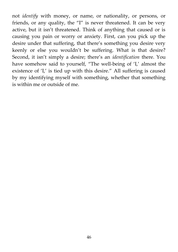not *identify* with money, or name, or nationality, or persons, or friends, or any quality, the "I" is never threatened. It can be very active, but it isn't threatened. Think of anything that caused or is causing you pain or worry or anxiety. First, can you pick up the desire under that suffering, that there's something you desire very keenly or else you wouldn't be suffering. What is that desire? Second, it isn't simply a desire; there's an *identification* there. You have somehow said to yourself, "The well-being of 'I,' almost the existence of 'I,' is tied up with this desire." All suffering is caused by my identifying myself with something, whether that something is within me or outside of me.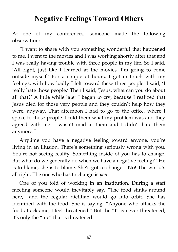#### **Negative Feelings Toward Others**

At one of my conferences, someone made the following observation:

"I want to share with you something wonderful that happened to me. I went to the movies and I was working shortly after that and I was really having trouble with three people in my life. So I said, 'All right, just like I learned at the movies, I'm going to come outside myself.' For a couple of hours, I got in touch with my feelings, with how badly I felt toward these three people. I said, 'I really hate those people.' Then I said, 'Jesus, what can you do about all that?' A little while later I began to cry, because I realized that Jesus died for those very people and they couldn't help how they were, anyway. That afternoon I had to go to the office, where I spoke to those people. I told them what my problem was and they agreed with me. I wasn't mad at them and I didn't hate them anymore."

Anytime you have a negative feeling toward anyone, you're living in an illusion. There's something seriously wrong with you. You're not seeing reality. Something inside of you has to change. But what do we generally do when we have a negative feeling? "He is to blame, she is to blame. She's got to change." No! The world's all right. The one who has to change is *you*.

One of you told of working in an institution. During a staff meeting someone would inevitably say, "The food stinks around here," and the regular dietitian would go into orbit. She has identified with the food. She is saying, "Anyone who attacks the food attacks me; I feel threatened." But the "I" is never threatened; it's only the "me" that is threatened.

47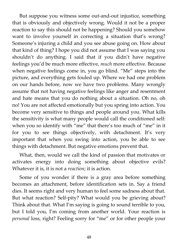But suppose you witness some out-and-out injustice, something that is obviously and objectively wrong. Would it not be a proper reaction to say this should not be happening? Should you somehow want to involve yourself in correcting a situation that's wrong? Someone's injuring a child and you see abuse going on. How about that kind of thing? I hope you did not assume that I was saying you shouldn't do anything. I said that if you didn't have negative feelings you'd be much more effective, *much* more effective. Because when negative feelings come in, you go blind. "Me" steps into the picture, and everything gets fouled up. Where we had one problem on our hands before, now we have two problems. Many wrongly assume that not having negative feelings like anger and resentment and hate means that you do nothing about a situation. Oh no, oh no! You are not affected emotionally but you spring into action. You become very sensitive to things and people around you. What kills the sensitivity is what many people would call the conditioned self: when you so identify with "me" that there's too much of "me" in it for you to see things objectively, with detachment. It's very important that when you swing into action, you be able to see things with detachment. But negative emotions prevent that.

What, then, would we call the kind of passion that motivates or activates energy into doing something about objective evils? Whatever it is, it is not a *reaction*; it is action.

Some of you wonder if there is a gray area before something becomes an attachment, before identification sets in. Say a friend dies. It seems right and very human to feel some sadness about that. But what reaction? Self-pity? What would you be grieving about? Think about that. What I'm saying is going to sound terrible to you, but I told you, I'm coming from another world. Your reaction is *personal* loss, right? Feeling sorry for "me" or for other people your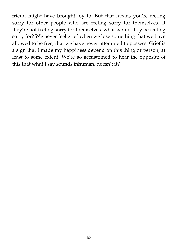friend might have brought joy to. But that means you're feeling sorry for other people who are feeling sorry for themselves. If they're not feeling sorry for themselves, what would they be feeling sorry for? We never feel grief when we lose something that we have allowed to be free, that we have never attempted to possess. Grief is a sign that I made my happiness depend on this thing or person, at least to some extent. We're so accustomed to hear the opposite of this that what I say sounds inhuman, doesn't it?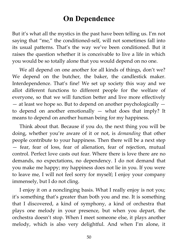## **On Dependence**

But it's what all the mystics in the past have been telling us. I'm not saying that "me," the conditioned-self, will not sometimes fall into its usual patterns. That's the way we've been conditioned. But it raises the question whether it is conceivable to live a life in which you would be so totally alone that you would depend on no one.

We all depend on one another for all kinds of things, don't we? We depend on the butcher, the baker, the candlestick maker. Interdependence. That's fine! We set up society this way and we allot different functions to different people for the welfare of everyone, so that we will function better and live more effectively — at least we hope so. But to depend on another psychologically to depend on another emotionally — what does that imply? It means to depend on another human being for my happiness.

Think about that. Because if you do, the next thing you will be doing, whether you're aware of it or not, is *demanding* that other people contribute to your happiness. Then there will be a next step — fear, fear of loss, fear of alienation, fear of rejection, mutual control. Perfect love casts out fear. Where there is love there are no demands, no expectations, no dependency. I do not demand that you make me happy; my happiness does not lie in you. If you were to leave me, I will not feel sorry for myself; I enjoy your company immensely, but I do not cling.

I enjoy it on a nonclinging basis. What I really enjoy is not you; it's something that's greater than both you and me. It is something that I discovered, a kind of symphony, a kind of orchestra that plays one melody in your presence, but when you depart, the orchestra doesn't stop. When I meet someone else, it plays another melody, which is also very delightful. And when I'm alone, it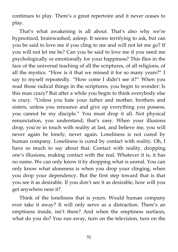continues to play. There's a great repertoire and it never ceases to play.

That's what awakening is all about. That's also why we're hypnotized, brainwashed, asleep. It seems terrifying to ask, but can you be said to love me if you cling to me and will not let me go? If you will not let me be? Can you be said to love me if you need me psychologically or emotionally for your happiness? This flies in the face of the universal teaching of all the scriptures, of all religions, of all the mystics. "How is it that we missed it for so many years?" I say to myself repeatedly. "How come I didn't see it?" When you read those radical things in the scriptures, you begin to wonder: Is this man crazy? But after a while you begin to think everybody else is crazy. "Unless you hate your father and mother, brothers and sisters, unless you renounce and give up everything you possess, you cannot be my disciple." You must drop it all. Not physical renunciation, you understand; that's easy. When your illusions drop, you're in touch with reality at last, and believe me, you will never again be lonely, never again. Loneliness is not cured by human company. Loneliness is cured by contact with reality. Oh, I have so much to say about that. Contact with reality, dropping one's illusions, making contact with the real. Whatever it is, it has no name. We can only know it by dropping what is unreal. You can only know what aloneness is when you drop your clinging, when you drop your dependency. But the first step toward that is that you see it as desirable. If you don't see it as desirable, how will you get anywhere near it?

Think of the loneliness that is yours. Would human company ever take it away? It will only serve as a distraction. There's an emptiness inside, isn't there? And when the emptiness surfaces, what do you do? You run away, turn on the television, turn on the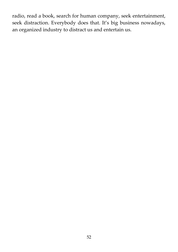radio, read a book, search for human company, seek entertainment, seek distraction. Everybody does that. It's big business nowadays, an organized industry to distract us and entertain us.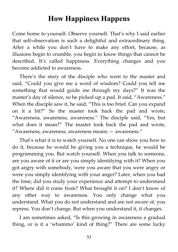# **How Happiness Happens**

Come home to yourself. Observe yourself. That's why I said earlier that self-observation is such a delightful and extraordinary thing. After a while you don't have to make any effort, because, as illusions begin to crumble, you begin to know things that cannot be described. It's called happiness. Everything changes and you become addicted to awareness.

There's the story of the disciple who went to the master and said, "Could you give me a word of wisdom? Could you tell me something that would guide me through my days?" It was the master's day of silence, so he picked up a pad. It said, "Awareness." When the disciple saw it, he said, "This is too brief. Can you expand on it a bit?" So the master took back the pad and wrote, "Awareness, awareness, awareness." The disciple said, "Yes, but what does it mean?" The master took back the pad and wrote, "Awareness, awareness, awareness means — awareness."

That's what it is to watch yourself. No one can show you how to do it, because he would be giving you a technique, he would be programming you. But watch yourself. When you talk to someone, are you aware of it or are you simply identifying with it? When you got angry with somebody, were you aware that you were angry or were you simply identifying with your anger? Later, when you had the time, did you study your experience and attempt to understand it? Where did it come from? What brought it on? I don't know of any other way to awareness. You only change what you understand. What you do not understand and are not aware of, you repress. You don't change. But when you understand it, it changes.

I am sometimes asked, "Is this growing in awareness a gradual thing, or is it a 'whammo' kind of thing?" There are some lucky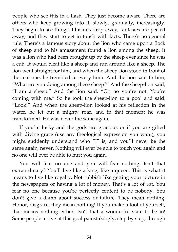people who see this in a flash. They just become aware. There are others who keep growing into it, slowly, gradually, increasingly. They begin to see things. Illusions drop away, fantasies are peeled away, and they start to get in touch with facts. There's no general rule. There's a famous story about the lion who came upon a flock of sheep and to his amazement found a lion among the sheep. It was a lion who had been brought up by the sheep ever since he was a cub. It would bleat like a sheep and run around like a sheep. The lion went straight for him, and when the sheep-lion stood in front of the real one, he trembled in every limb. And the lion said to him, "What are you doing among these sheep?" And the sheep-lion said, "I am a sheep." And the lion said, "Oh no you're not. You're coming with me." So he took the sheep-lion to a pool and said, "Look!" And when the sheep-lion looked at his reflection in the water, he let out a mighty roar, and in that moment he was transformed. He was never the same again.

If you're lucky and the gods are gracious or if you are gifted with divine grace (use any theological expression you want), you might suddenly understand who "I" is, and you'll never be the same again, never. Nothing will ever be able to touch you again and no one will ever be able to hurt you again.

You will fear no one and you will fear nothing. Isn't that extraordinary? You'll live like a king, like a queen. This is what it means to live like royalty. Not rubbish like getting your picture in the newspapers or having a lot of money. That's a lot of rot. You fear no one because you're perfectly content to be nobody. You don't give a damn about success or failure. They mean nothing. Honor, disgrace, they mean nothing! If you make a fool of yourself, that means nothing either. Isn't that a wonderful state to be in! Some people arrive at this goal painstakingly, step by step, through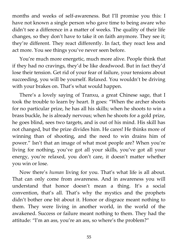months and weeks of self-awareness. But I'll promise you this: I have not known a single person who gave time to being aware who didn't see a difference in a matter of weeks. The quality of their life changes, so they don't have to take it on faith anymore. They see it; they're different. They react differently. In fact, they react less and act more. You see things you've never seen before.

You're much more energetic, much more alive. People think that if they had no cravings, they'd be like deadwood. But in fact they'd lose their tension. Get rid of your fear of failure, your tensions about succeeding, you will be yourself. Relaxed. You wouldn't be driving with your brakes on. That's what would happen.

There's a lovely saying of Tranxu, a great Chinese sage, that I took the trouble to learn by heart. It goes: "When the archer shoots for no particular prize, he has all his skills; when he shoots to win a brass buckle, he is already nervous; when he shoots for a gold prize, he goes blind, sees two targets, and is out of his mind. His skill has not changed, but the prize divides him. He cares! He thinks more of winning than of shooting, and the need to win drains him of power." Isn't that an image of what most people are? When you're living for nothing, you've got all your skills, you've got all your energy, you're relaxed, you don't care, it doesn't matter whether you win or lose.

Now there's *human* living for you. That's what life is all about. That can only come from awareness. And in awareness you will understand that honor doesn't mean a thing. It's a social convention, that's all. That's why the mystics and the prophets didn't bother one bit about it. Honor or disgrace meant nothing to them. They were living in another world, in the world of the awakened. Success or failure meant nothing to them. They had the attitude: "I'm an ass, you're an ass, so where's the problem?"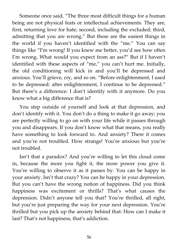Someone once said, "The three most difficult things for a human being are not physical feats or intellectual achievements. They are, first, returning love for hate; second, including the excluded; third, admitting that you are wrong." But these are the easiest things in the world if you haven't identified with the "me." You can say things like "I'm wrong! If you knew me better, you'd see how often I'm wrong. What would you expect from an ass?" But if I haven't identified with these aspects of "me," you can't hurt me. Initially, the old conditioning will kick in and you'll be depressed and anxious. You'll grieve, cry, and so on. "Before enlightenment, I used to be depressed: after enlightenment, I continue to be depressed." But there's a difference: I don't identify with it anymore. Do you know what a big difference that is?

You step outside of yourself and look at that depression, and don't identify with it. You don't do a thing to make it go away; you are perfectly willing to go on with your life while it passes through you and disappears. If you don't know what that means, you really have something to look forward to. And anxiety? There it comes and you're not troubled. How strange! You're anxious but you're not troubled.

Isn't that a paradox? And you're willing to let this cloud come in, because the more you fight it, the more power you give it. You're willing to observe it as it passes by. You can be happy in your anxiety. Isn't that crazy? You can be happy in your depression. But you can't have the wrong notion of happiness. Did you think happiness was excitement or thrills? That's what causes the depression. Didn't anyone tell you that? You're thrilled, all right, but you're just preparing the way for your next depression. You're thrilled but you pick up the anxiety behind that: How can I make it last? That's not happiness, that's addiction.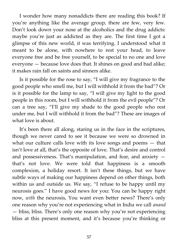I wonder how many nonaddicts there are reading this book? If you're anything like the average group, there are few, very few. Don't look down your nose at the alcoholics and the drug addicts: maybe you're just as addicted as they are. The first time I got a glimpse of this new world, it was terrifying. I understood what it meant to be alone, with nowhere to rest your head, to leave everyone free and be free yourself, to be special to no one and love everyone — because love does that. It shines on good and bad alike; it makes rain fall on saints and sinners alike.

Is it possible for the rose to say, "I will give my fragrance to the good people who smell me, but I will withhold it from the bad"? Or is it possible for the lamp to say, "I will give my light to the good people in this room, but I will withhold it from the evil people"? Or can a tree say, "I'll give my shade to the good people who rest under me, but I will withhold it from the bad"? These are images of what love is about.

It's been there all along, staring us in the face in the scriptures, though we never cared to see it because we were so drowned in what our culture calls love with its love songs and poems — that isn't love at all, that's the opposite of love. That's desire and control and possessiveness. That's manipulation, and fear, and anxiety that's not love. We were told that happiness is a smooth complexion, a holiday resort. It isn't these things, but we have subtle ways of making our happiness depend on other things, both within us and outside us. We say, "I refuse to be happy until my neurosis goes." I have good news for you: You can be happy right now, *with* the neurosis, You want even better news? There's only one reason why you're not experiencing what in India we call *anand* — bliss, bliss. There's only one reason why you're not experiencing bliss at this present moment, and it's because you're thinking or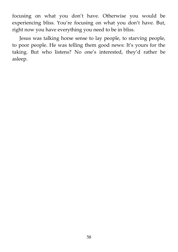focusing on what you don't have. Otherwise you would be experiencing bliss. You're focusing on what you don't have. But, right now you have everything you need to be in bliss.

Jesus was talking horse sense to lay people, to starving people, to poor people. He was telling them good news: It's yours for the taking. But who listens? No one's interested, they'd rather be asleep.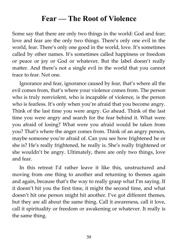#### **Fear — The Root of Violence**

Some say that there are only two things in the world: God and fear; love and fear are the only two things. There's only one evil in the world, fear. There's only one good in the world, love. It's sometimes called by other names. It's sometimes called happiness or freedom or peace or joy or God or whatever. But the label doesn't really matter. And there's not a single evil in the world that you cannot trace to fear. Not one.

Ignorance and fear, ignorance caused by fear, that's where all the evil comes from, that's where your violence comes from. The person who is truly nonviolent, who is incapable of violence, is the person who is fearless. It's only when you're afraid that you become angry. Think of the last time you were angry. Go ahead. Think of the last time you were angry and search for the fear behind it. What were you afraid of losing? What were you afraid would be taken from you? That's where the anger comes from. Think of an angry person, maybe someone you're afraid of. Can you see how frightened he or she is? He's really frightened, he really is. She's really frightened or she wouldn't be angry. Ultimately, there are only two things, love and fear.

In this retreat I'd rather leave it like this, unstructured and moving from one thing to another and returning to themes again and again, because that's the way to really grasp what I'm saying. If it doesn't hit you the first time, it might the second time, and what doesn't hit one person might hit another. I've got different themes, but they are all about the same thing. Call it awareness, call it love, call it spirituality or freedom or awakening or whatever. It really is the same thing.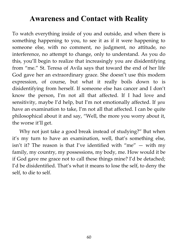## **Awareness and Contact with Reality**

To watch everything inside of you and outside, and when there is something happening to you, to see it as if it were happening to someone else, with no comment, no judgment, no attitude, no interference, no attempt to change, only to understand. As you do this, you'll begin to realize that increasingly you are disidentifying from "me." St. Teresa of Avila says that toward the end of her life God gave her an extraordinary grace. She doesn't use this modern expression, of course, but what it really boils down to is disidentifying from herself. If someone else has cancer and I don't know the person, I'm not all that affected. If I had love and sensitivity, maybe I'd help, but I'm not emotionally affected. If *you* have an examination to take, I'm not all that affected. I can be quite philosophical about it and say, "Well, the more you worry about it, the worse it'll get.

Why not just take a good break instead of studying?" But when it's my turn to have an examination, well, that's something else, isn't it? The reason is that I've identified with "me" — with my family, my country, my possessions, my body, me. How would it be if God gave me grace not to call these things mine? I'd be detached; I'd be disidentified. That's what it means to lose the self, to deny the self, to die to self.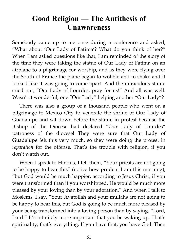## **Good Religion — The Antithesis of Unawareness**

Somebody came up to me once during a conference and asked, "What about 'Our Lady of Fatima'? What do you think of her?" When I am asked questions like that, I am reminded of the story of the time they were taking the statue of Our Lady of Fatima on an airplane to a pilgrimage for worship, and as they were flying over the South of France the plane began to wobble and to shake and it looked like it was going to come apart. And the miraculous statue cried out, "Our Lady of Lourdes, pray for us!" And all was well. Wasn't it wonderful, one "Our Lady" helping another "Our Lady"?

There was also a group of a thousand people who went on a pilgrimage to Mexico City to venerate the shrine of Our Lady of Guadalupe and sat down before the statue in protest because the Bishop of the Diocese had declared "Our Lady of Lourdes" patroness of the diocese! They were sure that Our Lady of Guadalupe felt this very much, so they were doing the protest in *reparation* for the offense. That's the trouble with religion, if you don't watch out.

When I speak to Hindus, I tell them, "Your priests are not going to be happy to hear this" (notice how prudent I am this morning), "but God would be much happier, according to Jesus Christ, if you were transformed than if you worshipped. He would be much more pleased by your loving than by your adoration." And when I talk to Moslems, I say, "Your Ayatollah and your mullahs are not going to be happy to hear this, but God is going to be much more pleased by your being transformed into a loving person than by saying, "Lord, Lord." It's infinitely more important that you be waking up. That's spirituality, that's everything. If you have that, you have God. Then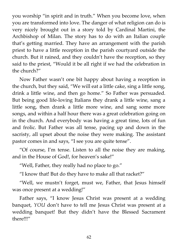you worship "in spirit and in truth." When you become love, when you are transformed into love. The danger of what religion can do is very nicely brought out in a story told by Cardinal Martini, the Archbishop of Milan. The story has to do with an Italian couple that's getting married. They have an arrangement with the parish priest to have a little reception in the parish courtyard outside the church. But it rained, and they couldn't have the reception, so they said to the priest, "Would it be all right if we had the celebration in the church?"

Now Father wasn't one bit happy about having a reception in the church, but they said, "We will eat a little cake, sing a little song, drink a little wine, and then go home." So Father was persuaded. But being good life-loving Italians they drank a little wine, sang a little song, then drank a little more wine, and sang some more songs, and within a half hour there was a great celebration going on in the church. And everybody was having a great time, lots of fun and frolic. But Father was all tense, pacing up and down in the sacristy, all upset about the noise they were making. The assistant pastor comes in and says, "I see you are quite tense".

"Of course, I'm tense. Listen to all the noise they are making, and in the House of God!, for heaven's sake!"

"Well, Father, they really had no place to go."

"I know that! But do they have to make all that racket?"

"Well, we mustn't forget, must we, Father, that Jesus himself was once present at a wedding!"

Father says, "I know Jesus Christ was present at a wedding banquet, *YOU* don't have to tell me Jesus Christ was present at a wedding banquet! But they didn't have the Blessed Sacrament there!!!"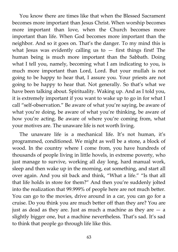You know there are times like that when the Blessed Sacrament becomes more important than Jesus Christ. When worship becomes more important than love, when the Church becomes more important than life. When God becomes more important than the neighbor. And so it goes on. That's the danger. To my mind this is what Jesus was evidently calling us to  $-$  first things first! The human being is much more important than the Sabbath. Doing what I tell you, namely, becoming what I am indicating to you, is much more important than Lord, Lord. But your mullah is not going to be happy to hear that, I assure you. Your priests are not going to be happy to hear that. Not generally. So that's what we have been talking about. Spirituality. Waking up. And as I told you, it is extremely important if you want to wake up to go in for what I call "self-observation." Be aware of what you're saying, be aware of what you're doing, be aware of what you're thinking, be aware of how you're acting. Be aware of where you're coming from, what your motives are. The unaware life is not worth living.

The unaware life is a mechanical life. It's not human, it's programmed, conditioned. We might as well be a stone, a block of wood. In the country where I come from, you have hundreds of thousands of people living in little hovels, in extreme poverty, who just manage to survive, working all day long, hard manual work, sleep and then wake up in the morning, eat something, and start all over again. And you sit back and think, "What a life." "Is that all that life holds in store for them?" And then you're suddenly jolted into the realization that 99.999% of people here are not much better. You can go to the movies, drive around in a car, you can go for a cruise. Do you think you are much better off than they are? You are just as dead as they are. Just as much a machine as they are  $-$  a slightly bigger one, but a machine nevertheless. That's sad. It's sad to think that people go through life like this.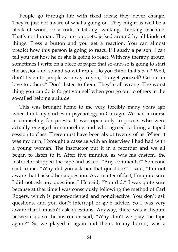People go through life with fixed ideas; they never change. They're just not aware of what's going on. They might as well be a block of wood, or a rock, a talking, walking, thinking machine. That's not human. They are puppets, jerked around by all kinds of things. Press a button and you get a reaction. You can almost predict how this person is going to react. If I study a person, I can tell you just how he or she is going to react. With my therapy group, sometimes I write on a piece of paper that so-and-so is going to start the session and so-and-so will reply. Do you think that's bad? Well, don't listen to people who say to you, "Forget yourself! Go out in love to others." Don't listen to them! They're all wrong. The worst thing you can do is forget yourself when you go out to others in the so-called helping attitude.

This was brought home to me very forcibly many years ago when I did my studies in psychology in Chicago. We had a course in counseling for priests. It was open only to priests who were actually engaged in counseling and who agreed to bring a taped session to class. There must have been about twenty of us. When it was my turn, I brought a cassette with an interview I had had with a young woman. The instructor put it in a recorder and we all began to listen to it. After five minutes, as was his custom, the instructor stopped the tape and asked, "Any comments?" Someone said to me, "Why did you ask her that question?" I said, "I'm not aware that I asked her a question. As a matter of fact, I'm quite sure I did not ask any questions." He said, "You did." I was quite sure because at that time I was consciously following the method of Carl Rogers, which is person-oriented and nondirective. You don't ask questions. and you don't interrupt or give advice. So I was very aware that I mustn't ask questions. Anyway, there was a dispute between us, so the instructor said, "Why don't we play the tape again?" So we played it again and there, to my horror, was a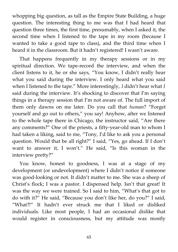whopping big question, as tall as the Empire State Building, a huge question. The interesting thing to me was that I had heard that question three times, the first time, presumably, when I asked it, the second time when I listened to the tape in my room (because I wanted to take a good tape to class), and the third time when I heard it in the classroom. But it hadn't registered! I wasn't aware.

That happens frequently in my therapy sessions or in my spiritual direction. We tape-record the interview, and when the client listens to it, he or she says, "You know, I didn't really hear what you said during the interview. I only heard what you said when I listened to the tape." More interestingly, *I* didn't hear what *I* said during the interview. It's shocking to discover that I'm saying things in a therapy session that I'm not aware of. The full import of them only dawns on me later. Do you call that *human*? "Forget yourself and go out to others," you say! Anyhow, after we listened to the whole tape there in Chicago, the instructor said, "Are there any comments?" One of the priests, a fifty-year-old man to whom I had taken a liking, said to me, "Tony, I'd like to ask you a personal question. Would that be all right?" I said, "Yes, go ahead. If I don't want to answer it, I won't." He said, "Is this woman in the interview pretty?"

You know, honest to goodness, I was at a stage of my development (or undevelopment) where I didn't notice if someone was good-looking or not. It didn't matter to me. She was a sheep of Christ's flock; I was a pastor. I dispensed help. Isn't that great! It was the way we were trained. So I said to him, "What's that got to do with it?" He said, "Because you don't like her, do you?" I said, "What?!" It hadn't ever struck me that I liked or disliked individuals. Like most people, I had an occasional dislike that would register in consciousness, but my attitude was mostly

65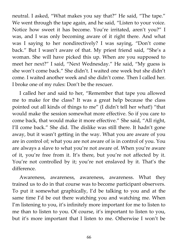neutral. I asked, "What makes you say that?" He said, "The tape." We went through the tape again, and he said, "Listen to your voice. Notice how sweet it has become. You're irritated, aren't you?" I was, and I was only becoming aware of it right there. And what was I saying to her nondirectively? I was saying, "Don't come back." But I wasn't aware of that. My priest friend said, "She's a woman. She will have picked this up. When are you supposed to meet her next?" I said, "Next Wednesday." He said, "My guess is she won't come back." She didn't. I waited one week but she didn't come. I waited another week and she didn't come. Then I called her. I broke one of my rules: Don't be the rescuer.

I called her and said to her, "Remember that tape you allowed me to make for the class? It was a great help because the class pointed out all kinds of things to me" (I didn't tell her what!) "that would make the session somewhat more effective. So if you care to come back, that would make it more effective." She said, "All right, I'll come back." She did. The dislike was still there. It hadn't gone away, but it wasn't getting in the way. What you are aware of you are in control of; what you are not aware of is in control of you. You are always a slave to what you're not aware of. When you're aware of it, you're free from it. It's there, but you're not affected by it. You're not controlled by it; you're not enslaved by it. That's the difference.

Awareness, awareness, awareness, awareness. What they trained us to do in that course was to become participant observers. To put it somewhat graphically, I'd be talking to you and at the same time I'd be out there watching you and watching me. When I'm listening to you, it's infinitely more important for me to listen to me than to listen to you. Of course, it's important to listen to you, but it's more important that I listen to me. Otherwise I won't be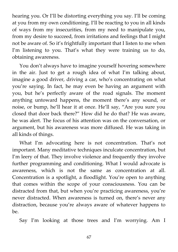hearing you. Or I'll be distorting everything you say. I'll be coming at you from my own conditioning. I'll be reacting to you in all kinds of ways from my insecurities, from my need to manipulate you, from my desire to succeed, from irritations and feelings that I might not be aware of. So it's frightfully important that I listen to me when I'm listening to you. That's what they were training us to do, obtaining awareness.

You don't always have to imagine yourself hovering somewhere in the air. Just to get a rough idea of what I'm talking about, imagine a good driver, driving a car, who's concentrating on what you're saying. In fact, he may even be having an argument with you, but he's perfectly aware of the road signals. The moment anything untoward happens, the moment there's any sound, or noise, or bump, he'll hear it at once. He'll say, "Are you sure you closed that door back there?" How did he do that? He was aware, he was alert. The focus of his attention was on the conversation, or argument, but his awareness was more diffused. He was taking in all kinds of things.

What I'm advocating here is not concentration. That's not important. Many meditative techniques inculcate concentration, but I'm leery of that. They involve violence and frequently they involve further programming and conditioning. What I would advocate is awareness, which is not the same as concentration at all. Concentration is a spotlight, a floodlight. You're open to anything that comes within the scope of your consciousness. You can be distracted from that, but when you're practicing awareness, you're never distracted. When awareness is turned on, there's never any distraction, because you're always aware of whatever happens to be.

Say I'm looking at those trees and I'm worrying. Am I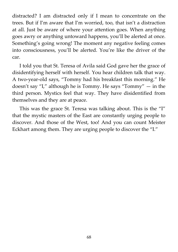distracted? I am distracted only if I mean to concentrate on the trees. But if I'm aware that I'm worried, too, that isn't a distraction at all. Just be aware of where your attention goes. When anything goes awry or anything untoward happens, you'll be alerted at once. Something's going wrong! The moment any negative feeling comes into consciousness, you'll be alerted. You're like the driver of the car.

I told you that St. Teresa of Avila said God gave her the grace of disidentifying herself with herself. You hear children talk that way. A two-year-old says, "Tommy had his breakfast this morning." He doesn't say "I," although he is Tommy. He says "Tommy" — in the third person. Mystics feel that way. They have disidentified from themselves and they are at peace.

This was the grace St. Teresa was talking about. This is the "I" that the mystic masters of the East are constantly urging people to discover. And those of the West, too! And you can count Meister Eckhart among them. They are urging people to discover the "I."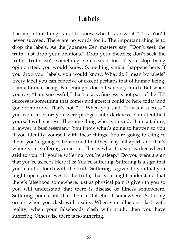#### **Labels**

The important thing is not to know who I is or what "I" is. You'll never succeed. There are no words for it. The important thing is to drop the labels. As the Japanese Zen masters say, "Don't seek the truth; just drop your opinions." Drop your theories; don't seek the truth. Truth isn't something you search for. If you stop being opinionated, you would know. Something similar happens here. If you drop your labels, you would know. What do I mean by labels? Every label you can conceive of except perhaps that of human being. I am a human being. Fair enough; doesn't say very much. But when you say, "I am successful," that's crazy. Success is not part of the "I." Success is something that comes and goes; it could be here today and gone tomorrow. That's not "I." When you said, "I was a success," you were in error; you were plunged into darkness. You identified yourself with success. The same thing when you said, "I am a failure, a lawyer, a businessman." You know what's going to happen to you if you identify yourself with these things. You're going to cling to them, you're going to be worried that they may fall apart, and that's where your suffering comes in. That is what I meant earlier when I said to you, "If you're suffering, you're asleep." Do you want a sign that you're asleep? Here it is: You're suffering. Suffering is a sign that you're out of touch with the truth. Suffering is given to you that you might open your eyes to the truth, that you might understand that there's falsehood somewhere, just as physical pain is given to you so you will understand that there is disease or illness somewhere. Suffering points out that there is falsehood somewhere. Suffering occurs when you clash with reality. When your illusions clash with reality, when your falsehoods clash with truth, then you have suffering. Otherwise there is no suffering.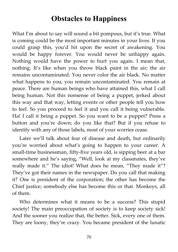### **Obstacles to Happiness**

What I'm about to say will sound a bit pompous, but it's true. What is coming could be the most important minutes in your lives. If you could grasp this, you'd hit upon the secret of awakening. You would be happy forever. You would never be unhappy again. Nothing would have the power to hurt you again. I mean that, nothing. It's like when you throw black paint in the air; the air remains uncontaminated. You never color the air black. No matter what happens to you, you remain uncontaminated. You remain at peace. There are human beings who have attained this, what I call being human. Not this nonsense of being a puppet, jerked about this way and that way, letting events or other people tell you how to feel. So you proceed to feel it and you call it being vulnerable. Ha! I call it being a puppet. So you want to be a puppet? Press a button and you're down; do you like that? But if you refuse to identify with any of those labels, most of your worries cease.

Later we'll talk about fear of disease and death, but ordinarily you're worried about what's going to happen to your career. A small-time businessman, fifty-five years old, is sipping beer at a bar somewhere and he's saying, "Well, look at my classmates, they've really made it." The idiot! What does he mean, "They made it"? They've got their names in the newspaper. Do you call that making it? One is president of the corporation; the other has become the Chief justice; somebody else has become this or that. Monkeys, all of them.

Who determines what it means to be a success? This stupid society! The main preoccupation of society is to keep society sick! And the sooner you realize that, the better. Sick, every one of them. They are loony, they're crazy. You became president of the lunatic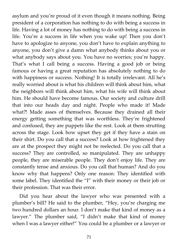asylum and you're proud of it even though it means nothing. Being president of a corporation has nothing to do with being a success in life. Having a lot of money has nothing to do with being a success in life. You're a success in life when you wake up! Then you don't have to apologize to anyone, you don't have to explain anything to anyone, you don't give a damn what anybody thinks about you or what anybody says about you. You have no worries; you're happy. That's what I call being a success. Having a good job or being famous or having a great reputation has absolutely nothing to do with happiness or success. Nothing! It is totally irrelevant. All he's really worried about is what his children will think about him, what the neighbors will think about him, what his wife will think about him. He should have become famous. Our society and culture drill that into our heads day and night. People who made it! Made what?! Made asses of themselves. Because they drained all their energy getting something that was worthless. They're frightened and confused, they are puppets like the rest. Look at them strutting across the stage. Look how upset they get if they have a stain on their shirt. Do you call that a success? Look at how frightened they are at the prospect they might not be reelected. Do you call that a success? They are controlled, so manipulated. They are unhappy people, they are miserable people. They don't enjoy life. They are constantly tense and anxious. Do you call that human? And do you know why that happens? Only one reason: They identified with some label. They identified the "I" with their money or their job or their profession. That was their error.

Did you hear about the lawyer who was presented with a plumber's bill? He said to the plumber, "Hey, you're charging me two hundred dollars an hour. I don't make that kind of money as a lawyer." The plumber said, "I didn't make that kind of money when I was a lawyer either!" You could be a plumber or a lawyer or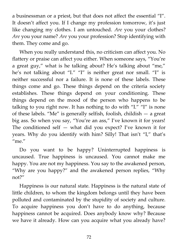a businessman or a priest, but that does not affect the essential "I". It doesn't affect you. If I change my profession tomorrow, it's just like changing my clothes. I am untouched. *Are* you your clothes? *Are* you your name? *Are* you your profession? Stop identifying with them. They come and go.

When you really understand this, no criticism can affect you. No flattery or praise can affect you either. When someone says, "You're a great guy," what is he talking about? He's talking about "me," he's not talking about "I." "I" is neither great nor small. "I" is neither successful nor a failure. It is none of these labels. These things come and go. These things depend on the criteria society establishes. These things depend on your conditioning. These things depend on the mood of the person who happens to be talking to you right now. It has nothing to do with "I." "I" is none of these labels. "Me" is generally selfish, foolish, childish — a great big ass. So when you say, "You're an ass," I've known it for years! The conditioned self  $-$  what did you expect? I've known it for years. Why do you identify with him? Silly! That isn't "I," that's  $\mu$ me"

Do you want to be happy? Uninterrupted happiness is uncaused. True happiness is uncaused. You cannot make me happy. You are not my happiness. You say to the awakened person, "Why are you happy?" and the awakened person replies, "Why not?"

Happiness is our natural state. Happiness is the natural state of little children, to whom the kingdom belongs until they have been polluted and contaminated by the stupidity of society and culture. To acquire happiness you don't have to do anything, because happiness cannot be acquired. Does anybody know why? Because we have it already. How can you acquire what you already have?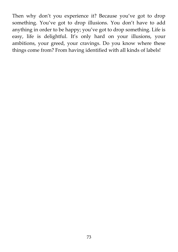Then why don't you experience it? Because you've got to drop something. You've got to drop illusions. You don't have to add anything in order to be happy; you've got to drop something. Life is easy, life is delightful. It's only hard on your illusions, your ambitions, your greed, your cravings. Do you know where these things come from? From having identified with all kinds of labels!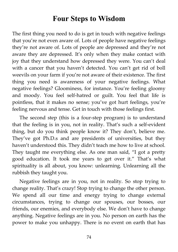#### **Four Steps to Wisdom**

The first thing you need to do is get in touch with negative feelings that you're not even aware of. Lots of people have negative feelings they're not aware of. Lots of people are depressed and they're not aware they are depressed. It's only when they make contact with joy that they understand how depressed they were. You can't deal with a cancer that you haven't detected. You can't get rid of boll weevils on your farm if you're not aware of their existence. The first thing you need is awareness of your negative feelings. What negative feelings? Gloominess, for instance. You're feeling gloomy and moody. You feel self-hatred or guilt. You feel that life is pointless, that it makes no sense; you've got hurt feelings, you're feeling nervous and tense. Get in touch with those feelings first.

The second step (this is a four-step program) is to understand that the feeling is in you, not in reality. That's such a self-evident thing, but do you think people know it? They don't, believe me. They've got Ph.D.s and are presidents of universities, but they haven't understood this. They didn't teach me how to live at school. They taught me everything else. As one man said, "I got a pretty good education. It took me years to get over it." That's what spirituality is all about, you know: unlearning. Unlearning all the rubbish they taught you.

Negative feelings are in you, not in reality. So stop trying to change reality. That's crazy! Stop trying to change the other person. We spend all our time and energy trying to change external circumstances, trying to change our spouses, our bosses, our friends, our enemies, and everybody else. We don't have to change anything. Negative feelings are in you. No person on earth has the power to make you unhappy. There is no event on earth that has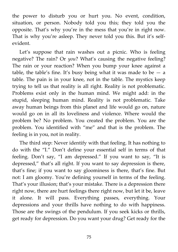the power to disturb you or hurt you. No event, condition, situation, or person. Nobody told you this; they told you the opposite. That's why you're in the mess that you're in right now. That is why you're asleep. They never told you this. But it's selfevident.

Let's suppose that rain washes out a picnic. Who is feeling negative? The rain? Or *you*? What's causing the negative feeling? The rain or your reaction? When you bump your knee against a table, the table's fine. It's busy being what it was made to be  $-$  a table. The pain is in your knee, not in the table. The mystics keep trying to tell us that reality is all right. Reality is not problematic. Problems exist only in the human mind. We might add: in the stupid, sleeping human mind. Reality is not problematic. Take away human beings from this planet and life would go on, nature would go on in all its loveliness and violence. Where would the problem be? No problem. You created the problem. You are the problem. You identified with "me" and that is the problem. The feeling is in you, not in reality.

The third step: Never identify with that feeling. It has nothing to do with the "I." Don't define your essential self in terms of that feeling. Don't say, "I am depressed." If you want to say, "It is depressed," that's all right. If you want to say depression is there, that's fine; if you want to say gloominess is there, that's fine. But not: I am gloomy. You're defining yourself in terms of the feeling. That's your illusion; that's your mistake. There is a depression there right now, there are hurt feelings there right now, but let it be, leave it alone. It will pass. Everything passes, everything. Your depressions and your thrills have nothing to do with happiness. Those are the swings of the pendulum. If you seek kicks or thrills, get ready for depression. Do you want your drug? Get ready for the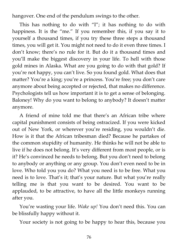hangover. One end of the pendulum swings to the other.

This has nothing to do with "I"; it has nothing to do with happiness. It is the "me." If you remember this, if you say it to yourself a thousand times, if you try these three steps a thousand times, you will get it. You might not need to do it even three times. I don't know; there's no rule for it. But do it a thousand times and you'll make the biggest discovery in your life. To hell with those gold mines in Alaska. What are you going to do with that gold? If you're not happy, you can't live. So you found gold. What does that matter? You're a king; you're a princess. You're free; you don't care anymore about being accepted or rejected, that makes no difference. Psychologists tell us how important it is to get a sense of belonging. Baloney! Why do you want to belong to anybody? It doesn't matter anymore.

A friend of mine told me that there's an African tribe where capital punishment consists of being ostracized. If you were kicked out of New York, or wherever you're residing, you wouldn't die. How is it that the African tribesman died? Because he partakes of the common stupidity of humanity. He thinks he will not be able to live if he does not belong. It's very different from most people, or is it? He's convinced he needs to belong. But you don't need to belong to anybody or anything or any group. You don't even need to be in love. Who told you you do? What you need is to be free. What you need is to love. That's it; that's your nature. But what you're really telling me is that you want to be desired. You want to be applauded, to be attractive, to have all the little monkeys running after you.

You're wasting your life. *Wake up!* You don't need this. You can be blissfully happy without it.

Your society is not going to be happy to hear this, because you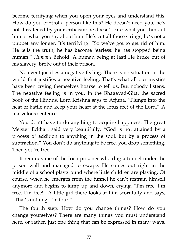become terrifying when you open your eyes and understand this. How do you control a person like this? He doesn't need you; he's not threatened by your criticism; he doesn't care what you think of him or what you say about him. He's cut all those strings; he's not a puppet any longer. It's terrifying. "So we've got to get rid of him. He tells the truth; he has become fearless; he has stopped being human." *Human!* Behold! A human being at last! He broke out of his slavery, broke out of their prison.

No event justifies a negative feeling. There is no situation in the world that justifies a negative feeling. That's what all our mystics have been crying themselves hoarse to tell us. But nobody listens. The negative feeling is in you. In the Bhagavad-Gita, the sacred book of the Hindus, Lord Krishna says to Arjuna, "Plunge into the heat of battle and keep your heart at the lotus feet of the Lord." A marvelous sentence.

You don't have to do anything to acquire happiness. The great Meister Eckhart said very beautifully, "God is not attained by a process of addition to anything in the soul, but by a process of subtraction." You don't do anything to be free, you drop something. Then you're free.

It reminds me of the Irish prisoner who dug a tunnel under the prison wall and managed to escape. He comes out right in the middle of a school playground where little children are playing. Of course, when he emerges from the tunnel he can't restrain himself anymore and begins to jump up and down, crying, "I'm free, I'm free, I'm free!" A little girl there looks at him scornfully and says, "That's nothing. I'm four."

The fourth step: How do you change things? How do you change yourselves? There are many things you must understand here, or rather, just one thing that can be expressed in many ways.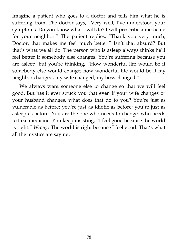Imagine a patient who goes to a doctor and tells him what he is suffering from. The doctor says, "Very well, I've understood your symptoms. Do you know what I will do? I will prescribe a medicine for your neighbor!" The patient replies, "Thank you very much, Doctor, that makes me feel much better." Isn't that absurd? But that's what we all do. The person who is asleep always thinks he'll feel better if somebody else changes. You're suffering because you are asleep, but you're thinking, "How wonderful life would be if somebody else would change; how wonderful life would be if my neighbor changed, my wife changed, my boss changed."

We always want someone else to change so that we will feel good. But has it ever struck you that even if your wife changes or your husband changes, what does that do to you? You're just as vulnerable as before; you're just as idiotic as before; you're just as asleep as before. You are the one who needs to change, who needs to take medicine. You keep insisting, "I feel good because the world is right." *Wrong!* The world is right because I feel good. That's what all the mystics are saying.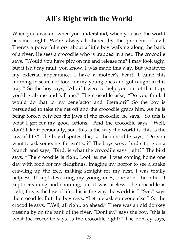# **All's Right with the World**

When you awaken, when you understand, when you see, the world becomes right. We're always bothered by the problem of evil. There's a powerful story about a little boy walking along the bank of a river. He sees a crocodile who is trapped in a net. The crocodile says, "Would you have pity on me and release me? I may look ugly, but it isn't my fault, you know. I was made this way. But whatever my external appearance, I have a mother's heart. I came this morning in search of food for my young ones and got caught in this trap!" So the boy says, "Ah, if I were to help you out of that trap, you'd grab me and kill me." The crocodile asks, "Do you think I would do that to my benefactor and liberator?" So the boy is persuaded to take the net off and the crocodile grabs him. As he is being forced between the jaws of the crocodile, he says, "So this is what I get for my good actions." And the crocodile says, "Well, don't take it personally, son, this is the way the world is, this is the law of life." The boy disputes this, so the crocodile says, "Do you want to ask someone if it isn't so?" The boys sees a bird sitting on a branch and says, "Bird, is what the crocodile says right?" The bird says, "The crocodile is right. Look at me. I was coming home one day with food for my fledglings. Imagine my horror to see a snake crawling up the tree, making straight for my nest. I was totally helpless. It kept devouring my young ones, one after the other. I kept screaming and shouting, but it was useless. The crocodile is right, this is the law of life, this is the way the world is." "See," says the crocodile. But the boy says, "Let me ask someone else." So the crocodile says, "Well, all right, go ahead." There was an old donkey passing by on the bank of the river. "Donkey," says the boy, "this is what the crocodile says. Is the crocodile right?" The donkey says,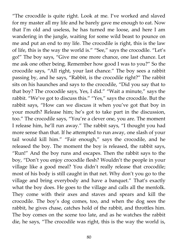"The crocodile is quite right. Look at me. I've worked and slaved for my master all my life and he barely gave me enough to eat. Now that I'm old and useless, he has turned me loose, and here I am wandering in the jungle, waiting for some wild beast to pounce on me and put an end to my life. The crocodile is right, this is the law of life, this is the way the world is." "See," says the crocodile. "Let's go!" The boy says, "Give me one more chance, one last chance. Let me ask one other being. Remember how good I was to you?" So the crocodile says, "All right, your last chance." The boy sees a rabbit passing by, and he says, "Rabbit, is the crocodile right?" The rabbit sits on his haunches and says to the crocodile, "Did you say that to that boy? The crocodile says, Yes, I did." "Wait a minute," says the rabbit. "We've got to discuss this." "Yes," says the crocodile. But the rabbit says, "How can we discuss it when you've got that boy in your mouth? Release him; he's got to take part in the discussion, too." The crocodile says, "You're a clever one, you are. The moment I release him, he'll run away." The rabbit says, "I thought you had more sense than that. If he attempted to run away, one slash of your tail would kill him." "Fair enough," says the crocodile, and he released the boy. The moment the boy is released, the rabbit says, "Run!" And the boy runs and escapes. Then the rabbit says to the boy, "Don't you enjoy crocodile flesh? Wouldn't the people in your village like a good meal? You didn't really release that crocodile; most of his body is still caught in that net. Why don't you go to the village and bring everybody and have a banquet." That's exactly what the boy does. He goes to the village and calls all the menfolk. They come with their axes and staves and spears and kill the crocodile. The boy's dog comes, too, and when the dog sees the rabbit, he gives chase, catches hold of the rabbit, and throttles him. The boy comes on the scene too late, and as he watches the rabbit die, he says, "The crocodile was right, this is the way the world is,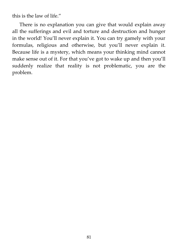this is the law of life."

There is no explanation you can give that would explain away all the sufferings and evil and torture and destruction and hunger in the world! You'll never explain it. You can try gamely with your formulas, religious and otherwise, but you'll never explain it. Because life is a mystery, which means your thinking mind cannot make sense out of it. For that you've got to wake up and then you'll suddenly realize that reality is not problematic, you are the problem.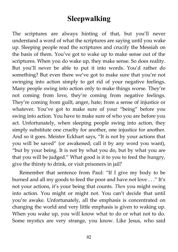# **Sleepwalking**

The scriptures are always hinting of that, but you'll never understand a word of what the scriptures are saying until you wake up. Sleeping people read the scriptures and crucify the Messiah on the basis of them. You've got to wake up to make sense out of the scriptures. When you do wake up, they make sense. So does reality. But you'll never be able to put it into words. You'd rather do something? But even there we've got to make sure that you're not swinging into action simply to get rid of your negative feelings. Many people swing into action only to make things worse. They're not coming from love, they're coming from negative feelings. They're coming from guilt, anger, hate; from a sense of injustice or whatever. You've got to make sure of your "being" before you swing into action. You have to make sure of who you are before you act. Unfortunately, when sleeping people swing into action, they simply substitute one cruelty for another, one injustice for another. And so it goes. Meister Eckhart says, "It is not by your actions that you will be saved" (or awakened; call it by any word you want), "but by your being. It is not by what you do, but by what you are that you will be judged." What good is it to you to feed the hungry, give the thirsty to drink, or visit prisoners in jail?

Remember that sentence from Paul: "If I give my body to be burned and all my goods to feed the poor and have not love . . ." It's not your actions, it's your being that counts. *Then* you might swing into action. You might or might not. You can't decide that until you're awake. Unfortunately, all the emphasis is concentrated on changing the world and very little emphasis is given to waking up. When you wake up, you will know what to do or what not to do. Some mystics are very strange, you know. Like Jesus, who said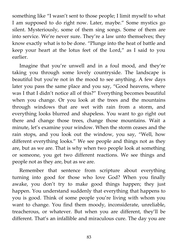something like "I wasn't sent to those people; I limit myself to what I am supposed to do right now. Later, maybe." Some mystics go silent. Mysteriously, some of them sing songs. Some of them are into service. We're never sure. They're a law unto themselves; they know exactly what is to be done. "Plunge into the heat of battle and keep your heart at the lotus feet of the Lord," as I said to you earlier.

Imagine that you're unwell and in a foul mood, and they're taking you through some lovely countryside. The landscape is beautiful but you're not in the mood to see anything. A few days later you pass the same place and you say, "Good heavens, where was I that I didn't notice all of this?" Everything becomes beautiful when you change. Or you look at the trees and the mountains through windows that are wet with rain from a storm, and everything looks blurred and shapeless. You want to go right out there and change those trees, change those mountains. Wait a minute, let's examine your window. When the storm ceases and the rain stops, and you look out the window, you say, "Well, how different everything looks." We see people and things not as they are, but as we are. That is why when two people look at something or someone, you get two different reactions. We see things and people not as they are, but as we are.

Remember that sentence from scripture about everything turning into good for those who love God? When you finally awake, you don't try to make good things happen; they just happen. You understand suddenly that everything that happens to you is good. Think of some people you're living with whom you want to change. You find them moody, inconsiderate, unreliable, treacherous, or whatever. But when you are different, they'll be different. That's an infallible and miraculous cure. The day you are

83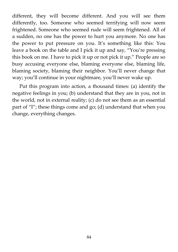different, they will become different. And you will see them differently, too. Someone who seemed terrifying will now seem frightened. Someone who seemed rude will seem frightened. All of a sudden, no one has the power to hurt you anymore. No one has the power to put pressure on you. It's something like this: You leave a book on the table and I pick it up and say, "You're pressing this book on me. I have to pick it up or not pick it up." People are so busy accusing everyone else, blaming everyone else, blaming life, blaming society, blaming their neighbor. You'll never change that way; you'll continue in your nightmare, you'll never wake up.

Put this program into action, a thousand times: (a) identify the negative feelings in you; (b) understand that they are in you, not in the world, not in external reality; (c) do not see them as an essential part of "I"; these things come and go; (d) understand that when you change, everything changes.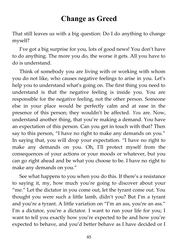## **Change as Greed**

That still leaves us with a big question: Do I do anything to change myself?

I've got a big surprise for you, lots of good news! You don't have to do anything. The more you do, the worse it gets. All you have to do is understand.

Think of somebody you are living with or working with whom you do not like, who causes negative feelings to arise in you. Let's help you to understand what's going on. The first thing you need to understand is that the negative feeling is inside you. You are responsible for the negative feeling, not the other person. Someone else in your place would be perfectly calm and at ease in the presence of this person; they wouldn't be affected. *You* are. Now, understand another thing, that you're making a demand. You have an expectation of this person. Can you get in touch with that? Then say to this person, "I have no right to make any demands on you." In saying that, you will drop your expectation. "I have no right to make any demands on you. Oh, I'll protect myself from the consequences of your actions or your moods or whatever, but you can go right ahead and be what you choose to be. I have no right to make any demands on you."

See what happens to you when you do this. If there's a resistance to saying it, my, how much you're going to discover about your "me." Let the dictator in you come out, let the tyrant come out. You thought you were such a little lamb, didn't you? But I'm a tyrant and you're a tyrant. A little variation on "I'm an ass, you're an ass." I'm a dictator, you're a dictator. I want to run your life for you; I want to tell you exactly how you're expected to be and how you're expected to behave, and you'd better behave as I have decided or I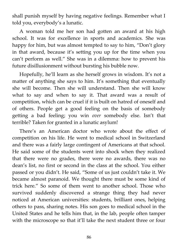shall punish myself by having negative feelings. Remember what I told you, everybody's a lunatic.

A woman told me her son had gotten an award at his high school. It was for excellence in sports and academics. She was happy for him, but was almost tempted to say to him, "Don't glory in that award, because it's setting you up for the time when you can't perform as well." She was in a dilemma: how to prevent his future disillusionment without bursting his bubble now.

Hopefully, he'll learn as she herself grows in wisdom. It's not a matter of anything she says to him. It's something that eventually she will become. Then she will understand. Then she will know what to say and when to say it. That award was a result of competition, which can be cruel if it is built on hatred of oneself and of others. People get a good feeling on the basis of somebody getting a bad feeling; you win *over* somebody else. Isn't that terrible? Taken for granted in a lunatic asylum!

There's an American doctor who wrote about the effect of competition on his life. He went to medical school in Switzerland and there was a fairly large contingent of Americans at that school. He said some of the students went into shock when they realized that there were no grades, there were no awards, there was no dean's list, no first or second in the class at the school. You either passed or you didn't. He said, "Some of us just couldn't take it. We became almost paranoid. We thought there must be some kind of trick here." So some of them went to another school. Those who survived suddenly discovered a strange thing they had never noticed at American universities: students, brilliant ones, helping others to pass, sharing notes. His son goes to medical school in the United States and he tells him that, in the lab, people often tamper with the microscope so that it'll take the next student three or four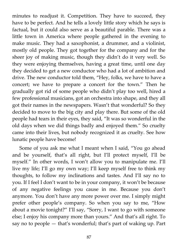minutes to readjust it. Competition. They have to succeed, they have to be perfect. And he tells a lovely little story which he says is factual, but it could also serve as a beautiful parable. There was a little town in America where people gathered in the evening to make music. They had a saxophonist, a drummer, and a violinist, mostly old people. They got together for the company and for the sheer joy of making music, though they didn't do it very well. So they were enjoying themselves, having a great time, until one day they decided to get a new conductor who had a lot of ambition and drive. The new conductor told them, "Hey, folks, we have to have a concert; we have to prepare a concert for the town." Then he gradually got rid of some people who didn't play too well, hired a few professional musicians, got an orchestra into shape, and they all got their names in the newspapers. Wasn't that wonderful? So they decided to move to the big city and play there. But some of the old people had tears in their eyes, they said, "It was so wonderful in the old days when we did things badly and enjoyed them." So cruelty came into their lives, but nobody recognized it as cruelty. See how lunatic people have become!

Some of you ask me what I meant when I said, "You go ahead and be yourself, that's all right, but I'll protect myself, I'll be myself." In other words, I won't allow you to manipulate me. I'll live my life; I'll go my own way; I'll keep myself free to think my thoughts, to follow my inclinations and tastes. And I'll say no to you. If I feel I don't want to be in your company, it won't be because of any negative feelings you cause in me. Because you don't anymore. You don't have any more power over me. I simply might prefer other people's company. So when you say to me, "How about a movie tonight?" I'll say, "Sorry, I want to go with someone else; I enjoy his company more than yours." And that's all right. To say no to people — that's wonderful; that's part of waking up. Part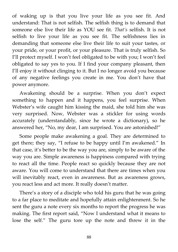of waking up is that you live your life as you see fit. And understand: That is not selfish. The selfish thing is to demand that someone else live their life as YOU see fit. *That's* selfish. It is not selfish to live your life as you see fit. The selfishness lies in demanding that someone else live their life to suit your tastes, or your pride, or your profit, or your pleasure. That is truly selfish. So I'll protect myself. I won't feel obligated to be with you; I won't feel obligated to say yes to you. If I find your company pleasant, then I'll enjoy it without clinging to it. But I no longer avoid you because of any negative feelings you create in me. You don't have that power anymore.

Awakening should be a surprise. When you don't expect something to happen and it happens, you feel surprise. When Webster's wife caught him kissing the maid, she told him she was very surprised. Now, Webster was a stickler for using words accurately (understandably, since he wrote a dictionary), so he answered her, "No, my dear, I am surprised. You are astonished!"

Some people make awakening a goal. They are determined to get there; they say, "I refuse to be happy until I'm awakened." In that case, it's better to be the way you are, simply to be aware of the way you are. Simple awareness is happiness compared with trying to react all the time. People react so quickly because they are not aware. You will come to understand that there are times when you will inevitably react, even in awareness. But as awareness grows, you react less and act more. It really doesn't matter.

There's a story of a disciple who told his guru that he was going to a far place to meditate and hopefully attain enlightenment. So he sent the guru a note every six months to report the progress he was making. The first report said, "Now I understand what it means to lose the self." The guru tore up the note and threw it in the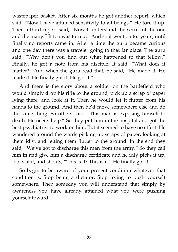wastepaper basket. After six months he got another report, which said, "Now I have attained sensitivity to all beings." He tore it up. Then a third report said, "Now I understand the secret of the one and the many." It too was torn up. And so it went on for years, until finally no reports came in. After a time the guru became curious and one day there was a traveler going to that far place. The guru said, "Why don't you find out what happened to that fellow." Finally, he got a note from his disciple. It said, "What does it matter?" And when the guru read that, he said, "He made it! He made it! He finally got it! He got it!"

And there is the story about a soldier on the battlefield who would simply drop his rifle to the ground, pick up a scrap of paper lying there, and look at it. Then he would let it flutter from his hands to the ground. And then he'd move somewhere else and do the same thing. So others said, "This man is exposing himself to death. He needs help." So they put him in the hospital and got the best psychiatrist to work on him. But it seemed to have no effect. He wandered around the wards picking up scraps of paper, looking at them idly, and letting them flutter to the ground. In the end they said, "We've got to discharge this man from the army." So they call him in and give him a discharge certificate and he idly picks it up, looks at it, and shouts, "This is it? This is it." He finally got it.

So begin to be aware of your present condition whatever that condition is. Stop being a dictator. Stop trying to push yourself somewhere. Then someday you will understand that simply by awareness you have already attained what you were pushing yourself toward.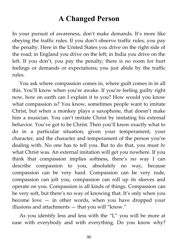## **A Changed Person**

In your pursuit of awareness, don't make demands. It's more like obeying the traffic rules. If you don't observe traffic rules, you pay the penalty. Here in the United States you drive on the right side of the road; in England you drive on the left; in India you drive on the left. If you don't, you pay the penalty; there is no room for hurt feelings or demands or expectations; you just abide by the traffic rules.

You ask where compassion comes in, where guilt comes in in all this. You'll know when you're awake. If you're feeling guilty right now, how on earth can I explain it to you? How would you know what compassion is? You know, sometimes people want to imitate Christ, but when a monkey plays a saxophone, that doesn't make him a musician. You can't imitate Christ by imitating his external behavior. You've got to be Christ. Then you'll know exactly what to do in a particular situation, given your temperament, your character, and the character and temperament of the person you're dealing with. No one has to tell you. But to do that, you must *be* what Christ was. An external imitation will get you nowhere. If you think that compassion implies softness, there's no way I can describe compassion to you, absolutely no way, because compassion can be very hard. Compassion can be very rude, compassion can jolt you, compassion can roll up its sleeves and operate on you. Compassion is all kinds of things. Compassion can be very soft, but there's no way of knowing that. It's only when you become love — in other words, when you have dropped your illusions and attachments — that you will "know."

As you identify less and less with the "I," you will be more at ease with everybody and with everything. Do you know why?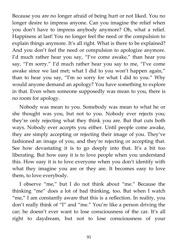Because you are no longer afraid of being hurt or not liked. You no longer desire to impress anyone. Can you imagine the relief when you don't have to impress anybody anymore? Oh, what a relief. Happiness at last! You no longer feel the need or the compulsion to explain things anymore. It's all right. What is there to be explained? And you don't feel the need or compulsion to apologize anymore. I'd much rather hear you say, "I've come awake," than hear you say, "I'm sorry." I'd much rather hear you say to me, "I've come awake since we last met; what I did to you won't happen again," than to hear you say, "I'm so sorry for what I did to you." Why would anyone demand an apology? You have something to explore in that. Even when someone supposedly was mean to you, there is no room for apology.

Nobody was mean to you. Somebody was mean to what he or she thought was you, but not to you. Nobody ever rejects you; they're only rejecting what they think you are. But that cuts both ways. Nobody ever accepts you either. Until people come awake, they are simply accepting or rejecting their image of you. They've fashioned an image of you, and they're rejecting or accepting that. See how devastating it is to go deeply into that. It's a bit too liberating. But how easy it is to love people when you understand this. How easy it is to love everyone when you don't identify with what they imagine you are or they are. It becomes easy to love them, to love everybody.

I observe "me," but I do not think about "me." Because the thinking "me" does a lot of bad thinking, too. But when I watch "me," I am constantly aware that this is a reflection. In reality, you don't really think of "I" and "me." You're like a person driving the car; he doesn't ever want to lose consciousness of the car. It's all right to daydream, but not to lose consciousness of your

91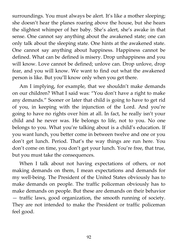surroundings. You must always be alert. It's like a mother sleeping; she doesn't hear the planes roaring above the house, but she hears the slightest whimper of her baby. She's alert, she's awake in that sense. One cannot say anything about the awakened state; one can only talk about the sleeping state. One hints at the awakened state. One cannot say anything about happiness. Happiness cannot be defined. What can be defined is misery. Drop unhappiness and you will know. Love cannot be defined; unlove can. Drop unlove, drop fear, and you will know. We want to find out what the awakened person is like. But you'll know only when you get there.

Am I implying, for example, that we shouldn't make demands on our children? What I said was: "You don't have a right to make any demands." Sooner or later that child is going to have to get rid of you, in keeping with the injunction of the Lord. And you're going to have no rights over him at all. In fact, he really isn't your child and he never was. He belongs to life, not to you. No one belongs to you. What you're talking about is a child's education. If you want lunch, you better come in between twelve and one or you don't get lunch. Period. That's the way things are run here. You don't come on time, you don't get your lunch. You're free, that true, but you must take the consequences.

When I talk about not having expectations of others, or not making demands on them, I mean expectations and demands for my well-being. The President of the United States obviously has to make demands on people. The traffic policeman obviously has to make demands on people. But these are demands on their behavior — traffic laws, good organization, the smooth running of society. They are not intended to make the President or traffic policeman feel good.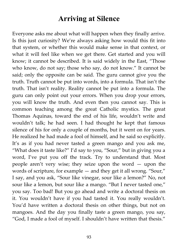## **Arriving at Silence**

Everyone asks me about what will happen when they finally arrive. Is this just curiosity? We're always asking how would this fit into that system, or whether this would make sense in that context, or what it will feel like when we get there. Get started and you will know; it cannot be described. It is said widely in the East, "Those who know, do not say; those who say, do not know." It cannot be said; only the opposite can be said. The guru cannot give you the truth. Truth cannot be put into words, into a formula. That isn't the truth. That isn't reality. Reality cannot be put into a formula. The guru can only point out your errors. When you drop your errors, you will know the truth. And even then you cannot say. This is common teaching among the great Catholic mystics. The great Thomas Aquinas, toward the end of his life, wouldn't write and wouldn't talk; he had seen. I had thought he kept that famous silence of his for only a couple of months, but it went on for years. He realized he had made a fool of himself, and he said so explicitly. It's as if you had never tasted a green mango and you ask me, "What does it taste like?" I'd say to you, "Sour," but in giving you a word, I've put you off the track. Try to understand that. Most people aren't very wise; they seize upon the word — upon the words of scripture, for example — and they get it all wrong. "Sour," I say, and you ask, "Sour like vinegar, sour like a lemon?" No, not sour like a lemon, but sour like a mango. "But I never tasted one," you say. Too bad! But you go ahead and write a doctoral thesis on it. You wouldn't have if you had tasted it. You really wouldn't. You'd have written a doctoral thesis on other things, but not on mangoes. And the day you finally taste a green mango, you say, "God, I made a fool of myself. I shouldn't have written that thesis."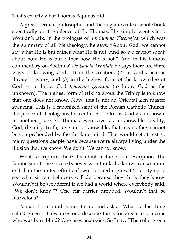That's exactly what Thomas Aquinas did.

A great German philosopher and theologian wrote a whole book specifically on the silence of St. Thomas. He simply went silent. Wouldn't talk. In the prologue of his *Summa Theologica*, which was the summary of all his theology, he says, "About God, we cannot say what He is but rather what He is not. And so we cannot speak about how He is but rather how He is not." And in his famous commentary on Boethius' *De Sancta Trinitate* he says there are three ways of knowing God: (1) in the creation, (2) in God's actions through history, and (3) in the highest form of the knowledge of God — to know God *tamquam ignotum* (to know God as the unknown). The highest form of talking about the Trinity is to know that one does not know. Now, this is not an Oriental Zen master speaking. This is a canonized saint of the Roman Catholic Church, the prince of theologians for centuries. To know God as unknown. In another place St. Thomas even says: as unknowable. Reality, God, divinity, truth, love are unknowable; that means they cannot be comprehended by the thinking mind. That would set at rest so many questions people have because we're always living under the illusion that we know. We don't. We cannot know.

What is scripture, then? It's a hint, a clue, not a description. The fanaticism of one sincere believer who thinks he knows causes more evil than the united efforts of two hundred rogues. It's terrifying to see what sincere believers will do because they think they know. Wouldn't it be wonderful if we had a world where everybody said, "We don't know"? One big barrier dropped. Wouldn't that be marvelous?

A man born blind comes to me and asks, "What is this thing called green?" How does one describe the color green to someone who was born blind? One uses analogies. So I say, "The color green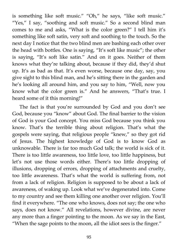is something like soft music." "Oh," he says, "like soft music." "Yes," I say, "soothing and soft music." So a second blind man comes to me and asks, "What is the color green?" I tell him it's something like soft satin, very soft and soothing to the touch. So the next day I notice that the two blind men are bashing each other over the head with bottles. One is saying, "It's soft like music"; the other is saying, "It's soft like satin." And on it goes. Neither of them knows what they're talking about, because if they did, they'd shut up. It's as bad as that. It's even worse, because one day, say, you give sight to this blind man, and he's sitting there in the garden and he's looking all around him, and you say to him, "Well, now you know what the color green is." And he answers, "That's true. I heard some of it this morning!"

The fact is that you're surrounded by God and you don't see God, because you "know" about God. The final barrier to the vision of God is your God concept. You miss God because you think you know. That's the terrible thing about religion. That's what the gospels were saying, that religious people "knew," so they got rid of Jesus. The highest knowledge of God is to know God as unknowable. There is far too much God talk; the world is sick of it. There is too little awareness, too little love, too little happiness, but let's not use those words either. There's too little dropping of illusions, dropping of errors, dropping of attachments and cruelty, too little awareness. That's what the world is suffering from, not from a lack of religion. Religion is supposed to be about a lack of awareness, of waking up. Look what we've degenerated into. Come to my country and see them killing one another over religion. You'll find it everywhere. "The one who knows, does not say; the one who says, does not know." All revelations, however divine, are never any more than a finger pointing to the moon. As we say in the East, "When the sage points to the moon, all the idiot sees is the finger."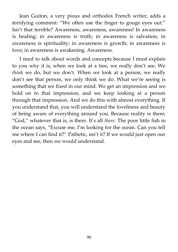Jean Guiton, a very pious and orthodox French writer, adds a terrifying comment: "We often use the finger to gouge eyes out." Isn't that terrible? Awareness, awareness, awareness! In awareness is healing; in awareness is truth; in awareness is salvation; in awareness is spirituality; in awareness is growth; in awareness is love; in awareness is awakening. Awareness.

I need to talk about words and concepts because I must explain to you why it is, when we look at a tree, we really don't see. We *think* we do, but we don't. When we look at a person, we really don't see that person, we only think we do. What we're seeing is something that we fixed in our mind. We get an impression and we hold on to that impression, and we keep looking at a person through that impression. And we do this with almost everything. If you understand that, you will understand the loveliness and beauty of being aware of everything around you. Because reality is there; "God," whatever that is, is there. It's all *there*. The poor little fish in the ocean says, "Excuse me, I'm looking for the ocean. Can you tell me where I can find it?" Pathetic, isn't it? If we would just open our eyes and see, then we would understand.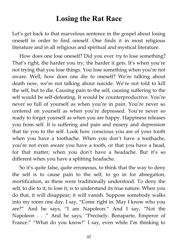#### **Losing the Rat Race**

Let's get back to that marvelous sentence in the gospel about losing oneself in order to find oneself. One finds it in most religious literature and in all religious and spiritual and mystical literature.

How does one lose oneself? Did you ever *try* to lose something? That's right, the harder you try, the harder it gets. It's when you're not trying that you lose things. You lose something when you're not aware. Well, how does one die to oneself? We're talking about death now, we're not talking about suicide. We're not told to kill the self, but to die. Causing pain to the self, causing suffering to the self would be self-defeating. It would be counterproductive. You're never so full of yourself as when you're in pain. You're never so centered on yourself as when you're depressed. You're never so ready to forget yourself as when you are happy. Happiness releases you from self. It is suffering and pain and misery and depression that tie you to the self. Look how conscious you are of your tooth when you have a toothache. When you don't have a toothache, you're not even aware you have a tooth, or that you have a head, for that matter, when you don't have a headache. But it's so different when you have a splitting headache.

So it's quite false, quite erroneous, to think that the way to deny the self is to cause pain to the self, to go in for abnegation, mortification, as these were traditionally understood. To deny the self, to die to it, to lose it, is to understand its true nature. When you do that, it will disappear; it will vanish. Suppose somebody walks into my room one day. I say, "Come right in. May I know who you are?" And he says, "I am Napoleon." And I say, "Not the Napoleon . . ." And he says, "Precisely. Bonaparte, Emperor of France." "What do you know!" I say, even while I'm thinking to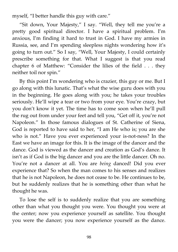myself, "I better handle this guy with care."

"Sit down, Your Majesty," I say. "Well, they tell me you're a pretty good spiritual director. I have a spiritual problem. I'm anxious, I'm finding it hard to trust in God. I have my armies in Russia, see, and I'm spending sleepless nights wondering how it's going to turn out." So I say, "Well, Your Majesty, I could certainly prescribe something for that. What I suggest is that you read chapter 6 of Matthew: "Consider the lilies of the field . . . they neither toil nor spin."

By this point I'm wondering who is crazier, this guy or me. But I go along with this lunatic. That's what the wise guru does with you in the beginning. He goes along with you; he takes your troubles seriously. He'll wipe a tear or two from your eye. You're crazy, but you don't know it yet. The time has to come soon when he'll pull the rug out from under your feet and tell you, "Get off it, you're not Napoleon." In those famous dialogues of St. Catherine of Siena, God is reported to have said to her, "I am He who is; you are she who is not." Have you ever experienced your is-not-ness? In the East we have an image for this. It is the image of the dancer and the dance. God is viewed as the dancer and creation as God's dance. It isn't as if God is the big dancer and you are the little dancer. Oh no. You're not a dancer at all. You are *being* danced! Did you ever experience that? So when the man comes to his senses and realizes that he is not Napoleon, he does not cease to be. He continues to be, but he suddenly realizes that he is something other than what he thought he was.

To lose the self is to suddenly realize that you are something other than what you thought you were. You thought you were at the center; now you experience yourself as satellite. You thought you were the dancer; you now experience yourself as the dance.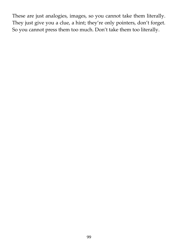These are just analogies, images, so you cannot take them literally. They just give you a clue, a hint; they're only pointers, don't forget. So you cannot press them too much. Don't take them too literally.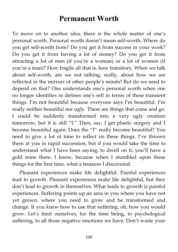#### **Permanent Worth**

To move on to another idea, there is the whole matter of one's personal worth. Personal worth doesn't mean self-worth. Where do you get self-worth from? Do you get it from success in your work? Do you get it from having a lot of money? Do you get it from attracting a lot of men (if you're a woman) or a lot of women (if you're a man)? How fragile all that is, how transitory. When we talk about self-worth, are we not talking, really, about how we are reflected in the mirrors of other people's minds? But do we need to depend on that? One understands one's personal worth when one no longer identifies or defines one's self in terms of these transient things. I'm not beautiful because everyone says I'm beautiful. I'm really neither beautiful nor ugly. These are things that come and go. I could be suddenly transformed into a very ugly creature tomorrow, but it is still "I." Then, say, I get plastic surgery and I become beautiful again. Does the "I" really become beautiful? You need to give a lot of time to reflect on these things. I've thrown them at you in rapid succession, but if you would take the time to understand what I have been saying, to dwell on it, you'll have a gold mine there. I know, because when I stumbled upon these things for the first time, what a treasure I discovered.

Pleasant experiences make life delightful. Painful experiences lead to growth. Pleasant experiences make life delightful, but they don't lead to growth in themselves. What leads to growth is painful experiences. Suffering points up an area in you where you have not yet grown, where you need to grow and be transformed and change. If you knew how to use that suffering, oh, how you would grow. Let's limit ourselves, for the time being, to psychological suffering, to all those negative emotions we have. Don't waste your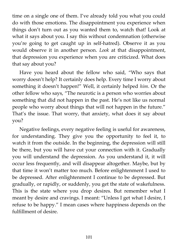time on a single one of them. I've already told you what you could do with those emotions. The disappointment you experience when things don't turn out as you wanted them to, watch that! Look at what it says about you. I say this without condemnation (otherwise you're going to get caught up in self-hatred). Observe it as you would observe it in another person. *Look* at that disappointment, that depression you experience when you are criticized. What does that say about you?

Have you heard about the fellow who said, "Who says that worry doesn't help? It certainly does help. Every time I worry about something it doesn't happen!" Well, it certainly helped *him*. Or the other fellow who says, "The neurotic is a person who worries about something that did not happen in the past. He's not like us normal people who worry about things that will not happen in the future." That's the issue. That worry, that anxiety, what does it say about you?

Negative feelings, every negative feeling is useful for awareness, for understanding. They give you the opportunity to feel it, to watch it from the outside. In the beginning, the depression will still be there, but you will have cut your connection with it. Gradually you will understand the depression. As you understand it, it will occur less frequently, and will disappear altogether. Maybe, but by that time it won't matter too much. Before enlightenment I used to be depressed. After enlightenment I continue to be depressed. But gradually, or rapidly, or suddenly, you get the state of wakefulness. This is the state where you drop desires. But remember what I meant by desire and cravings. I meant: "Unless I get what I desire, I refuse to be happy." I mean cases where happiness depends on the fulfillment of desire.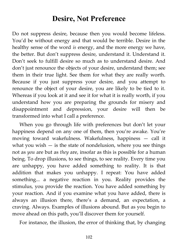## **Desire, Not Preference**

Do not suppress desire, because then you would become lifeless. You'd be without energy and that would be terrible. Desire in the healthy sense of the word *is* energy, and the more energy we have, the better. But don't suppress desire, understand it. Understand it. Don't seek to fulfill desire so much as to understand desire. And don't just renounce the objects of your desire, understand them; see them in their true light. See them for what they are really worth. Because if you just suppress your desire, and you attempt to renounce the object of your desire, you are likely to be tied to it. Whereas if you look at it and see it for what it is really worth, if you understand how you are preparing the grounds for misery and disappointment and depression, your desire will then be transformed into what I call a preference.

When you go through life with preferences but don't let your happiness depend on any one of them, then you're awake. You're moving toward wakefulness. Wakefulness, happiness — call it what you wish  $-$  is the state of nondelusion, where you see things not as *you* are but as *they* are, insofar as this is possible for a human being. To drop illusions, to see things, to see reality. Every time you are unhappy, you have added something to reality. It is that addition that makes you unhappy. I repeat: You have added something... a negative reaction in you. Reality provides the stimulus, you provide the reaction. You have added something by your reaction. And if you examine what you have added, there is always an illusion there, there's a demand, an expectation, a craving. Always. Examples of illusions abound. But as you begin to move ahead on this path, you'll discover them for yourself.

For instance, the illusion, the error of thinking that, by changing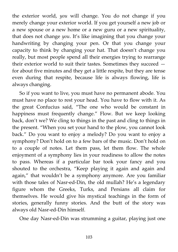the exterior world, *you* will change. You do not change if you merely change your exterior world. If you get yourself a new job or a new spouse or a new home or a new guru or a new spirituality, that does not change *you*. It's like imagining that you change your handwriting by changing your pen. Or that you change your capacity to think by changing your hat. That doesn't change you really, but most people spend all their energies trying to rearrange their exterior world to suit their tastes. Sometimes they succeed for about five minutes and they get a little respite, but they are tense even during that respite, because life is always flowing, life is always changing.

So if you want to live, you must have no permanent abode. You must have no place to rest your head. You have to flow with it. As the great Confucius said, "The one who would be constant in happiness must frequently change." Flow. But we keep looking back, don't we? We cling to things in the past and cling to things in the present. "When you set your hand to the plow, you cannot look back." Do you want to enjoy a melody? Do you want to enjoy a symphony? Don't hold on to a few bars of the music. Don't hold on to a couple of notes. Let them pass, let them flow. The whole enjoyment of a symphony lies in your readiness to allow the notes to pass. Whereas if a particular bar took your fancy and you shouted to the orchestra, "Keep playing it again and again and again," that wouldn't be a symphony anymore. Are you familiar with those tales of Nasr-ed-Din, the old mullah? He's a legendary figure whom the Greeks, Turks, and Persians all claim for themselves. He would give his mystical teachings in the form of stories, generally funny stories. And the butt of the story was always old Nasr-ed-Din himself.

One day Nasr-ed-Din was strumming a guitar, playing just one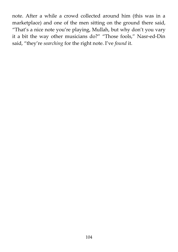note. After a while a crowd collected around him (this was in a marketplace) and one of the men sitting on the ground there said, "That's a nice note you're playing, Mullah, but why don't you vary it a bit the way other musicians do?" "Those fools," Nasr-ed-Din said, "they're *searching* for the right note. I've *found* it.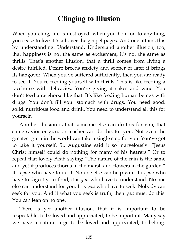# **Clinging to Illusion**

When you cling, life is destroyed; when you hold on to anything, you cease to live. It's all over the gospel pages. And one attains this by understanding. Understand. Understand another illusion, too, that happiness is not the same as excitement, it's not the same as thrills. That's another illusion, that a thrill comes from living a desire fulfilled. Desire breeds anxiety and sooner or later it brings its hangover. When you've suffered sufficiently, then you are ready to see it. You're feeding yourself with thrills. This is like feeding a racehorse with delicacies. You're giving it cakes and wine. You don't feed a racehorse like that. It's like feeding human beings with drugs. You don't fill your stomach with drugs. You need good, solid, nutritious food and drink. You need to understand all this for yourself.

Another illusion is that someone else can do this for you, that some savior or guru or teacher can do this for you. Not even the greatest guru in the world can take a single step for you. You've got to take it yourself. St. Augustine said it so marvelously: "Jesus Christ himself could do nothing for many of his hearers." Or to repeat that lovely Arab saying: "The nature of the rain is the same and yet it produces thorns in the marsh and flowers in the garden." It is *you* who have to do it. No one else can help you. It is *you* who have to digest your food, it is *you* who have to understand. No one else can understand for you. It is *you* who have to seek. Nobody can seek for you. And if what you seek is truth, then *you* must do this. You can lean on no one.

There is yet another illusion, that it is important to be respectable, to be loved and appreciated, to be important. Many say we have a natural urge to be loved and appreciated, to belong.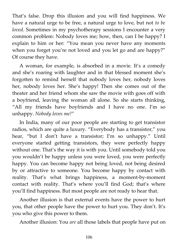That's false. Drop this illusion and you will find happiness. We have a natural urge to be free, a natural urge to love, but not *to be loved*. Sometimes in my psychotherapy sessions I encounter a very common problem: Nobody loves me; how, then, can I be happy? I explain to him or her: "You mean you never have any moments when you forget you're not loved and you let go and are happy?" Of course they have.

A woman, for example, is absorbed in a movie. It's a comedy and she's roaring with laughter and in that blessed moment she's forgotten to remind herself that nobody loves her, nobody loves her, nobody loves her. She's happy! Then she comes out of the theater and her friend whom she saw the movie with goes off with a boyfriend, leaving the woman all alone. So she starts thinking, "All my friends have boyfriends and I have no one. I'm so unhappy. *Nobody loves me!*"

In India, many of our poor people are starting to get transistor radios, which are quite a luxury. "Everybody has a transistor," you hear, "but I don't have a transistor; I'm so unhappy." Until everyone started getting transistors, they were perfectly happy without one. That's the way it is with you. Until somebody told you you wouldn't be happy unless you were loved, you were perfectly happy. You can become happy not being loved, not being desired by or attractive to someone. You become happy by contact with reality. That's what brings happiness, a moment-by-moment contact with reality. That's where you'll find God; that's where you'll find happiness. But most people are not ready to hear that.

Another illusion is that external events have the power to hurt you, that other people have the power to hurt you. They don't. It's you who give this power to them.

Another illusion: You *are* all those labels that people have put on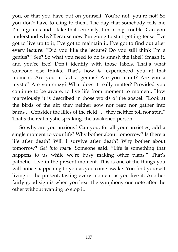you, or that you have put on yourself. You're not, you're not! So you don't have to cling to them. The day that somebody tells me I'm a genius and I take that seriously, I'm in big trouble. Can you understand why? Because now I'm going to start getting tense. I've got to live up to it, I've got to maintain it. I've got to find out after every lecture: "Did you like the lecture? Do you still think I'm a genius?" See? So what you need to do is smash the label! Smash it, and you're free! Don't identify with those labels. That's what someone else thinks. That's how *he* experienced you at that moment. Are you in fact a genius? Are you a nut? Are you a mystic? Are you crazy? What does it really matter? Provided you continue to be aware, to live life from moment to moment. How marvelously it is described in those words of the gospel: "Look at the birds of the air: they neither sow nor reap nor gather into barns ... Consider the lilies of the field . . . they neither toil nor spin." That's the real mystic speaking, the awakened person.

So why are you anxious? Can you, for all your anxieties, add a single moment to your life? Why bother about tomorrow? Is there a life after death? Will I survive after death? Why bother about tomorrow? *Get into today*. Someone said, "Life is something that happens to us while we're busy making other plans." That's pathetic. Live in the present moment. This is one of the things you will notice happening to you as you come awake. You find yourself living in the present, tasting every moment as you live it. Another fairly good sign is when you hear the symphony one note after the other without wanting to stop it.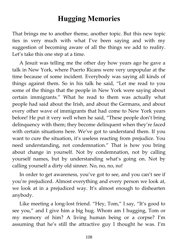# **Hugging Memories**

That brings me to another theme, another topic. But this new topic ties in very much with what I've been saying and with my suggestion of becoming aware of all the things we add to reality. Let's take this one step at a time.

A Jesuit was telling me the other day how years ago he gave a talk in New York, where Puerto Ricans were very unpopular at the time because of some incident. Everybody was saying all kinds of things against them. So in his talk he said, "Let me read to you some of the things that the people in New York were saying about certain immigrants." What he read to them was actually what people had said about the Irish, and about the Germans, and about every other wave of immigrants that had come to New York years before! He put it very well when he said, "These people don't bring delinquency with them; they become delinquent when they're faced with certain situations here. We've got to understand them. If you want to cure the situation, it's useless reacting from prejudice. You need understanding, not condemnation." That is how you bring about change in yourself. Not by condemnation, not by calling yourself names, but by understanding what's going on. Not by calling yourself a dirty old sinner. No, no, no, no!

In order to get awareness, you've got to see, and you can't see if you're prejudiced. Almost everything and every person we look at, we look at in a prejudiced way. It's almost enough to dishearten anybody.

Like meeting a long-lost friend. "Hey, Tom," I say, "It's good to see you," and I give him a big hug. Whom am I hugging, Tom or my memory of him? A living human being or a corpse? I'm assuming that he's still the attractive guy I thought he was. I'm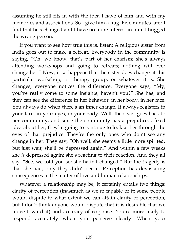assuming he still fits in with the idea I have of him and with my memories and associations. So I give him a hug. Five minutes later I find that he's changed and I have no more interest in him. I hugged the wrong person.

If you want to see how true this is, listen: A religious sister from India goes out to make a retreat. Everybody in the community is saying, "Oh, we know, that's part of her charism; she's always attending workshops and going to retreats; nothing will ever change her." Now, it so happens that the sister does change at this particular workshop, or therapy group, or whatever it is. She changes; everyone notices the difference. Everyone says, "My, you've really come to some insights, haven't you?" She has, and they can see the difference in her behavior, in her body, in her face. You always do when there's an inner change. It always registers in your face, in your eyes, in your body. Well, the sister goes back to her community, and since the community has a prejudiced, fixed idea about her, they're going to continue to look at her through the eyes of that prejudice. They're the only ones who don't see any change in her. They say, "Oh well, she seems a little more spirited, but just wait, she'll be depressed again." And within a few weeks she *is* depressed again; she's reacting to their reaction. And they all say, "See, we told you so; she hadn't changed." But the tragedy is that she had, only they didn't see it. Perception has devastating consequences in the matter of love and human relationships.

Whatever a relationship may be, it certainly entails two things: clarity of perception (inasmuch as we're capable of it; some people would dispute to what extent we can attain clarity of perception, but I don't think anyone would dispute that it is desirable that we move toward it) and accuracy of response. You're more likely to respond accurately when you perceive clearly. When your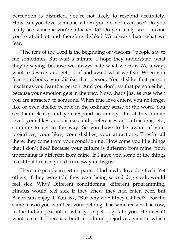perception is distorted, you're not likely to respond accurately. How can you love someone whom you do not even see? Do you really see someone you're attached to? Do you really see someone you're afraid of and therefore dislike? We always hate what we fear.

"The fear of the Lord is the beginning of wisdom," people say to me sometimes. But wait a minute. I hope they understand what they're saying, because we always hate what we fear. We always want to destroy and get rid of and avoid what we fear. When you fear somebody, you dislike that person. You dislike that person insofar as you fear that person. And you don't *see* that person either, because your emotion gets in the way. Now, that's just as true when you are attracted to someone. When true love enters, you no longer like or even dislike people in the ordinary sense of the word. You see them clearly and you respond accurately. But at this human level, your likes and dislikes and preferences and attractions, etc., continue to get in the way. So you have to be aware of your prejudices, your likes, your dislikes, your attractions. They're all there, they come from your conditioning. How come you like things that I don't like? Because your culture is different from mine. Your upbringing is different from mine. If I gave you some of the things to eat that I relish, you'd turn away in disgust.

There are people in certain parts of India who love dog flesh. Yet others, if they were told they were being served dog steak, would feel sick. Why? Different conditioning, different programming. Hindus would feel sick if they knew they had eaten beef, but Americans enjoy it. You ask, "But why won't they eat beef?" For the same reason you won't eat your pet dog. The same reason. The cow, to the Indian peasant, is what your pet dog is to you. He doesn't want to eat it. There is a built-in cultural prejudice against it which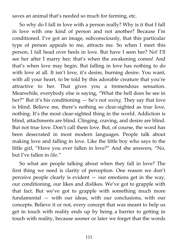saves an animal that's needed so much for farming, etc.

So why do I fall in love with a person really? Why is it that I fall in love with one kind of person and not another? Because I'm conditioned. I've got an image, subconsciously, that this particular type of person appeals to me, attracts me. So when I meet this person, I fall head over heels in love. But have I seen her? No! I'll see her after I marry her; that's when the awakening comes! And that's when love may begin. But falling in love has nothing to do with love at all. It isn't love, it's desire, burning desire. You want, with all your heart, to be told by this adorable creature that you're attractive to her. That gives you a tremendous sensation. Meanwhile, everybody else is saying, "What the hell does he see in her?" But it's his conditioning — he's not *seeing*. They say that love is blind. Believe me, there's nothing so clear-sighted as true love, nothing. It's the most clear-sighted thing in the world. Addiction is blind, attachments are blind. Clinging, craving, and desire are blind. But not true love. Don't call them love. But, of course, the word has been desecrated in most modern languages. People talk about making love and falling in love. Like the little boy who says to the little girl, "Have you ever fallen in love?" And she answers, "No, but I've fallen in *like*."

So what are people talking about when they fall in love? The first thing we need is clarity of perception. One reason we don't perceive people clearly is evident — our emotions get in the way, our conditioning, our likes and dislikes. We've got to grapple with that fact. But we've got to grapple with something much more fundamental — with our ideas, with our conclusions, with our concepts. Believe it or not, every concept that was meant to help us get in touch with reality ends up by being a barrier to getting in touch with reality, because sooner or later we forget that the words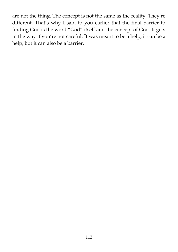are not the thing. The concept is not the same as the reality. They're different. That's why I said to you earlier that the final barrier to finding God is the word "God" itself and the concept of God. It gets in the way if you're not careful. It was meant to be a help; it can be a help, but it can also be a barrier.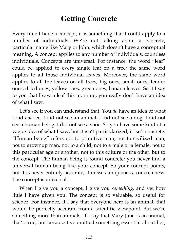# **Getting Concrete**

Every time I have a concept, it is something that I could apply to a number of individuals. We're not talking about a concrete, particular name like Mary or John, which doesn't have a conceptual meaning. A concept applies to any number of individuals, countless individuals. Concepts are universal. For instance, the word "leaf" could be applied to every single leaf on a tree; the same word applies to all those individual leaves. Moreover, the same word applies to all the leaves on all trees, big ones, small ones, tender ones, dried ones, yellow ones, green ones, banana leaves. So if I say to you that I saw a leaf this morning, you really don't have an idea of what I saw.

Let's see if you can understand that. You *do* have an idea of what I did *not* see. I did not see an animal. I did not see a dog. I did not see a human being. I did not see a shoe. So you have some kind of a vague idea of what I saw, but it isn't particularized, it isn't concrete. "Human being" refers not to primitive man, not to civilized man, not to grownup man, not to a child, not to a male or a female, not to this particular age or another, not to this culture or the other, but to the concept. The human being is found concrete; you never find a universal human being like your concept. So your concept points, but it is never entirely accurate; it misses uniqueness, concreteness. The concept is universal.

When I give you a concept, I give you *something*, and yet how little I have given you. The concept is so valuable, so useful for science. For instance, if I say that everyone here is an animal, that would be perfectly accurate from a scientific viewpoint. But we're something more than animals. If I say that Mary Jane is an animal, that's true; but because I've omitted something essential about her,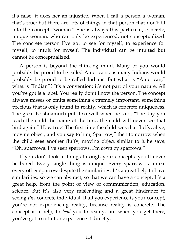it's false; it does her an injustice. When I call a person a woman, that's true; but there are lots of things in that person that don't fit into the concept "woman." She is always this particular, concrete, unique woman, who can only be experienced, not conceptualized. The concrete person I've got to see for myself, to experience for myself, to intuit for myself. The individual can be intuited but cannot be conceptualized.

A person is beyond the thinking mind. Many of you would probably be proud to be called Americans, as many Indians would probably be proud to be called Indians. But what is "American," what is "Indian"? It's a convention; it's not part of your nature. All you've got is a label. You really don't know the person. The concept always misses or omits something extremely important, something precious that is only found in reality, which is concrete uniqueness. The great Krishnamurti put it so well when he said, "The day you teach the child the name of the bird, the child will never see that bird again." How true! The first time the child sees that fluffy, alive, moving object, and you say to him, Sparrow," then tomorrow when the child sees another fluffy, moving object similar to it he says, "Oh, sparrows. I've seen sparrows. I'm *bored* by sparrows."

If you don't look at things through your concepts, you'll never be bored. Every single thing is unique. Every sparrow is unlike every other sparrow despite the similarities. It's a great help to have similarities, so we can abstract, so that we can have a concept. It's a great help, from the point of view of communication, education, science. But it's also very misleading and a great hindrance to seeing *this* concrete individual. If all you experience is your concept, you're not experiencing reality, because reality is concrete. The concept is a help, to *lead* you to reality, but when you get there, you've got to intuit or experience it directly.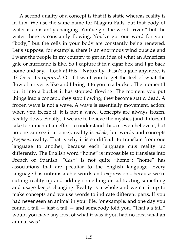A second quality of a concept is that it is static whereas reality is in flux. We use the same name for Niagara Falls, but that body of water is constantly changing. You've got the word "river," but the water there is constantly flowing. You've got one word for your "body," but the cells in your body are constantly being renewed. Let's suppose, for example, there is an enormous wind outside and I want the people in my country to get an idea of what an American gale or hurricane is like. So I capture it in a cigar box and I go back home and say, "Look at this." Naturally, it isn't a gale anymore, is it? Once it's *captured*. Or if I want you to get the feel of what the flow of a river is like and I bring it to you in a bucket. The moment I put it into a bucket it has stopped flowing. The moment you put things into a concept, they stop flowing; they become static, dead. A frozen wave is not a wave. A wave is essentially movement, action; when you freeze it, it is not a wave. Concepts are always frozen. Reality flows. Finally, if we are to believe the mystics (and it doesn't take too much of an effort to understand this, or even believe it, but no one can see it at once), reality is *whole*, but words and concepts *fragment* reality. That is why it is so difficult to translate from one language to another, because each language cuts reality up differently. The English word "home" is impossible to translate into French or Spanish. "Casa" is not quite "home"; "home" has associations that are peculiar to the English language. Every language has untranslatable words and expressions, because we're cutting reality up and adding something or subtracting something and usage keeps changing. Reality is a whole and we cut it up to make concepts and we use words to indicate different parts. If you had never seen an animal in your life, for example, and one day you found a tail  $-$  just a tail  $-$  and somebody told you, "That's a tail," would you have any idea of what it was if you had no idea what an animal was?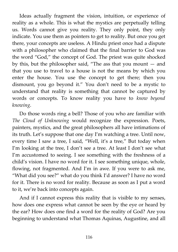Ideas actually fragment the vision, intuition, or experience of reality as a whole. This is what the mystics are perpetually telling us. Words cannot give you reality. They only point, they only indicate. You use them as pointers to get to reality. But once you get there, your concepts are useless. A Hindu priest once had a dispute with a philosopher who claimed that the final barrier to God was the word "God," the concept of God. The priest was quite shocked by this, but the philosopher said, "The ass that you mount — and that you use to travel to a house is not the means by which you enter the house. You use the concept to get there; then you dismount, you go beyond it." You don't need to be a mystic to understand that reality is something that cannot be captured by words or concepts. To know reality you have to *know beyond knowing*.

Do those words ring a bell? Those of you who are familiar with *The Cloud of Unknowing* would recognize the expression. Poets, painters, mystics, and the great philosophers all have intimations of its truth. Let's suppose that one day I'm watching a tree. Until now, every time I saw a tree, I said, "Well, it's a tree," But today when I'm looking at the tree, I don't see a tree. At least I don't see what I'm accustomed to seeing. I see something with the freshness of a child's vision. I have no word for it. I see something unique, whole, flowing, not fragmented. And I'm in awe. If you were to ask me, "What did you see?" what do you think I'd answer? I have no word for it. There is no word for reality. Because as soon as I put a word to it, we're back into concepts again.

And if I cannot express this reality that is visible to my senses, how does one express what cannot be seen by the eye or heard by the ear? How does one find a word for the reality of God? Are you beginning to understand what Thomas Aquinas, Augustine, and all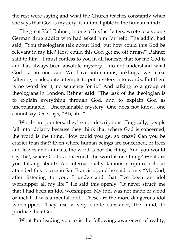the rest were saying and what the Church teaches constantly when she says that God is mystery, is unintelligible to the human mind?

The great Karl Rahner, in one of his last letters, wrote to a young German drug addict who had asked him for help. The addict had said, "You theologians talk about God, but how could this God be relevant in my life? How could this God get me off drugs?" Rahner said to him, "I must confess to you in all honesty that for me God is and has always been absolute mystery. I do not understand what God is; no one can. We have intimations, inklings; we make faltering, inadequate attempts to put mystery into words. But there is no word for it, no sentence for it." And talking to a group of theologians in London, Rahner said, "The task of the theologian is to explain everything through God, and to explain God as unexplainable." Unexplainable mystery. One does not know, one cannot say. One says, "Ah, ah..."

Words are pointers, they're not descriptions. Tragically, people fall into idolatry because they think that where God is concerned, the word is the thing. How could you get so crazy? Can you be crazier than that? Even where human beings are concerned, or trees and leaves and animals, the word is not the thing. And you would say that, where God is concerned, the word is one thing? What are you talking about? An internationally famous scripture scholar attended this course in San Francisco, and he said to me, "My God, after listening to you, I understand that I've been an idol worshipper all my life!" He said this openly. "It never struck me that I had been an idol worshipper. My idol was not made of wood or metal; it was a mental idol." These are the more dangerous idol worshippers. They use a very subtle substance, the mind, to produce their God.

What I'm leading you to is the following: awareness of reality,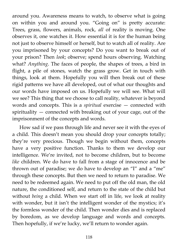around you. Awareness means to watch, to observe what is going on within you and around you. "Going on" is pretty accurate: Trees, grass, flowers, animals, rock, *all* of reality is moving. One observes it, one watches it. How essential it is for the human being not just to observe himself or herself, but to watch all of reality. Are you imprisoned by your concepts? Do you want to break out of your prison? Then *look*; observe; spend hours observing. Watching what? *Anything*. The faces of people, the shapes of trees, a bird in flight, a pile of stones, watch the grass grow. Get in touch with things, look at them. Hopefully you will then break out of these rigid patterns we have all developed, out of what our thoughts and our words have imposed on us. Hopefully we will see. What will we see? This thing that we choose to call reality, whatever is beyond words and concepts. This is a *spiritual* exercise — connected with spirituality — connected with breaking out of your cage, out of the imprisonment of the concepts and words.

How sad if we pass through life and never see it with the eyes of a child. This doesn't mean you should drop your concepts totally; they're very precious. Though we begin without them, concepts have a very positive function. Thanks to them we develop our intelligence. We're invited, not to become children, but to become *like* children. We do have to fall from a stage of innocence and be thrown out of paradise; we do have to develop an "I" and a "me" through these concepts. But then we need to return to paradise. We need to be redeemed again. We need to put off the old man, the old nature, the conditioned self, and return to the state of the child but without *being* a child. When we start off in life, we look at reality with wonder, but it isn't the intelligent wonder of the mystics; it's the formless wonder of the child. Then wonder dies and is replaced by boredom, as we develop language and words and concepts. Then hopefully, if we're lucky, we'll return to wonder again.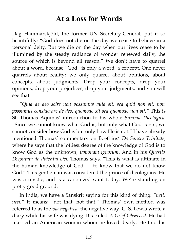#### **At a Loss for Words**

Dag Hammarskjöld, the former UN Secretary-General, put it so beautifully: "God does not die on the day we cease to believe in a personal deity. But we die on the day when our lives cease to be illumined by the steady radiance of wonder renewed daily, the source of which is beyond all reason." We don't have to quarrel about a word, because "God" is only a word, a concept. One never quarrels about reality; we only quarrel about opinions, about concepts, about judgments. Drop your concepts, drop your opinions, drop your prejudices, drop your judgments, and you will see that.

*"Quia de deo scire non possumus quid sit, sed quid non sit, non possumus considerare de deo, quomodo sit sed quomodo non sit."* This is St. Thomas Aquinas' introduction to his whole *Summa Theologica*: "Since we cannot know what God is, but only what God is not, we cannot consider how God is but only how He is not." I have already mentioned Thomas' commentary on Boethius' *De Sancta Trinitate*, where he says that the loftiest degree of the knowledge of God is to know God as the unknown, *tamquam ignotum*. And in his *Questio Disputata de Potentia Dei*, Thomas says, "This is what is ultimate in the human knowledge of God — to know that we do not know God." This gentleman was considered the prince of theologians. He was a mystic, and is a canonized saint today. We're standing on pretty good ground.

In India, we have a Sanskrit saying for this kind of thing: *"neti, neti."* It means: "not that, not that." Thomas' own method was referred to as the *via negativa*, the negative way. C. S. Lewis wrote a diary while his wife was dying. It's called *A Grief Observed*. He had married an American woman whom he loved dearly. He told his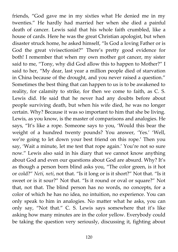friends, "God gave me in my sixties what He denied me in my twenties." He hardly had married her when she died a painful death of cancer. Lewis said that his whole faith crumbled, like a house of cards. Here he was the great Christian apologist, but when disaster struck home, he asked himself, "Is God a loving Father or is God the great vivisectionist?" There's pretty good evidence for both! I remember that when my own mother got cancer, my sister said to me, "Tony, why did God allow this to happen to Mother?" I said to her, "My dear, last year a million people died of starvation in China because of the drought, and you never raised a question." Sometimes the best thing that can happen to us is to be awakened to reality, for calamity to strike, for then we come to faith, as C. S. Lewis did. He said that he never had any doubts before about people surviving death, but when his wife died, he was no longer certain. Why? Because it was so important to him that she be living. Lewis, as you know, is the master of comparisons and analogies. He says, "It's like a rope. Someone says to you, 'Would this bear the weight of a hundred twenty pounds? You answer, 'Yes.' 'Well, we're going to let down your best friend on this rope.' Then you say, 'Wait a minute, let me test that rope again.' You're not so sure now." Lewis also said in his diary that we cannot know anything about God and even our questions about God are absurd. Why? It's as though a person born blind asks you, "The color green, is it hot or cold?" *Neti, neti*, not that. "Is it long or is it short?" Not that. "Is it sweet or is it sour?" Not that. "Is it round or oval or square?" Not that, not that. The blind person has no words, no concepts, for a color of which he has no idea, no intuition, no experience. You can only speak to him in analogies. No matter what he asks, you can only say, "Not that." C. S. Lewis says somewhere that it's like asking how many minutes are in the color yellow. Everybody could be taking the question very seriously, discussing it, fighting about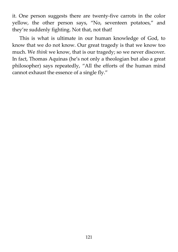it. One person suggests there are twenty-five carrots in the color yellow, the other person says, "No, seventeen potatoes," and they're suddenly fighting. Not that, not that!

This is what is ultimate in our human knowledge of God, to know that we do not know. Our great tragedy is that we know too much. We *think* we know, that is our tragedy; so we never discover. In fact, Thomas Aquinas (he's not only a theologian but also a great philosopher) says repeatedly, "All the efforts of the human mind cannot exhaust the essence of a single fly."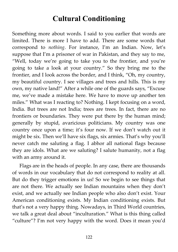# **Cultural Conditioning**

Something more about words. I said to you earlier that words are limited. There is more I have to add. There are some words that correspond to *nothing*. For instance, I'm an Indian. Now, let's suppose that I'm a prisoner of war in Pakistan, and they say to me, "Well, today we're going to take you to the frontier, and you're going to take a look at your country." So they bring me to the frontier, and I look across the border, and I think, "Oh, my country, my beautiful country. I see villages and trees and hills. This is my own, my native land!" After a while one of the guards says, "Excuse me, we've made a mistake here. We have to move up another ten miles." What was I reacting to? Nothing. I kept focusing on a word, India. But trees are not India; trees are trees. In fact, there are no frontiers or boundaries. They were put there by the human mind; generally by stupid, avaricious politicians. My country was one country once upon a time; it's four now. If we don't watch out it might be six. Then we'll have six flags, six armies. That's why you'll never catch me saluting a flag. I abhor all national flags because they are idols. What are we saluting? I salute humanity, not a flag with an army around it.

Flags are in the heads of people. In any case, there are thousands of words in our vocabulary that do not correspond to reality at all. But do they trigger emotions in us! So we begin to see things that are not there. We actually see Indian mountains when they don't exist, and we actually see Indian people who also don't exist. Your American conditioning exists. My Indian conditioning exists. But that's not a very happy thing. Nowadays, in Third World countries, we talk a great deal about "inculturation." What is this thing called "culture"? I'm not very happy with the word. Does it mean you'd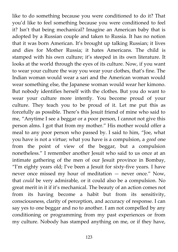like to do something because you were conditioned to do it? That you'd like to feel something because you were conditioned to feel it? Isn't that being mechanical? Imagine an American baby that is adopted by a Russian couple and taken to Russia. It has no notion that it was born American. It's brought up talking Russian; it lives and dies for Mother Russia; it hates Americans. The child is stamped with his own culture; it's steeped in its own literature. It looks at the world through the eyes of its culture. Now, if you want to wear your culture the way you wear your clothes, that's fine. The Indian woman would wear a sari and the American woman would wear something else, the Japanese woman would wear her kimono. But nobody identifies herself with the clothes. But you do want to wear your culture more intently. You become proud of your culture. They teach you to be proud of it. Let me put this as forcefully as possible. There's this Jesuit friend of mine who said to me, "Anytime I see a beggar or a poor person, I cannot not give this person alms. I got that from my mother." His mother would offer a meal to any poor person who passed by. I said to him, "Joe, what you have is not a virtue; what you have is a compulsion, a *good* one from the point of view of the beggar, but a compulsion nonetheless." I remember another Jesuit who said to us once at an intimate gathering of the men of our Jesuit province in Bombay, "I'm eighty years old; I've been a Jesuit for sixty-five years. I have never once missed my hour of meditation — never once." Now, that *could* be very admirable, or it could also be a compulsion. No great merit in it if it's mechanical. The beauty of an action comes not from its having become a habit but from its sensitivity, consciousness, clarity of perception, and accuracy of response. I can say yes to one beggar and no to another. I am not compelled by any conditioning or programming from my past experiences or from my culture. Nobody has stamped anything on me, or if they have,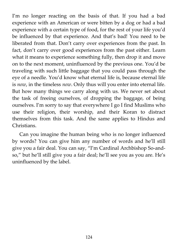I'm no longer reacting on the basis of that. If you had a bad experience with an American or were bitten by a dog or had a bad experience with a certain type of food, for the rest of your life you'd be influenced by that experience. And that's bad! You need to be liberated from that. Don't carry over experiences from the past. In fact, don't carry over good experiences from the past either. Learn what it means to experience something fully, then drop it and move on to the next moment, uninfluenced by the previous one. You'd be traveling with such little baggage that you could pass through the eye of a needle. You'd know what eternal life is, because eternal life is *now*, in the timeless *now*. Only thus will you enter into eternal life. But how many things we carry along with us. We never set about the task of freeing ourselves, of dropping the baggage, of being ourselves. I'm sorry to say that everywhere I go I find Muslims who use their religion, their worship, and their Koran to distract themselves from this task. And the same applies to Hindus and Christians.

Can you imagine the human being who is no longer influenced by words? You can give him any number of words and he'll still give you a fair deal. You can say, "I'm Cardinal Archbishop So-andso," but he'll still give you a fair deal; he'll see you as you are. He's uninfluenced by the label.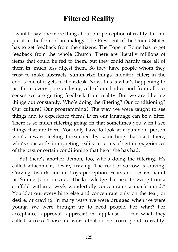# **Filtered Reality**

I want to say one more thing about our perception of reality. Let me put it in the form of an analogy. The President of the United States has to get feedback from the citizens. The Pope in Rome has to get feedback from the whole Church. There are literally millions of items that could be fed to them, but they could hardly take all of them in, much less digest them. So they have people whom they trust to make abstracts, summarize things, monitor, filter; in the end, some of it gets to their desk. Now, this is what's happening to us. From every pore or living cell of our bodies and from all our senses we are getting feedback from reality. But we are filtering things out constantly. Who's doing the filtering? Our conditioning? Our culture? Our programming? The way we were taught to see things and to experience them? Even our language can be a filter. There is so much filtering going on that sometimes you won't see things that are there. You only have to look at a paranoid person who's always feeling threatened by something that isn't there, who's constantly interpreting reality in terms of certain experiences of the past or certain conditioning that he or she has had.

But there's another demon, too, who's doing the filtering. It's called attachment, desire, craving. The root of sorrow is craving. Craving distorts and destroys perception. Fears and desires haunt us. Samuel Johnson said, "The knowledge that he is to swing from a scaffold within a week wonderfully concentrates a man's mind." You blot out everything else and concentrate only on the fear, or desire, or craving. In many ways we were drugged when we were young. We were brought up to need people. For what? For acceptance, approval, appreciation, applause  $-$  for what they called success. Those are words that do not correspond to reality.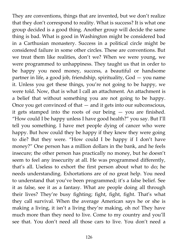They are conventions, things that are invented, but we don't realize that they don't correspond to reality. What is success? It is what one group decided is a good thing. Another group will decide the same thing is bad. What is good in Washington might be considered bad in a Carthusian monastery. Success in a political circle might be considered failure in some other circles. These are conventions. But we treat them like realities, don't we? When we were young, we were programmed to unhappiness. They taught us that in order to be happy you need money, success, a beautiful or handsome partner in life, a good job, friendship, spirituality, God — you name it. Unless you get these things, you're not going to be happy, we were told. Now, that is what I call an attachment. An attachment is a belief that without something you are not going to be happy. Once you get convinced of that — and it gets into our subconscious, it gets stamped into the roots of our being — you are finished. "How could I be happy unless I have good health?" you say. But I'll tell you something. I have met people dying of cancer who were happy. But how could they be happy if they knew they were going to die? But they were. "How could I be happy if I don't have money?" One person has a million dollars in the bank, and he feels insecure; the other person has practically no money, but he doesn't seem to feel any insecurity at all. He was programmed differently, that's all. Useless to exhort the first person about what to do; he needs understanding. Exhortations are of no great help. You need to understand that you've been programmed; it's a false belief. See it as false, see it as a fantasy. What are people doing all through their lives? They're busy fighting; fight, fight, fight. That's what they call survival. When the average American says he or she is making a living, it isn't a living they're making, oh no! They have much more than they need to live. Come to my country and you'll see that. You don't need all those cars to live. You don't need a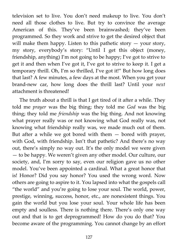television set to live. You don't need makeup to live. You don't need all those clothes to live. But try to convince the average American of this. They've been brainwashed; they've been programmed. So they work and strive to get the desired object that will make them happy. Listen to this pathetic story  $-$  your story, my story, everybody's story: "Until I get this object (money, friendship, anything) I'm not going to be happy; I've got to strive to get it and then when I've got it, I've got to strive to keep it. I get a temporary thrill. Oh, I'm so thrilled, I've got it!" But how long does that last? A few minutes, a few days at the most. When you get your brand-new car, how long does the thrill last? Until your *next* attachment is threatened!

The truth about a thrill is that I get tired of it after a while. They told me *prayer* was the big thing; they told me *God* was the big thing; they told me *friendship* was the big thing. And not knowing what prayer really was or not knowing what God really was, not knowing what friendship really was, we made much out of them. But after a while we got bored with them  $-$  bored with prayer, with God, with friendship. Isn't that pathetic? And there's no way out, there's simply no way out. It's the only model we were given — to be happy. We weren't given any other model. Our culture, our society, and, I'm sorry to say, even our religion gave us no other model. You've been appointed a cardinal. What a great honor that is! Honor? Did you say honor? You used the wrong word. Now others are going to aspire to it. You lapsed into what the gospels call "the world" and you're going to lose your soul. The world, power, prestige, winning, success, honor, etc., are nonexistent things. You gain the world but you lose your soul. Your whole life has been empty and soulless. There is nothing there. There's only one way out and that is to get deprogrammed! How do you do that? You become aware of the programming. You cannot change by an effort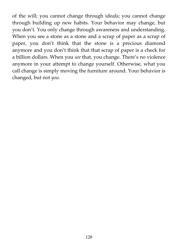of the will; you cannot change through ideals; you cannot change through building up new habits. Your behavior may change, but you don't. You only change through awareness and understanding. When you see a stone as a stone and a scrap of paper as a scrap of paper, you don't think that the stone is a precious diamond anymore and you don't think that that scrap of paper is a check for a billion dollars. When you *see* that, you change. There's no violence anymore in your attempt to change yourself. Otherwise, what you call change is simply moving the furniture around. Your behavior is changed, but not *you*.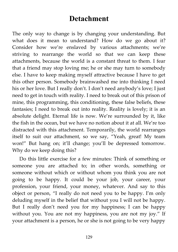#### **Detachment**

The only way to change is by changing your understanding. But what does it mean to understand? How do we go about it? Consider how we're enslaved by various attachments; we're striving to rearrange the world so that we can keep these attachments, because the world is a constant threat to them. I fear that a friend may stop loving me; he or she may turn to somebody else. I have to keep making myself attractive because I have to get this other person. Somebody brainwashed me into thinking I need his or her love. But I really don't. I don't need anybody's love; I just need to get in touch with reality. I need to break out of this prison of mine, this programming, this conditioning, these false beliefs, these fantasies; I need to break out into reality. Reality is lovely; it is an absolute delight. Eternal life is now. We're surrounded by it, like the fish in the ocean, but we have no notion about it at all. We're too distracted with this attachment. Temporarily, the world rearranges itself to suit our attachment, so we say, "Yeah, great! My team won!" But hang on; it'll change; you'll be depressed tomorrow. Why do we keep doing this?

Do this little exercise for a few minutes: Think of something or someone you are attached to; in other words, something or someone without which or without whom you think you are not going to be happy. It could be your job, your career, your profession, your friend, your money, whatever. And say to this object or person, "I really do not need you to be happy. I'm only deluding myself in the belief that without you I will not be happy. But I really don't need you for my happiness; I can be happy without you. You are not my happiness, you are not my joy." If your attachment is a person, he or she is not going to be very happy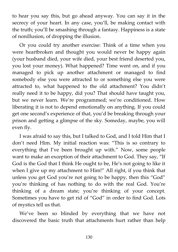to hear you say this, but go ahead anyway. You can say it in the secrecy of your heart. In any case, you'll, be making contact with the truth; you'll be smashing through a fantasy. Happiness is a state of nonillusion, of dropping the illusion.

Or you could try another exercise: Think of a time when you were heartbroken and thought you would never be happy again (your husband died, your wife died, your best friend deserted you, you lost your money). What happened? Time went on, and if you managed to pick up another attachment or managed to find somebody else you were attracted to or something else you were attracted to, what happened to the old attachment? You didn't really need it to be happy, did you? That should have taught you, but we never learn. We're programmed; we're conditioned. How liberating it is not to depend emotionally on anything. If you could get one second's experience of that, you'd be breaking through your prison and getting a glimpse of the sky. Someday, maybe, you will even fly.

I was afraid to say this, but I talked to God, and I told Him that I don't need Him. My initial reaction was: "This is so contrary to everything that I've been brought up with." Now, some people want to make an exception of their attachment to God. They say, "If God is the God that I think He ought to be, He's not going to like it when I give up my attachment to Him!" All right, if you think that unless you get God you're not going to be happy, then this "God" you're thinking of has nothing to do with the real God. You're thinking of a dream state; you're thinking of your concept. Sometimes you have to get rid of "God" in order to find God. Lots of mystics tell us that.

We've been so blinded by everything that we have not discovered the basic truth that attachments hurt rather than help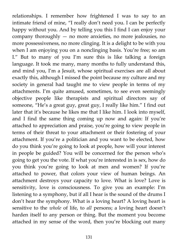relationships. I remember how frightened I was to say to an intimate friend of mine, "I really don't need you. I can be perfectly happy without you. And by telling you this I find I can enjoy your company thoroughly — no more anxieties, no more jealousies, no more possessiveness, no more clinging. It is a delight to be with you when I am enjoying you on a nonclinging basis. You're free; so am I." But to many of you I'm sure this is like talking a foreign language. It took me many, many months to fully understand this, and mind you, I'm a Jesuit, whose spiritual exercises are all about exactly this, although I missed the point because my culture and my society in general had taught me to view people in terms of my attachments. I'm quite amused, sometimes, to see even seemingly objective people like therapists and spiritual directors say of someone, "He's a great guy, great guy, I really like him." I find out later that it's because he likes me that I like him. I look into myself, and I find the same thing coming up now and again: If you're attached to appreciation and praise, you're going to view people in terms of their threat to your attachment or their fostering of your attachment. If you're a politician and you want to be elected, how do you think you're going to look at people, how will your interest in people be guided? You will be concerned for the person who's going to get you the vote. If what you're interested in is sex, how do you think you're going to look at men and women? If you're attached to power, that colors your view of human beings. An attachment destroys your capacity to love. What is love? Love is sensitivity, love is consciousness. To give you an example: I'm listening to a symphony, but if all I hear is the sound of the drums I don't hear the symphony. What is a loving heart? A loving heart is sensitive to the *whole* of life, to *all* persons; a loving heart doesn't harden itself to any person or thing. But the moment you become attached in my sense of the word, then you're blocking out many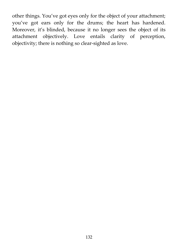other things. You've got eyes only for the object of your attachment; you've got ears only for the drums; the heart has hardened. Moreover, it's blinded, because it no longer sees the object of its attachment objectively. Love entails clarity of perception, objectivity; there is nothing so clear-sighted as love.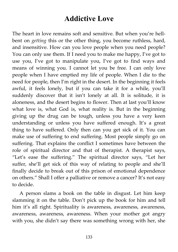## **Addictive Love**

The heart in love remains soft and sensitive. But when you're hellbent on *getting* this or the other thing, you become ruthless, hard, and insensitive. How can you love people when you need people? You can only use them. If I need you to make me happy, I've got to use you, I've got to manipulate you, I've got to find ways and means of winning you. I cannot let you be free. I can only love people when I have emptied my life of people. When I die to the need for people, then I'm right in the desert. In the beginning it feels awful, it feels lonely, but if you can take it for a while, you'll suddenly discover that it isn't lonely at all. It is solitude, it is aloneness, and the desert begins to flower. Then at last you'll know what love is, what God is, what reality is. But in the beginning giving up the drug can be tough, unless you have a very keen understanding or unless you have suffered enough. It's a great thing to have suffered. Only then can you get sick of it. You can make use of suffering to end suffering. Most people simply go on suffering. That explains the conflict I sometimes have between the role of spiritual director and that of therapist. A therapist says, "Let's ease the suffering." The spiritual director says, "Let her suffer, she'll get sick of this way of relating to people and she'll finally decide to break out of this prison of emotional dependence on others." Shall I offer a palliative or remove a cancer? It's not easy to decide.

A person slams a book on the table in disgust. Let him keep slamming it on the table. Don't pick up the book for him and tell him it's all right. Spirituality is awareness, awareness, awareness, awareness, awareness, awareness. When your mother got angry with you, she didn't say there was something wrong with her, she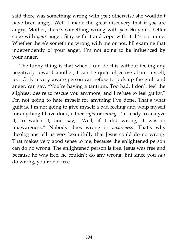said there was something wrong with *you*; otherwise she wouldn't have been angry. Well, I made the great discovery that if *you* are angry, Mother, there's something wrong with *you*. So you'd better cope with *your* anger. Stay with it and cope with it. It's not mine. Whether there's something wrong with me or not, I'll examine that independently of your anger. I'm not going to be influenced by your anger.

The funny thing is that when I can do this without feeling any negativity toward another, I can be quite objective about myself, too. Only a very aware person can refuse to pick up the guilt and anger, can say, "You're having a tantrum. Too bad. I don't feel the slightest desire to rescue you anymore, and I refuse to feel guilty." I'm not going to hate myself for anything I've done. That's what guilt is. I'm not going to give myself a bad feeling and whip myself for anything I have done, either *right* or *wrong*. I'm ready to analyze it, to watch it, and say, "Well, if I did wrong, it was in unawareness." Nobody does wrong in *awareness*. That's why theologians tell us very beautifully that Jesus could do no wrong. That makes very good sense to me, because the enlightened person can do no wrong. The enlightened person is free. Jesus was free and because he was free, he couldn't do any wrong. But since you *can* do wrong, you're not free.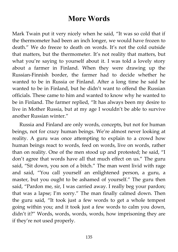## **More Words**

Mark Twain put it very nicely when he said, "It was so cold that if the thermometer had been an inch longer, we would have frozen to death." We do freeze to death on words. It's not the cold outside that matters, but the thermometer. It's not reality that matters, but what you're saying to yourself about it. I was told a lovely story about a farmer in Finland. When they were drawing up the Russian-Finnish border, the farmer had to decide whether he wanted to be in Russia or Finland. After a long time he said he wanted to be in Finland, but he didn't want to offend the Russian officials. These came to him and wanted to know why he wanted to be in Finland. The farmer replied, "It has always been my desire to live in Mother Russia, but at my age I wouldn't be able to survive another Russian winter."

Russia and Finland are only words, concepts, but not for human beings, not for crazy human beings. We're almost never looking at reality. A guru was once attempting to explain to a crowd how human beings react to words, feed on words, live on words, rather than on reality. One of the men stood up and protested; he said, "I don't agree that words have all that much effect on us." The guru said, "Sit down, you son of a bitch." The man went livid with rage and said, "You call yourself an enlightened person, a guru, a master, but you ought to be ashamed of yourself." The guru then said, "Pardon me, sir, I was carried away. I really beg your pardon; that was a lapse; I'm sorry." The man finally calmed down. Then the guru said, "It took just a few words to get a whole tempest going within you; and it took just a few words to calm you down, didn't it?" Words, words, words, words, how imprisoning they are if they're not used properly.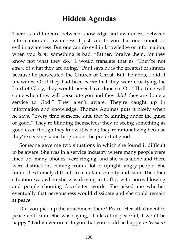# **Hidden Agendas**

There is a difference between knowledge and awareness, between information and awareness. I just said to you that one cannot do evil in awareness. But one can do evil in knowledge or information, when you *know* something is bad. "Father, forgive them, for they know not what they do." I would translate that as "They're not *aware* of what they are doing." Paul says he is the greatest of sinners because he persecuted the Church of Christ. But, he adds, I did it unawares. Or if they had been *aware* that they were crucifying the Lord of Glory, they would never have done so. Or: "The time will come when they will persecute you and they *think* they are doing a service to God." They aren't aware. They're caught up in information and knowledge. Thomas Aquinas puts it nicely when he says, "Every time someone sins, they're sinning under the guise of good." They're blinding themselves; they're seeing something as good even though they know it is bad; they're rationalizing because they're seeking something under the pretext of good.

Someone gave me two situations in which she found it difficult to be aware. She was in a service industry where many people were lined up, many phones were ringing, and she was alone and there were distractions coming from a lot of uptight, angry people. She found it extremely difficult to maintain serenity and calm. The other situation was when she was driving in traffic, with horns blowing and people shouting four-letter words. She asked me whether eventually that nervousness would dissipate and she could remain at peace.

Did you pick up the attachment there? Peace. Her attachment to peace and calm. She was saying, "Unless I'm peaceful, I won't be happy." Did it ever occur to you that you could be happy *in tension*?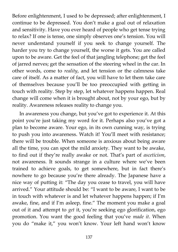Before enlightenment, I used to be depressed; after enlightenment, I continue to be depressed. You don't make a goal out of relaxation and sensitivity. Have you ever heard of people who get tense trying to relax? If one is tense, one simply observes one's tension. You will never understand yourself if you seek to change yourself. The harder you try to change yourself, the worse it gets. You are called upon to be aware. Get the feel of that jangling telephone; get the feel of jarred nerves; get the sensation of the steering wheel in the car. In other words, come to *reality*, and let tension or the calmness take care of itself. As a matter of fact, you will have to let them take care of themselves because you'll be too preoccupied with getting in touch with reality. Step by step, let whatever happens happen. Real change will come when it is brought about, not by your ego, but by reality. Awareness releases reality to change you.

In awareness you change, but you've got to experience it. At this point you're just taking my word for it. Perhaps also you've got a plan to become aware. Your ego, in its own cunning way, is trying to push you into awareness. Watch it! You'll meet with resistance; there will be trouble. When someone is anxious about being aware all the time, you can spot the mild anxiety. They want to be awake, to find out if they're really awake or not. That's part of *asceticism*, not awareness. It sounds strange in a culture where we've been trained to achieve goals, to get somewhere, but in fact there's nowhere to go because you're there already. The Japanese have a nice way of putting it: "The day you cease to travel, you will have arrived." Your attitude should be: "I want to be aware, I want to be in touch with whatever is and let whatever happens happen; if I'm awake, fine, and if I'm asleep, fine." The moment you make a goal out of it and attempt to *get* it, you're seeking ego glorification, ego promotion. You want the good feeling that you've *made it*. When you do "make it," you won't know. Your left hand won't know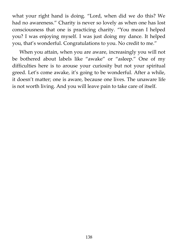what your right hand is doing. "Lord, when did we do this? We had no awareness." Charity is never so lovely as when one has lost consciousness that one is practicing charity. "You mean I helped you? I was enjoying myself. I was just doing my dance. It helped you, that's wonderful. Congratulations to you. No credit to me."

When you attain, when you are aware, increasingly you will not be bothered about labels like "awake" or "asleep." One of my difficulties here is to arouse your curiosity but not your spiritual greed. Let's come awake, it's going to be wonderful. After a while, it doesn't matter; one is aware, because one lives. The unaware life is not worth living. And you will leave pain to take care of itself.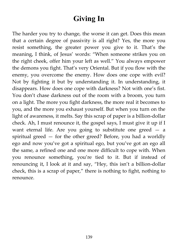# **Giving In**

The harder you try to change, the worse it can get. Does this mean that a certain degree of passivity is all right? Yes, the more you resist something, the greater power you give to it. That's the meaning, I think, of Jesus' words: "When someone strikes you on the right cheek, offer him your left as well." You always empower the demons you fight. That's very Oriental. But if you flow with the enemy, you overcome the enemy. How does one cope with evil? Not by fighting it but by understanding it. In understanding, it disappears. How does one cope with darkness? Not with one's fist. You don't chase darkness out of the room with a broom, you turn on a light. The more you fight darkness, the more real it becomes to you, and the more you exhaust yourself. But when you turn on the light of awareness, it melts. Say this scrap of paper is a billion-dollar check. Ah, I must renounce it, the gospel says, I must give it up if I want eternal life. Are you going to substitute one greed  $-$  a spiritual greed — for the other greed? Before, you had a worldly ego and now you've got a spiritual ego, but you've got an ego all the same, a refined one and one more difficult to cope with. When you renounce something, you're tied to it. But if instead of renouncing it, I look at it and say, "Hey, this isn't a billion-dollar check, this is a scrap of paper," there is nothing to fight, nothing to renounce.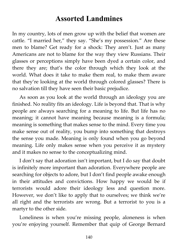#### **Assorted Landmines**

In my country, lots of men grow up with the belief that women are cattle. "I married her," they say. "She's my possession." Are these men to blame? Get ready for a shock: They aren't. Just as many Americans are not to blame for the way they view Russians. Their glasses or perceptions simply have been dyed a certain color, and there they are; that's the color through which they look at the world. What does it take to make them real, to make them aware that they're looking at the world through colored glasses? There is no salvation till they have seen their basic prejudice.

As soon as you look at the world through an ideology you are finished. No reality fits an ideology. Life is beyond that. That is why people are always searching for a meaning to life. But life has no meaning; it cannot have meaning because meaning is a formula; meaning is something that makes sense to the mind. Every time you make sense out of reality, you bump into something that destroys the sense you made. Meaning is only found when you go beyond meaning. Life only makes sense when you perceive it as mystery and it makes no sense to the conceptualizing mind.

I don't say that adoration isn't important, but I do say that doubt is infinitely more important than adoration. Everywhere people are searching for objects to adore, but I don't find people awake enough in their attitudes and convictions. How happy we would be if terrorists would adore their ideology less and question more. However, we don't like to apply that to ourselves; we think we're all right and the terrorists are wrong. But a terrorist to you is a martyr to the other side.

Loneliness is when you're missing people, aloneness is when you're enjoying yourself. Remember that quip of George Bernard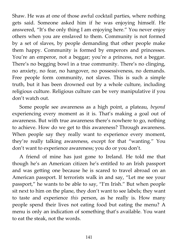Shaw. He was at one of those awful cocktail parties, where nothing gets said. Someone asked him if he was enjoying himself. He answered, "It's the only thing I am enjoying here." You never enjoy others when you are enslaved to them. Community is not formed by a set of slaves, by people demanding that other people make them happy. Community is formed by emperors and princesses. You're an emperor, not a beggar; you're a princess, not a beggar. There's no begging bowl in a true community. There's no clinging, no anxiety, no fear, no hangover, no possessiveness, no demands. Free people form community, not slaves. This is such a simple truth, but it has been drowned out by a whole culture, including religious culture. Religious culture can be very manipulative if you don't watch out.

Some people see awareness as a high point, a plateau, *beyond* experiencing every moment as it is. That's making a goal out of awareness. But with true awareness there's nowhere to go, nothing to achieve. How do we get to this awareness? Through awareness. When people say they really want to experience every moment, they're really talking awareness, except for that "wanting." You don't want to experience awareness; you do or you don't.

A friend of mine has just gone to Ireland. He told me that though he's an American citizen he's entitled to an Irish passport and was getting one because he is scared to travel abroad on an American passport. If terrorists walk in and say, "Let me see your passport," he wants to be able to say, "I'm Irish." But when people sit next to him on the plane, they don't want to see labels; they want to taste and experience *this* person, as he really is. How many people spend their lives not eating food but eating the menu? A menu is only an indication of something that's available. You want to eat the steak, not the words.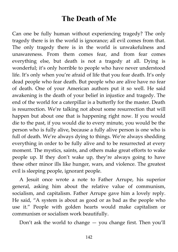## **The Death of Me**

Can one be fully human without experiencing tragedy? The only tragedy there is in the world is ignorance; all evil comes from that. The only tragedy there is in the world is unwakefulness and unawareness. From them comes fear, and from fear comes everything else, but death is not a tragedy at all. Dying is wonderful; it's only horrible to people who have never understood life. It's only when you're afraid of life that you fear death. It's only dead people who fear death. But people who are alive have no fear of death. One of your American authors put it so well. He said awakening is the death of your belief in injustice and tragedy. The end of the world for a caterpillar is a butterfly for the master. Death is resurrection. We're talking not about some resurrection that will happen but about one that is happening right now. If you would die to the past, if you would die to every minute, you would be the person who is fully alive, because a fully alive person is one who is full of death. We're always dying to things. We're always shedding everything in order to be fully alive and to be resurrected at every moment. The mystics, saints, and others make great efforts to wake people up. If they don't wake up, they're always going to have these other minor ills like hunger, wars, and violence. The greatest evil is sleeping people, ignorant people.

A Jesuit once wrote a note to Father Arrupe, his superior general, asking him about the relative value of communism, socialism, and capitalism. Father Arrupe gave him a lovely reply. He said, "A system is about as good or as bad as the people who use it." People with golden hearts would make capitalism or communism or socialism work beautifully.

Don't ask the world to change  $-$  you change first. Then you'll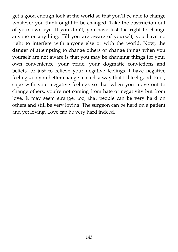get a good enough look at the world so that you'll be able to change whatever you think ought to be changed. Take the obstruction out of your own eye. If you don't, you have lost the right to change anyone or anything. Till you are aware of yourself, you have no right to interfere with anyone else or with the world. Now, the danger of attempting to change others or change things when you yourself are not aware is that you may be changing things for your own convenience, your pride, your dogmatic convictions and beliefs, or just to relieve your negative feelings. I have negative feelings, so you better change in such a way that I'll feel good. First, cope with your negative feelings so that when you move out to change others, you're not coming from hate or negativity but from love. It may seem strange, too, that people can be very hard on others and still be very loving. The surgeon can be hard on a patient and yet loving. Love can be very hard indeed.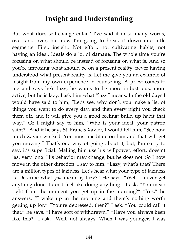### **Insight and Understanding**

But what does self-change entail? I've said it in so many words, over and over, but now I'm going to break it down into little segments. First, insight. Not effort, not cultivating habits, not having an ideal. Ideals do a lot of damage. The whole time you're focusing on what should be instead of focusing on what is. And so you're imposing what should be on a present reality, never having understood what present reality is. Let me give you an example of insight from my own experience in counseling. A priest comes to me and says he's lazy; he wants to be more industrious, more active, but he is lazy. I ask him what "lazy" means. In the old days I would have said to him, "Let's see, why don't you make a list of things you want to do every day, and then every night you check them off, and it will give you a good feeling; build up habit that way." Or I might say to him, "Who is your ideal, your patron saint?" And if he says St. Francis Xavier, I would tell him, "See how much Xavier worked. You must meditate on him and that will get you moving." That's one way of going about it, but, I'm sorry to say, it's superficial. Making him use his willpower, effort, doesn't last very long. His behavior may change, but he does not. So I now move in the other direction. I say to him, "Lazy, what's that? There are a million types of laziness. Let's hear what your type of laziness is. Describe what *you* mean by lazy?" He says, "Well, I never get anything done. I don't feel like doing anything." I ask, "You mean right from the moment you get up in the morning?" "Yes," he answers. "I wake up in the morning and there's nothing worth getting up for." "You're depressed, then?" I ask. "You could call it that," he says. "I have sort of withdrawn." "Have you always been like this?" I ask. "Well, not always. When I was younger, I was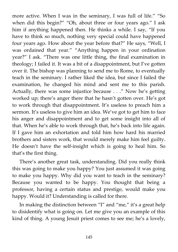more active. When I was in the seminary, I was full of life." "So when did this begin?" "Oh, about three or four years ago." I ask him if anything happened then. He thinks a while. I say, "If you have to think so much, nothing very special could have happened four years ago. How about the year before that?" He says, "Well, I was ordained that year." "Anything happen in your ordination year?" I ask. "There was one little thing, the final examination in theology; I failed it. It was a bit of a disappointment, but I've gotten over it. The bishop was planning to send me to Rome, to eventually teach in the seminary. I rather liked the idea, but since I failed the examination, he changed his mind and sent me to this parish. Actually, there was some injustice because . . ." Now he's getting worked up; there's anger there that he hasn't gotten over. He's got to work through that disappointment. It's useless to preach him a sermon. It's useless to give him an idea. We've got to get him to face his anger and disappointment and to get some insight into all of that. When he's able to work through that, he's back into life again. If I gave him an exhortation and told him how hard his married brothers and sisters work, that would merely make him feel guilty. He doesn't have the self-insight which is going to heal him. So that's the first thing.

There's another great task, understanding. Did you really think this was going to make you happy? You just assumed it was going to make you happy. Why did you want to teach in the seminary? Because you wanted to be happy. You thought that being a professor, having a certain status and prestige, would make you happy. Would it? Understanding is called for there.

In making the distinction between "I" and "me," it's a great help to disidentify what is going on. Let me give you an example of this kind of thing. A young Jesuit priest comes to see me; he's a lovely,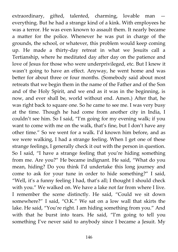extraordinary, gifted, talented, charming, lovable man everything. But he had a strange kind of a kink. With employees he was a terror. He was even known to assault them. It nearly became a matter for the police. Whenever he was put in charge of the grounds, the school, or whatever, this problem would keep coming up. He made a thirty-day retreat in what we Jesuits call a Tertianship, where he meditated day after day on the patience and love of Jesus for those who were underprivileged, etc. But I knew it wasn't going to have an effect. Anyway, he went home and was better for about three or four months. (Somebody said about most retreats that we begin them in the name of the Father and of the Son and of the Holy Spirit, and we end as it was in the beginning, is now, and ever shall be, world without end. Amen.) After that, he was right back to square one. So he came to see me. I was very busy at the time. Though he had come from another city in India, I couldn't see him. So I said, "I'm going for my evening walk; if you want to come with me on the walk, that's fine, but I don't have any other time." So we went for a walk. I'd known him before, and as we were walking, I had a strange feeling. When I get one of these strange feelings, I generally check it out with the person in question. So I said, "I have a strange feeling that you're hiding something from me. Are you?" He became indignant. He said, "What do you mean, hiding? Do you think I'd undertake this long journey and come to ask for your tune in order to hide something?" I said, "Well, it's a funny feeling I had, that's all; I thought I should check with you." We walked on. We have a lake not far from where I live. I remember the scene distinctly. He said, "Could we sit down somewhere?" I said, "O.K." We sat on a low wall that skirts the lake. He said, "You're right. I am hiding something from you." And with that he burst into tears. He said, "I'm going to tell you something I've never said to anybody since I became a Jesuit. My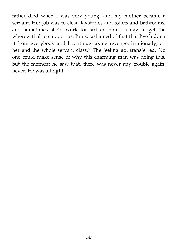father died when I was very young, and my mother became a servant. Her job was to clean lavatories and toilets and bathrooms, and sometimes she'd work for sixteen hours a day to get the wherewithal to support us. I'm so ashamed of that that I've hidden it from everybody and I continue taking revenge, irrationally, on her and the whole servant class." The feeling got transferred. No one could make sense of why this charming man was doing this, but the moment he saw that, there was never any trouble again, never. He was all right.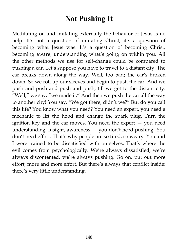# **Not Pushing It**

Meditating on and imitating externally the behavior of Jesus is no help. It's not a question of imitating Christ, it's a question of becoming what Jesus was. It's a question of becoming Christ, becoming aware, understanding what's going on within you. All the other methods we use for self-change could be compared to pushing a car. Let's suppose you have to travel to a distant city. The car breaks down along the way. Well, too bad; the car's broken down. So we roll up our sleeves and begin to push the car. And we push and push and push and push, till we get to the distant city. "Well," we say, "we made it." And then we push the car all the way to another city! You say, "We got there, didn't we?" But do you call this life? You know what you need? You need an expert, you need a mechanic to lift the hood and change the spark plug. Turn the ignition key and the car moves. You need the expert — you need understanding, insight, awareness — you don't need pushing. You don't need effort. That's why people are so tired, so weary. You and I were trained to be dissatisfied with ourselves. That's where the evil comes from psychologically. We're always dissatisfied, we're always discontented, we're always pushing. Go on, put out more effort, more and more effort. But there's always that conflict inside; there's very little understanding.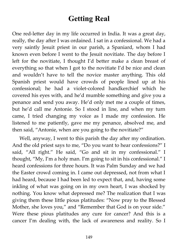# **Getting Real**

One red-letter day in my life occurred in India. It was a great day, really, the day after I was ordained. I sat in a confessional. We had a very saintly Jesuit priest in our parish, a Spaniard, whom I had known even before I went to the Jesuit novitiate. The day before I left for the novitiate, I thought I'd better make a clean breast of everything so that when I got to the novitiate I'd be nice and clean and wouldn't have to tell the novice master anything. This old Spanish priest would have crowds of people lined up at his confessional; he had a violet-colored handkerchief which he covered his eyes with, and he'd mumble something and give you a penance and send you away. He'd only met me a couple of times, but he'd call me Antonie. So I stood in line, and when my turn came, I tried changing my voice as I made my confession. He listened to me patiently, gave me my penance, absolved me, and then said, "Antonie, when are you going to the novitiate?"

Well, anyway, I went to this parish the day after my ordination. And the old priest says to me, "Do you want to hear confessions?" I said, "All right." He said, "Go and sit in my confessional." I thought, "My, I'm a holy man. I'm going to sit in his confessional." I heard confessions for three hours. It was Palm Sunday and we had the Easter crowd coming in. I came out depressed, not from what I had heard, because I had been led to expect that, and, having some inkling of what was going on in my own heart, I was shocked by nothing. You know what depressed me? The realization that I was giving them these little pious platitudes: "Now pray to the Blessed Mother, she loves you," and "Remember that God is on your side." Were these pious platitudes any cure for cancer? And this is a cancer I'm dealing with, the lack of awareness and reality. So I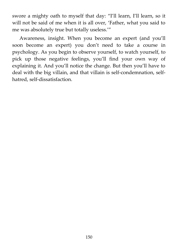swore a mighty oath to myself that day: "I'll learn, I'll learn, so it will not be said of me when it is all over, 'Father, what you said to me was absolutely true but totally useless.'"

Awareness, insight. When you become an expert (and you'll soon become an expert) you don't need to take a course in psychology. As you begin to observe yourself, to watch yourself, to pick up those negative feelings, you'll find your own way of explaining it. And you'll notice the change. But then you'll have to deal with the big villain, and that villain is self-condemnation, selfhatred, self-dissatisfaction.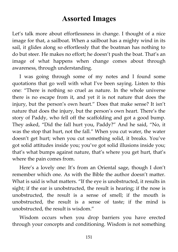#### **Assorted Images**

Let's talk more about effortlessness in change. I thought of a nice image for that, a sailboat. When a sailboat has a mighty wind in its sail, it glides along so effortlessly that the boatman has nothing to do but steer. He makes no effort; he doesn't push the boat. That's an image of what happens when change comes about through awareness, through understanding.

I was going through some of my notes and I found some quotations that go well with what I've been saying. Listen to this one: "There is nothing so cruel as nature. In the whole universe there is no escape from it, and yet it is not nature that does the injury, but the person's own heart." Does that make sense? It isn't nature that does the injury, but the person's own heart. There's the story of Paddy, who fell off the scaffolding and got a good bump. They asked, "Did the fall hurt you, Paddy?" And he said, "No, it was the stop that hurt, not the fall." When you cut water, the water doesn't get hurt; when you cut something solid, it breaks. You've got solid attitudes inside you; you've got solid illusions inside you; that's what bumps against nature, that's where you get hurt, that's where the pain comes from.

Here's a lovely one: It's from an Oriental sage, though I don't remember which one. As with the Bible the author doesn't matter. What is said is what matters. "If the eye is unobstructed, it results in sight; if the ear is unobstructed, the result is hearing; if the nose is unobstructed, the result is a sense of smell; if the mouth is unobstructed, the result is a sense of taste; if the mind is unobstructed, the result is wisdom."

Wisdom occurs when you drop barriers you have erected through your concepts and conditioning. Wisdom is not something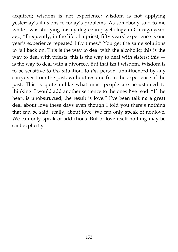acquired; wisdom is not experience; wisdom is not applying yesterday's illusions to today's problems. As somebody said to me while I was studying for my degree in psychology in Chicago years ago, "Frequently, in the life of a priest, fifty years' experience is one year's experience repeated fifty times." You get the same solutions to fall back on: This is the way to deal with the alcoholic; this is the way to deal with priests; this is the way to deal with sisters; this  $$ is the way to deal with a divorcee. But that isn't wisdom. Wisdom is to be sensitive to *this* situation, to *this* person, uninfluenced by any carryover from the past, without residue from the experience of the past. This is quite unlike what most people are accustomed to thinking. I would add another sentence to the ones I've read: "If the heart is unobstructed, the result is love." I've been talking a great deal about love these days even though I told you there's nothing that can be said, really, about love. We can only speak of nonlove. We can only speak of addictions. But of love itself nothing may be said explicitly.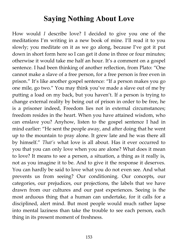## **Saying Nothing About Love**

How would *I* describe love? I decided to give you one of the meditations I'm writing in a new book of mine. I'll read it to you slowly; you meditate on it as we go along, because I've got it put down in short form here so I can get it done in three or four minutes; otherwise it would take me half an hour. It's a comment on a gospel sentence. I had been thinking of another reflection, from Plato: "One cannot make a slave of a free person, for a free person is free even in prison." It's like another gospel sentence: "If a person makes you go one mile, go two." You may think you've made a slave out of me by putting a load on my back, but you haven't. If a person is trying to change external reality by being out of prison in order to be free, he is a prisoner indeed, Freedom lies not in external circumstances; freedom resides in the heart. When you have attained wisdom, who can enslave you? Anyhow, listen to the gospel sentence I had in mind earlier: "He sent the people away, and after doing that he went up to the mountain to pray alone. It grew late and he was there all by himself." *That's* what love is all about. Has it ever occurred to you that you can only love when you are alone? What does it mean to love? It means to see a person, a situation, a thing as it really is, not as you imagine it to be. And to give it the response it deserves. You can hardly be said to love what you do not even see. And what prevents us from seeing? Our conditioning. Our concepts, our categories, our prejudices, our projections, the labels that we have drawn from our cultures and our past experiences. Seeing is the most arduous thing that a human can undertake, for it calls for a disciplined, alert mind. But most people would much rather lapse into mental laziness than take the trouble to see each person, each thing in its present moment of freshness.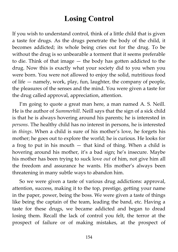## **Losing Control**

If you wish to understand control, think of a little child that is given a taste for drugs. As the drugs penetrate the body of the child, it becomes addicted; its whole being cries out for the drug. To be without the drug is so unbearable a torment that it seems preferable to die. Think of that image — the body has gotten addicted to the drug. Now this is exactly what your society did to you when you were born. You were not allowed to enjoy the solid, nutritious food of life — namely, work, play, fun, laughter, the company of people, the pleasures of the senses and the mind. You were given a taste for the drug called approval, appreciation, attention.

I'm going to quote a great man here, a man named A. S. Neill. He is the author of *Summerhill*. Neill says that the sign of a sick child is that he is always hovering around his parents; he is interested in *persons*. The healthy child has no interest in persons, he is interested in *things*. When a child is sure of his mother's love, he forgets his mother; he goes out to explore the world; he is curious. He looks for a frog to put in his mouth — that kind of thing. When a child is hovering around his mother, it's a bad sign; he's insecure. Maybe his mother has been trying to suck love *out* of him, not give him all the freedom and assurance he wants. His mother's always been threatening in many subtle ways to abandon him.

So we were given a taste of various drug addictions: approval, attention, success, making it to the top, prestige, getting your name in the paper, power, being the boss. We were given a taste of things like being the captain of the team, leading the band, etc. Having a taste for these drugs, we became addicted and began to dread losing them. Recall the lack of control you felt, the terror at the prospect of failure or of making mistakes, at the prospect of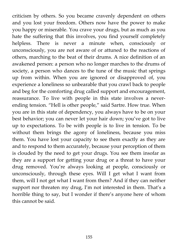criticism by others. So you became cravenly dependent on others and you lost your freedom. Others now have the power to make you happy or miserable. You crave your drugs, but as much as you hate the suffering that this involves, you find yourself completely helpless. There is never a minute when, consciously or unconsciously, you are not aware of or attuned to the reactions of others, marching to the beat of their drums. A nice definition of an awakened person: a person who no longer marches to the drums of society, a person who dances to the tune of the music that springs up from within. When you are ignored or disapproved of, you experience a loneliness so unbearable that you crawl back to people and beg for the comforting drug called support and encouragement, reassurance. To live with people in this state involves a neverending tension. "Hell is other people," said Sartre. How true. When you are in this state of dependency, you always have to be on your best behavior; you can never let your hair down; you've got to live up to expectations. To be with people is to live in tension. To be without them brings the agony of loneliness, because you miss them. You have lost your capacity to see them exactly as they are and to respond to them accurately, because your perception of them is clouded by the need to get your drugs. You see them insofar as they are a support for getting your drug or a threat to have your drug removed. You're always looking at people, consciously or unconsciously, through these eyes. Will I get what I want from them, will I not get what I want from them? And if they can neither support nor threaten my drug, I'm not interested in them. That's a horrible thing to say, but I wonder if there's anyone here of whom this cannot be said.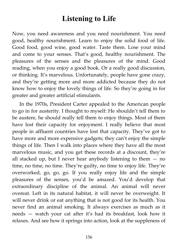## **Listening to Life**

Now, you need awareness and you need nourishment. You need good, healthy nourishment. Learn to enjoy the solid food of life. Good food, good wine, good water. Taste them. Lose your mind and come to your senses. That's good, healthy nourishment. The pleasures of the senses and the pleasures of the mind. Good reading, when you enjoy a good book. Or a really good discussion, or thinking. It's marvelous. Unfortunately, people have gone crazy, and they're getting more and more addicted because they do not know how to enjoy the lovely things of life. So they're going in for greater and greater artificial stimulants.

In the 1970s, President Carter appealed to the American people to go in for austerity. I thought to myself: He shouldn't tell them to be austere, he should really tell them to enjoy things. Most of them have lost their capacity for enjoyment. I really believe that most people in affluent countries have lost that capacity. They've got to have more and more expensive gadgets; they can't enjoy the simple things of life. Then I walk into places where they have all the most marvelous music, and you get these records at a discount, they're all stacked up, but I never hear anybody listening to them  $-$  no time, no time, no time. They're guilty, no time to enjoy life. They're overworked, go, go, go. If you really enjoy life and the simple pleasures of the senses, you'd be amazed. You'd develop that extraordinary discipline of the animal. An animal will never overeat. Left in its natural habitat, it will never be overweight. It will never drink or eat anything that is not good for its health. You never find an animal smoking. It always exercises as much as it needs — watch your cat after it's had its breakfast, look how it relaxes. And see how it springs into action, look at the suppleness of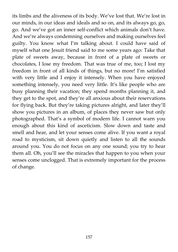its limbs and the aliveness of its body. We've lost that. We're lost in our minds, in our ideas and ideals and so on, and its always go, go, go. And we've got an inner self-conflict which animals don't have. And we're always condemning ourselves and making ourselves feel guilty. You know what I'm talking about. I could have said of myself what one Jesuit friend said to me some years ago: Take that plate of sweets away, because in front of a plate of sweets or chocolates, I lose my freedom. That was true of me, too; I lost my freedom in front of all kinds of things, but no more! I'm satisfied with very little and I enjoy it intensely. When you have enjoyed something intensely, you need very little. It's like people who are busy planning their vacation; they spend months planning it, and they get to the spot, and they're all anxious about their reservations for flying back. But they're taking pictures alright, and later they'll show you pictures in an album, of places they never saw but only photographed. That's a symbol of modern life. I cannot warn you enough about this kind of asceticism. Slow down and taste and smell and hear, and let your senses come alive. If you want a royal road to mysticism, sit down quietly and listen to all the sounds around you. You do not focus on any one sound; you try to hear them all. Oh, you'll see the miracles that happen to you when your senses come unclogged. That is extremely important for the process of change.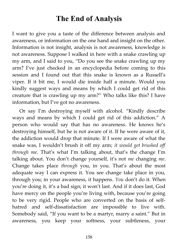### **The End of Analysis**

I want to give you a taste of the difference between analysis and awareness, or information on the one hand and insight on the other. Information is not insight, analysis is not awareness, knowledge is not awareness. Suppose I walked in here with a snake crawling up my arm, and I said to you, "Do you see the snake crawling up my arm? I've just checked in an encyclopedia before coming to this session and I found out that this snake is known as a Russell's viper. If it bit me, I would die inside half a minute. Would you kindly suggest ways and means by which I could get rid of this creature that is crawling up my arm?" Who talks like this? I have information, but I've got no awareness.

Or say I'm destroying myself with alcohol. "Kindly describe ways and means by which I could get rid of this addiction." A person who would say that has no awareness. He knows he's destroying himself, but he is not aware of it. If he were aware of it, the addiction would drop that minute. If I were aware of what the snake was, I wouldn't brush it off my arm; *it would get brushed off through me*. That's what I'm talking about, that's the change I'm talking about. You don't change yourself, it's not *me* changing *me*. Change takes place *through* you, in you. That's about the most adequate way I can express it. You see change take place in you, through you; in your awareness, it happens. *You* don't do it. When you're doing it, it's a bad sign; it won't last. And if it does last, God have mercy on the people you're living with, because you're going to be very rigid. People who are converted on the basis of selfhatred and self-dissatisfaction are impossible to live with. Somebody said, "If you want to be a martyr, marry a saint." But in awareness, you keep your softness, your subtleness, your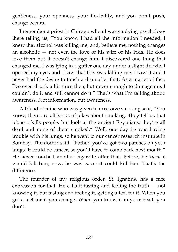gentleness, your openness, your flexibility, and you don't push, change occurs.

I remember a priest in Chicago when I was studying psychology there telling us, "You know, I had all the information I needed; I knew that alcohol was killing me, and, believe me, nothing changes an alcoholic — not even the love of his wife or his kids. He does love them but it doesn't change him. I discovered one thing that changed me. I was lying in a gutter one day under a slight drizzle. I opened my eyes and I saw that this was killing me. I saw it and I never had the desire to touch a drop after that. As a matter of fact, I've even drunk a bit since then, but never enough to damage me. I couldn't do it and still cannot do it." That's what I'm talking about: awareness. Not information, but awareness.

A friend of mine who was given to excessive smoking said, "You know, there are all kinds of jokes about smoking. They tell us that tobacco kills people, but look at the ancient Egyptians; they're all dead and none of them smoked." Well, one day he was having trouble with his lungs, so he went to our cancer research institute in Bombay. The doctor said, "Father, you've got two patches on your lungs. It could be cancer, so you'll have to come back next month." He never touched another cigarette after that. Before, he *knew* it would kill him; now, he was *aware* it could kill him. That's the difference.

The founder of my religious order, St. Ignatius, has a nice expression for that. He calls it tasting and feeling the truth — not knowing it, but tasting and feeling it, getting a feel for it. When you get a feel for it you change. When you know it in your head, you don't.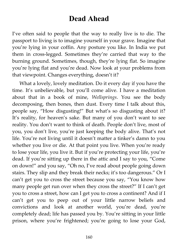#### **Dead Ahead**

I've often said to people that the way to really live is to die. The passport to living is to imagine yourself in your grave. Imagine that you're lying in your coffin. Any posture you like. In India we put them in cross-legged. Sometimes they're carried that way to the burning ground. Sometimes, though, they're lying flat. So imagine you're lying flat and you're dead. Now look at your problems from that viewpoint. Changes everything, doesn't it?

What a lovely, lovely meditation. Do it every day if you have the time. It's unbelievable, but you'll come alive. I have a meditation about that in a book of mine, *Wellsprings*. You see the body decomposing, then bones, then dust. Every time I talk about this, people say, "How disgusting!" But what's so disgusting about it? It's reality, for heaven's sake. But many of you don't want to see reality. You don't want to think of death. People don't live, most of you, you don't live, you're just keeping the body alive. That's not life. You're not living until it doesn't matter a tinker's damn to you whether you live or die. At that point you live. When you're ready to lose your life, you live it. But if you're protecting your life, you're dead. If you're sitting up there in the attic and I say to you, "Come on down!" and you say, "Oh no, I've read about people going down stairs. They slip and they break their necks; it's too dangerous." Or I can't get you to cross the street because you say, "You know how many people get run over when they cross the street?" If I can't get you to cross a street, how can I get you to cross a continent? And if I can't get you to peep out of your little narrow beliefs and convictions and look at another world, you're dead, you're completely dead; life has passed you by. You're sitting in your little prison, where you're frightened; you're going to lose your God,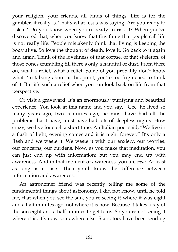your religion, your friends, all kinds of things. Life is for the gambler, it really is. That's what Jesus was saying. Are you ready to risk it? Do you know when you're ready to risk it? When you've discovered that, when you know that this thing that people call life is not really life. People mistakenly think that living is keeping the body alive. So love the thought of death, love it. Go back to it again and again. Think of the loveliness of that corpse, of that skeleton, of those bones crumbling till there's only a handful of dust. From there on, what a relief, what a relief. Some of you probably don't know what I'm talking about at this point; you're too frightened to think of it. But it's such a relief when you can look back on life from that perspective.

Or visit a graveyard. It's an enormously purifying and beautiful experience. You look at this name and you say, "Gee, he lived so many years ago, two centuries ago; he must have had all the problems that I have, must have had lots of sleepless nights. How crazy, we live for such a short time. An Italian poet said, "We live in a flash of light; evening comes and it is night forever." It's only a flash and we waste it. We waste it with our anxiety, our worries, our concerns, our burdens. Now, as you make that meditation, you can just end up with information; but you may end up with awareness. And in that moment of awareness, you are *new*. At least as long as it lasts. Then you'll know the difference between information and awareness.

An astronomer friend was recently telling me some of the fundamental things about astronomy. I did not know, until he told me, that when you see the sun, you're seeing it where it was eight and a half minutes ago, not where it is now. Because it takes a ray of the sun eight and a half minutes to get to us. So you're not seeing it where it is; it's now somewhere else. Stars, too, have been sending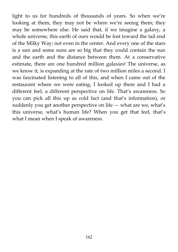light to us for hundreds of thousands of years. So when we're looking at them, they may not be where we're seeing them; they may be somewhere else. He said that, if we imagine a galaxy, a whole universe, this earth of ours would be lost toward the tail end of the Milky Way; not even in the center. And every one of the stars is a sun and some suns are so big that they could contain the sun and the earth and the distance between them. At a conservative estimate, there are one hundred million galaxies! The universe, as we know it, is expanding at the rate of two million miles a second. I was fascinated listening to all of this, and when I came out of the restaurant where we were eating, I looked up there and I had a different feel, a different perspective on life. That's awareness. So you can pick all this up as cold fact (and that's information), or suddenly you get another perspective on life — what are we, what's this universe, what's human life? When you get that feel, that's what I mean when I speak of awareness.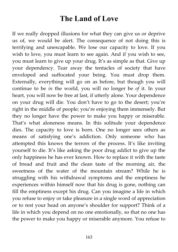## **The Land of Love**

If we really dropped illusions for what they can give us or deprive us of, we would be alert. The consequence of not doing this is terrifying and unescapable. We lose our capacity to love. If you wish to love, you must learn to see again. And if you wish to see, you must learn to give up your drug. It's as simple as that. Give up your dependency. Tear away the tentacles of society that have enveloped and suffocated your being. You must drop them. Externally, everything will go on as before, but though you will continue to be *in* the world, you will no longer be *of* it. In your heart, you will now be free at last, if utterly alone. Your dependence on your drug will die. You don't have to go to the desert; you're right in the middle of people; you're enjoying them immensely. But they no longer have the power to make you happy or miserable. That's what aloneness means. In this solitude your dependence dies. The capacity to love is born. One no longer sees others as means of satisfying one's addiction. Only someone who has attempted this knows the terrors of the process. It's like inviting yourself to die. It's like asking the poor drug addict to give up the only happiness he has ever known. How to replace it with the taste of bread and fruit and the clean taste of the morning air, the sweetness of the water of the mountain stream? While he is struggling with his withdrawal symptoms and the emptiness he experiences within himself now that his drug is gone, nothing can fill the emptiness except his drug. Can you imagine a life in which you refuse to enjoy or take pleasure in a single word of appreciation or to rest your head on anyone's shoulder for support? Think of a life in which you depend on no one emotionally, so that no one has the power to make you happy or miserable anymore. You refuse to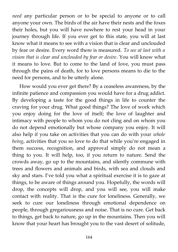*need* any particular person or to be special to anyone or to call anyone your own. The birds of the air have their nests and the foxes their holes, but you will have nowhere to rest your head in your journey through life. If you ever get to this state, you will at last know what it means to see with a vision that is clear and unclouded by fear or desire. Every word there is measured. *To see at last with a vision that is clear and unclouded by fear or desire*. You will know what it means to love. But to come to the land of love, you must pass through the pains of death, for to love persons means to die to the need for persons, and to be utterly alone.

How would you ever get there? By a ceaseless awareness, by the infinite patience and compassion you would have for a drug addict. By developing a taste for the good things in life to counter the craving for your drug. What good things? The love of work which you enjoy doing for the love of itself; the love of laughter and intimacy with people to whom you do not cling and on whom you do not depend emotionally but whose company you enjoy. It will also help if you take on activities that you can do with your *whole being*, activities that you so love to do that while you're engaged in them success, recognition, and approval simply do not mean a thing to you. It will help, too, if you return to nature. Send the crowds away, go up to the mountains, and silently commune with trees and flowers and animals and birds, with sea and clouds and sky and stars. I've told you what a spiritual exercise it is to gaze at things, to be aware of things around you. Hopefully, the words will drop, the concepts will drop, and you will see, you will make contact with reality. That is the cure for loneliness. Generally, we seek to cure our loneliness through emotional dependence on people, through gregariousness and noise. That is no cure. Get back to things, get back to nature, go up in the mountains. Then you will know that your heart has brought you to the vast desert of solitude,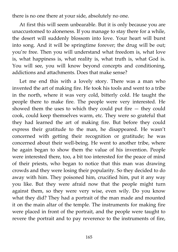there is no one there at your side, absolutely no one.

At first this will seem unbearable. But it is only because you are unaccustomed to aloneness. If you manage to stay there for a while, the desert will suddenly blossom into love. Your heart will burst into song. And it will be springtime forever; the drug will be out; you're free. Then you will understand what freedom is, what love is, what happiness is, what reality is, what truth is, what God is. You will see, you will know beyond concepts and conditioning, addictions and attachments. Does that make sense?

Let me end this with a lovely story. There was a man who invented the art of making fire. He took his tools and went to a tribe in the north, where it was very cold, bitterly cold. He taught the people there to make fire. The people were very interested. He showed them the uses to which they could put fire — they could cook, could keep themselves warm, etc. They were so grateful that they had learned the art of making fire. But before they could express their gratitude to the man, he disappeared. He wasn't concerned with getting their recognition or gratitude; he was concerned about their well-being. He went to another tribe, where he again began to show them the value of his invention. People were interested there, too, a bit too interested for the peace of mind of their priests, who began to notice that this man was drawing crowds and they were losing their popularity. So they decided to do away with him. They poisoned him, crucified him, put it any way you like. But they were afraid now that the people might turn against them, so they were very wise, even wily. Do you know what they did? They had a portrait of the man made and mounted it on the main altar of the temple. The instruments for making fire were placed in front of the portrait, and the people were taught to revere the portrait and to pay reverence to the instruments of fire,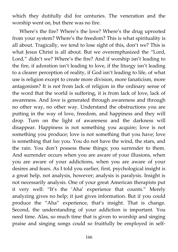which they dutifully did for centuries. The veneration and the worship went on, but there was no fire.

Where's the fire? Where's the love? Where's the drug uprooted from your system? Where's the freedom? This is what spirituality is all about. Tragically, we tend to lose sight of this, don't we? This is what Jesus Christ is all about. But we overemphasized the "Lord, Lord," didn't we? Where's the fire? And if worship isn't leading to the fire, if adoration isn't leading to love, if the liturgy isn't leading to a clearer perception of reality, if God isn't leading to life, of what use is religion except to create more division, more fanaticism, more antagonism? It is not from lack of religion in the ordinary sense of the word that the world is suffering, it is from lack of love, lack of awareness. And love is generated through awareness and through no other way, no other way. Understand the obstructions you are putting in the way of love, freedom, and happiness and they will drop. Turn on the light of awareness and the darkness will disappear. Happiness is not something you acquire; love is not something you produce; love is not something that you have; love is something that *has* you. You do not have the wind, the stars, and the rain. You don't possess these things; you surrender to them. And surrender occurs when you are aware of your illusions, when you are aware of your addictions, when you are aware of your desires and fears. As I told you earlier, first, psychological insight is a great help, not analysis, however; analysis is paralysis. Insight is not necessarily analysis. One of your great American therapists put it very well: "It's the 'Aha' experience that counts." Merely analyzing gives no help; it just gives information. But if you could produce the "Aha" experience, that's insight. That is change. Second, the understanding of your addiction is important. You need time. Alas, so much time that is given to worship and singing praise and singing songs could so fruitfully be employed in self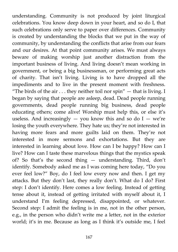understanding. Community is not produced by joint liturgical celebrations. You know deep down in your heart, and so do I, that such celebrations only serve to paper over differences. Community is created by understanding the blocks that we put in the way of community, by understanding the conflicts that arise from our fears and our desires. At that point community arises. We must always beware of making worship just another distraction from the important business of living. And living doesn't mean working in government, or being a big businessman, or performing great acts of charity. That isn't living. Living is to have dropped all the impediments and to live in the present moment with freshness. "The birds of the air  $\dots$  they neither toil nor spin"  $-$  that is living. I began by saying that people are asleep, dead. Dead people running governments, dead people running big business, dead people educating others; come alive! Worship must help this, or else it's useless. And increasingly  $-$  you know this and so do I  $-$  we're losing the youth everywhere. They hate us; they're not interested in having more fears and more guilts laid on them. They're not interested in more sermons and exhortations. But they are interested in learning about love. How can I be happy? How can I live? How can I taste these marvelous things that the mystics speak of? So that's the second thing — understanding. Third, don't identify. Somebody asked me as I was coming here today, "Do you ever feel low?" Boy, do I feel low every now and then. I get my attacks. But they don't last, they really don't. What do I do? First step: I don't identify. Here comes a low feeling. Instead of getting tense about it, instead of getting irritated with myself about it, I understand I'm feeling depressed, disappointed, or whatever. Second step: I admit the feeling is in me, not in the other person, e.g., in the person who didn't write me a letter, not in the exterior world; it's in me. Because as long as I think it's outside me, I feel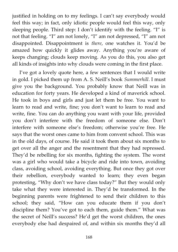justified in holding on to my feelings. I can't say everybody would feel this way; in fact, only idiotic people would feel this way, only sleeping people. Third step: I don't identify with the feeling. "I" is not that feeling. "I" am not lonely, "I" am not depressed, "I" am not disappointed. Disappointment is *there*, one watches it. You'd be amazed how quickly it glides away. Anything you're aware of keeps changing; clouds keep moving. As you do this, you also get all kinds of insights into why clouds were coming in the first place.

I've got a lovely quote here, a few sentences that I would write in gold. I picked them up from A. S. Neill's book *Summerhill*. I must give you the background. You probably know that Neill was in education for forty years. He developed a kind of maverick school. He took in boys and girls and just let them be free. You want to learn to read and write, fine; you don't want to learn to read and write, fine. You can do anything you want with your life, provided you don't interfere with the freedom of someone else. Don't interfere with someone else's freedom; otherwise you're free. He says that the worst ones came to him from convent school. This was in the old days, of course. He said it took them about six months to get over all the anger and the resentment that they had repressed. They'd be rebelling for six months, fighting the system. The worst was a girl who would take a bicycle and ride into town, avoiding class, avoiding school, avoiding everything. But once they got over their rebellion, everybody wanted to learn; they even began protesting, "Why don't we have class today?" But they would only take what they were interested in. They'd be transformed. In the beginning parents were frightened to send their children to this school; they said, "How can you educate them if you don't discipline them? You've got to each them, guide them." What was the secret of Neill's success? He'd get the worst children, the ones everybody else had despaired of, and within six months they'd all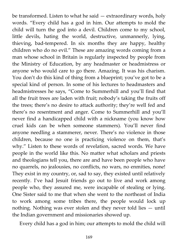be transformed. Listen to what he said — extraordinary words, holy words. "Every child has a god in him. Our attempts to mold the child will turn the god into a devil. Children come to my school, little devils, hating the world, destructive, unmannerly, lying, thieving, bad-tempered. In six months they are happy, healthy children who do no evil." These are amazing words coming from a man whose school in Britain is regularly inspected by people from the Ministry of Education, by any headmaster or headmistress or anyone who would care to go there. Amazing. It was his charism. You don't do this kind of thing from a blueprint; you've got to be a special kind of person. In some of his lectures to headmasters and headmistresses he says, "Come to Summerhill and you'll find that all the fruit trees are laden with fruit; nobody's taking the fruits off the trees; there's no desire to attack authority; they're well fed and there's no resentment and anger. Come to Summerhill and you'll never find a handicapped child with a nickname (you know how cruel kids can be when someone stammers). You'll never find anyone needling a stammerer, never. There's no violence in those children, because no one is practicing violence on them, that's why." Listen to these words of revelation, sacred words. We have people in the world like this. No matter what scholars and priests and theologians tell you, there are and have been people who have no quarrels, no jealousies, no conflicts, no wars, no enmities, none! They exist in my country, or, sad to say, they existed until relatively recently. I've had Jesuit friends go out to live and work among people who, they assured me, were incapable of stealing or lying. One Sister said to me that when she went to the northeast of India to work among some tribes there, the people would lock up nothing. Nothing was ever stolen and they never told lies — until the Indian government and missionaries showed up.

Every child has a god in him; our attempts to mold the child will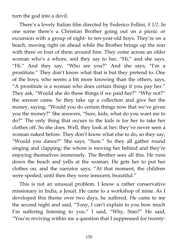turn the god into a devil.

There's a lovely Italian film directed by Federico Fellini, *8 1/2*. In one scene there's a Christian Brother going out on a picnic or excursion with a group of eight- to ten-year-old boys. They're on a beach, moving right on ahead while the Brother brings up the rear with three or four of them around him. They come across an older woman who's a whore, and they say to her, "Hi," and she says, "Hi." And they say, "Who are you?" And she says, "I'm a prostitute." They don't know what that is but they pretend to. One of the boys, who seems a bit more knowing than the others, says, "A prostitute is a woman who does certain things if you pay her." They ask, "Would she do those things if we paid her?" "Why not?" the answer came. So they take up a collection and give her the money, saying, "Would you do certain things now that we've given you the money?" She answers, "Sure, kids, what do you want me to do?" The only thing that occurs to the kids is for her to take her clothes off. So she does. Well, they look at her; they've never seen a woman naked before. They don't know what else to do, so they say, "Would you dance?" She says, "Sure." So they all gather round singing and clapping; the whore is moving her behind and they're enjoying themselves immensely. The Brother sees all this. He runs down the beach and yells at the woman. He gets her to put her clothes on, and the narrator says, "At that moment, the children were spoiled; until then they were innocent, beautiful."

This is not an unusual problem. I know a rather conservative missionary in India, a Jesuit. He came to a workshop of mine. As I developed this theme over two days, he suffered. He came to me the second night and said, "Tony, I can't explain to you how much I'm suffering listening to you." I said, "Why, Stan?" He said, "You're reviving within me a question that I suppressed for twenty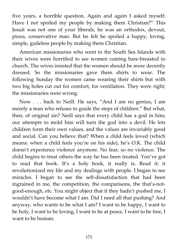five years, a horrible question. Again and again I asked myself: Have I not spoiled my people by making them Christian?" This Jesuit was not one of your liberals, he was an orthodox, devout, pious, conservative man. But he felt he spoiled a happy, loving, simple, guileless people by making them Christian.

American missionaries who went to the South Sea Islands with their wives were horrified to see women coming bare-breasted to church. The wives insisted that the women should be more decently dressed. So the missionaries gave them shirts to wear. The following Sunday the women came wearing their shirts but with two big holes cut out for comfort, for ventilation. They were right; the missionaries were wrong.

Now . . . back to Neill. He says, "And I am no genius, I am merely a man who refuses to guide the steps of children." But what, then, of original sin? Neill says that every child has a god in him; our attempts to mold him will turn the god into a devil. He lets children form their own values, and the values are invariably good and social. Can you believe that? When a child feels loved (which means: when a child feels you're on his side), he's O.K. The child doesn't experience violence anymore. No fear, so no violence. The child begins to treat others the way he has been treated. You've got to read that book. It's a holy book, it really is. Read it; it revolutionized my life and my dealings with people. I began to see miracles. I began to see the self-dissatisfaction that had been ingrained in me, the competition, the comparisons, the that's-notgood-enough, etc. You might object that if they hadn't pushed me, I wouldn't have become what I am. Did I need all that pushing? And anyway, who wants to be what I am? I want to be happy, I want to be holy, I want to be loving, I want to be at peace, I want to be free, I want to be human.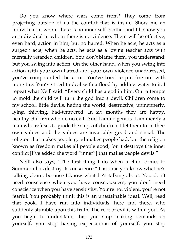Do you know where wars come from? They come from projecting outside of us the conflict that is inside. Show me an individual in whom there is no inner self-conflict and I'll show you an individual in whom there is no violence. There will be effective, even hard, action in him, but no hatred. When he acts, he acts as a surgeon acts; when he acts, he acts as a loving teacher acts with mentally retarded children. You don't blame them, you understand; but you swing into action. On the other hand, when you swing into action with your own hatred and your own violence unaddressed, you've compounded the error. You've tried to put fire out with more fire. You've tried to deal with a flood by adding water to it. I repeat what Neill said: "Every child has a god in him. Our attempts to mold the child will turn the god into a devil. Children come to my school, little devils, hating the world, destructive, unmannerly, lying, thieving, bad-tempered. In six months they are happy, healthy children who do no evil. And I am no genius, I am merely a man who refuses to guide the steps of children. I let them form their own values and the values are invariably good and social. The religion that makes people good makes people bad, but the religion known as freedom makes all people good, for it destroys the inner conflict [I've added the word "inner"] that makes people devils."

Neill also says, "The first thing I do when a child comes to Summerhill is destroy its conscience." I assume you know what he's talking about, because I know what he's talking about. You don't need conscience when you have consciousness; you don't need conscience when you have sensitivity. You're not violent, you're not fearful. You probably think this is an unattainable ideal. Well, read that book. I have run into individuals, here and there, who suddenly stumble upon this truth: The root of evil is within you. As you begin to understand this, you stop making demands on yourself, you stop having expectations of yourself, you stop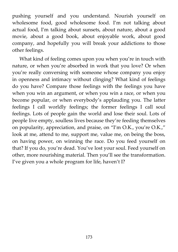pushing yourself and you understand. Nourish yourself on wholesome food, good wholesome food. I'm not talking about actual food, I'm talking about sunsets, about nature, about a good movie, about a good book, about enjoyable work, about good company, and hopefully you will break your addictions to those other feelings.

What kind of feeling comes upon you when you're in touch with nature, or when you're absorbed in work that you love? Or when you're really conversing with someone whose company you enjoy in openness and intimacy without clinging? What kind of feelings do you have? Compare those feelings with the feelings you have when you win an argument, or when you win a race, or when you become popular, or when everybody's applauding you. The latter feelings I call worldly feelings; the former feelings I call soul feelings. Lots of people gain the world and lose their soul. Lots of people live empty, soulless lives because they're feeding themselves on popularity, appreciation, and praise, on "I'm O.K., you're O.K.," look at me, attend to me, support me, value me, on being the boss, on having power, on winning the race. Do you feed yourself on that? If you do, you're dead. You've lost your soul. Feed yourself on other, more nourishing material. Then you'll see the transformation. I've given you a whole program for life, haven't I?